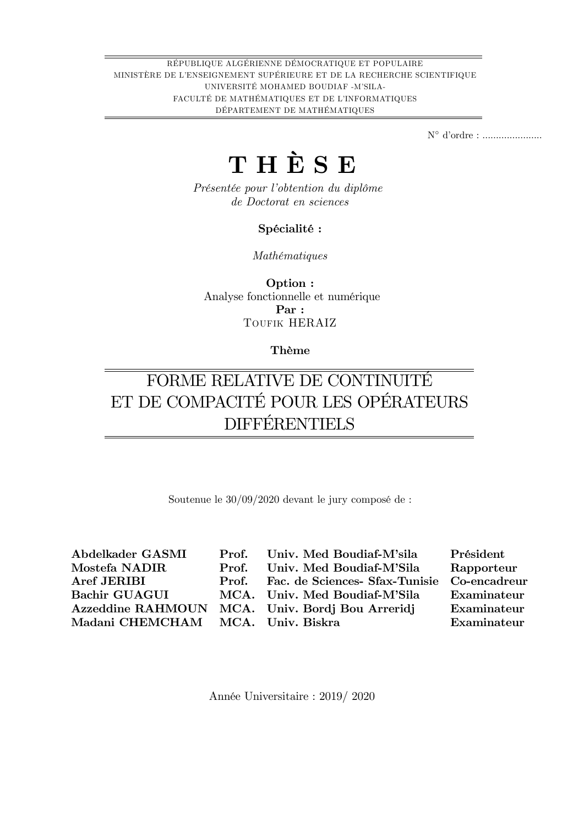RÉPUBLIQUE ALGÉRIENNE DÉMOCRATIQUE ET POPULAIRE MINISTÈRE DE L'ENSEIGNEMENT SUPÉRIEURE ET DE LA RECHERCHE SCIENTIFIQUE UNIVERSITÉ MOHAMED BOUDIAF -M'SILA-FACULTÉ DE MATHÉMATIQUES ET DE L'INFORMATIQUES DÉPARTEMENT DE MATHÉMATIQUES

N díordre : ......................

## THÈSE

Présentée pour l'obtention du diplôme de Doctorat en sciences

#### Spécialité :

MathÈmatiques

Option : Analyse fonctionnelle et numérique Par : TOUFIK HERAIZ

#### Thème

## FORME RELATIVE DE CONTINUITÉ ET DE COMPACITÉ POUR LES OPÉRATEURS DIFFÉRENTIELS

Soutenue le  $30/09/2020$  devant le jury composé de :

| Abdelkader GASMI                  |       | Prof. Univ. Med Boudiaf-M'sila                    | Président   |
|-----------------------------------|-------|---------------------------------------------------|-------------|
| Mostefa NADIR                     | Prof. | Univ. Med Boudiaf-M'Sila                          | Rapporteur  |
| Aref JERIBI                       |       | Prof. Fac. de Sciences- Sfax-Tunisie Co-encadreur |             |
| <b>Bachir GUAGUI</b>              |       | MCA. Univ. Med Boudiaf-M'Sila                     | Examinateur |
| <b>Azzeddine RAHMOUN</b>          |       | MCA. Univ. Bordj Bou Arreridj                     | Examinateur |
| Madani CHEMCHAM MCA. Univ. Biskra |       |                                                   | Examinateur |
|                                   |       |                                                   |             |

AnnÈe Universitaire : 2019/ 2020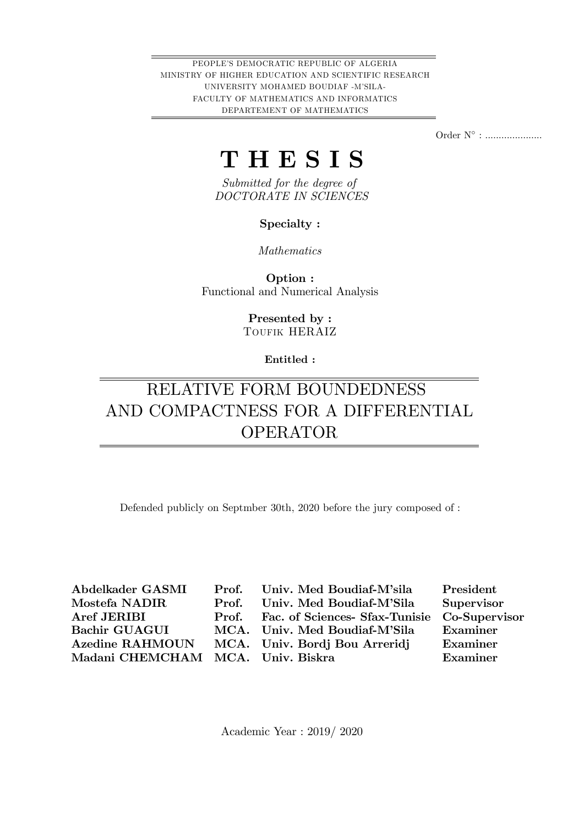PEOPLE'S DEMOCRATIC REPUBLIC OF ALGERIA MINISTRY OF HIGHER EDUCATION AND SCIENTIFIC RESEARCH UNIVERSITY MOHAMED BOUDIAF -MíSILA-FACULTY OF MATHEMATICS AND INFORMATICS DEPARTEMENT OF MATHEMATICS

Order N° : ......................

## T H E S I S

Submitted for the degree of DOCTORATE IN SCIENCES

Specialty :

Mathematics

Option : Functional and Numerical Analysis

> Presented by : TOUFIK HERAIZ

> > Entitled :

## RELATIVE FORM BOUNDEDNESS AND COMPACTNESS FOR A DIFFERENTIAL OPERATOR

Defended publicly on Septmber 30th, 2020 before the jury composed of :

| Abdelkader GASMI                  | Prof. Univ. Med Boudiaf-M'sila                     | President  |
|-----------------------------------|----------------------------------------------------|------------|
| Mostefa NADIR                     | Prof. Univ. Med Boudiaf-M'Sila                     | Supervisor |
| Aref JERIBI                       | Prof. Fac. of Sciences- Sfax-Tunisie Co-Supervisor |            |
| <b>Bachir GUAGUI</b>              | MCA. Univ. Med Boudiaf-M'Sila                      | Examiner   |
| <b>Azedine RAHMOUN</b>            | MCA. Univ. Bordj Bou Arreridj                      | Examiner   |
| Madani CHEMCHAM MCA. Univ. Biskra |                                                    | Examiner   |
|                                   |                                                    |            |

Academic Year : 2019/ 2020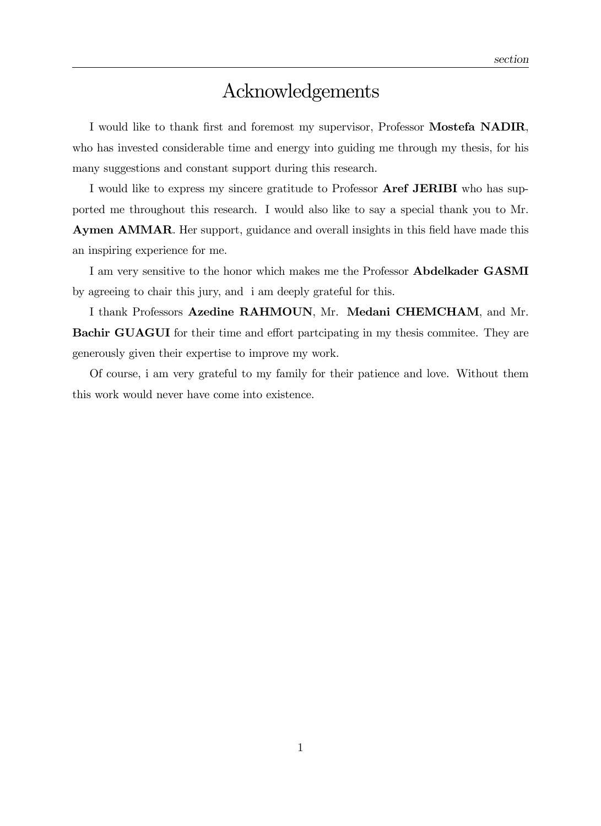### Acknowledgements

I would like to thank first and foremost my supervisor, Professor Mostefa NADIR, who has invested considerable time and energy into guiding me through my thesis, for his many suggestions and constant support during this research.

I would like to express my sincere gratitude to Professor Aref JERIBI who has supported me throughout this research. I would also like to say a special thank you to Mr. Aymen AMMAR. Her support, guidance and overall insights in this field have made this an inspiring experience for me.

I am very sensitive to the honor which makes me the Professor Abdelkader GASMI by agreeing to chair this jury, and i am deeply grateful for this.

I thank Professors Azedine RAHMOUN, Mr. Medani CHEMCHAM, and Mr. **Bachir GUAGUI** for their time and effort partcipating in my thesis commitee. They are generously given their expertise to improve my work.

Of course, i am very grateful to my family for their patience and love. Without them this work would never have come into existence.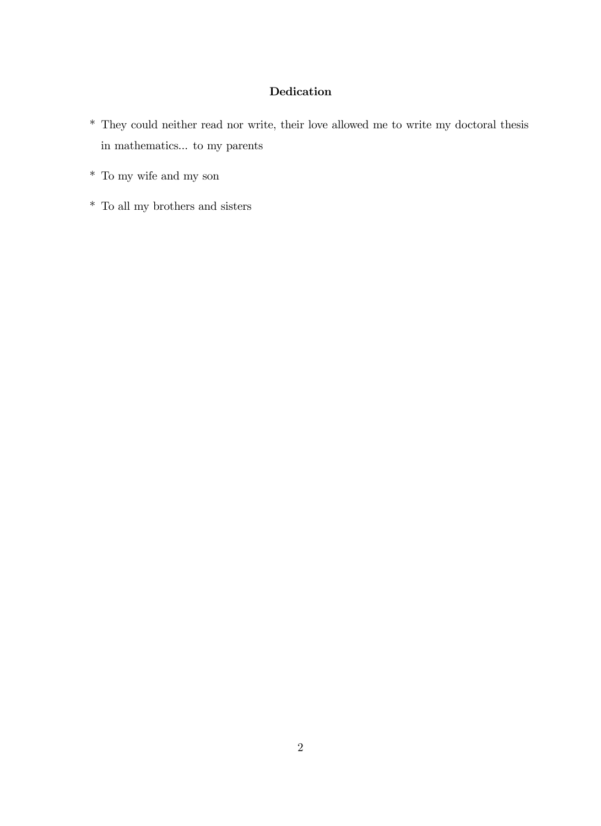### Dedication

- \* They could neither read nor write, their love allowed me to write my doctoral thesis in mathematics... to my parents
- \* To my wife and my son
- $^\ast\,$  To all my brothers and sisters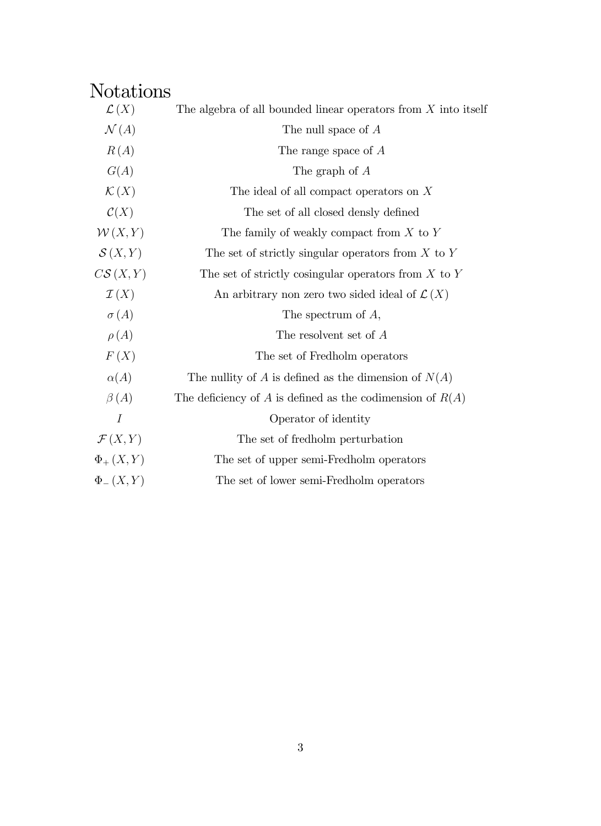## Notations

| $\mathcal{L}(X)$    | The algebra of all bounded linear operators from $X$ into itself |
|---------------------|------------------------------------------------------------------|
| $\mathcal{N}(A)$    | The null space of $A$                                            |
| R(A)                | The range space of A                                             |
| G(A)                | The graph of A                                                   |
| $\mathcal{K}(X)$    | The ideal of all compact operators on $X$                        |
| $\mathcal{C}(X)$    | The set of all closed densly defined                             |
| W(X,Y)              | The family of weakly compact from $X$ to $Y$                     |
| $\mathcal{S}(X,Y)$  | The set of strictly singular operators from $X$ to $Y$           |
| $C\mathcal{S}(X,Y)$ | The set of strictly cosingular operators from $X$ to $Y$         |
| $\mathcal{I}(X)$    | An arbitrary non zero two sided ideal of $\mathcal{L}(X)$        |
| $\sigma(A)$         | The spectrum of $A$ ,                                            |
| $\rho(A)$           | The resolvent set of A                                           |
| F(X)                | The set of Fredholm operators                                    |
| $\alpha(A)$         | The nullity of $A$ is defined as the dimension of $N(A)$         |
| $\beta(A)$          | The deficiency of A is defined as the codimension of $R(A)$      |
| $\boldsymbol{I}$    | Operator of identity                                             |
| $\mathcal{F}(X,Y)$  | The set of fredholm perturbation                                 |
| $\Phi_{+}(X,Y)$     | The set of upper semi-Fredholm operators                         |
| $\Phi_{-}(X,Y)$     | The set of lower semi-Fredholm operators                         |
|                     |                                                                  |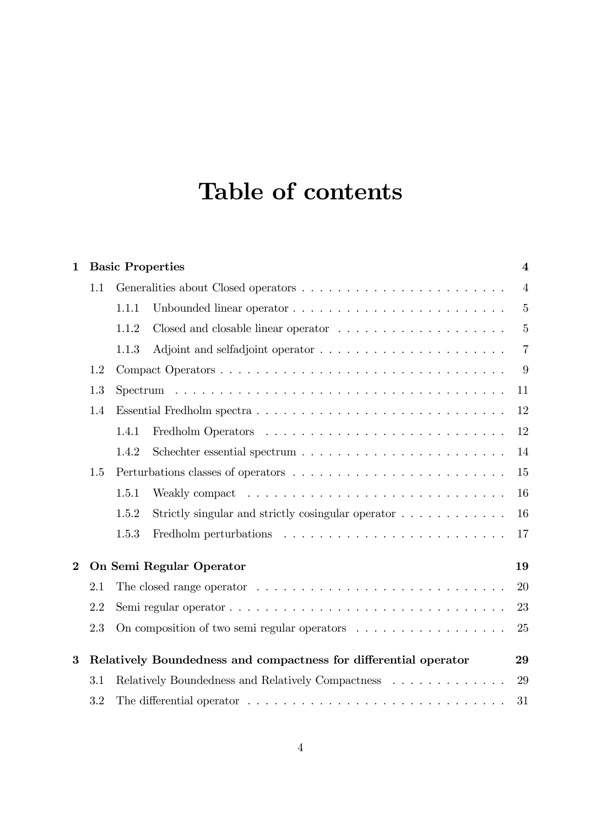## Table of contents

| $\mathbf{1}$ |                                                                  | <b>Basic Properties</b>                                 |                                                                                               |                |  |  |  |
|--------------|------------------------------------------------------------------|---------------------------------------------------------|-----------------------------------------------------------------------------------------------|----------------|--|--|--|
|              | 1.1                                                              |                                                         |                                                                                               | $\overline{4}$ |  |  |  |
|              |                                                                  | 1.1.1                                                   |                                                                                               | $\overline{5}$ |  |  |  |
|              |                                                                  | 1.1.2                                                   |                                                                                               | $\overline{5}$ |  |  |  |
|              |                                                                  | 1.1.3                                                   |                                                                                               | $\overline{7}$ |  |  |  |
|              | 1.2                                                              |                                                         |                                                                                               |                |  |  |  |
|              | 1.3                                                              | 11                                                      |                                                                                               |                |  |  |  |
|              | 1.4                                                              |                                                         |                                                                                               | 12             |  |  |  |
|              |                                                                  | 1.4.1                                                   |                                                                                               | 12             |  |  |  |
|              |                                                                  | 1.4.2                                                   |                                                                                               | 14             |  |  |  |
|              | 1.5                                                              |                                                         | 15                                                                                            |                |  |  |  |
|              |                                                                  | 1.5.1                                                   |                                                                                               | 16             |  |  |  |
|              |                                                                  | 1.5.2                                                   | Strictly singular and strictly cosingular operator $\ldots \ldots \ldots \ldots$              | 16             |  |  |  |
|              |                                                                  | 1.5.3                                                   | Fredholm perturbations $\ldots \ldots \ldots \ldots \ldots \ldots \ldots \ldots$              | 17             |  |  |  |
| $\bf{2}$     | On Semi Regular Operator                                         |                                                         |                                                                                               | 19             |  |  |  |
|              | 2.1                                                              |                                                         | The closed range operator $\dots \dots \dots \dots \dots \dots \dots \dots \dots \dots \dots$ | 20             |  |  |  |
|              | 2.2                                                              | 23                                                      |                                                                                               |                |  |  |  |
|              | 2.3                                                              |                                                         | On composition of two semi-regular operators $\dots \dots \dots \dots \dots \dots$            | 25             |  |  |  |
| $\bf{3}$     | Relatively Boundedness and compactness for differential operator |                                                         |                                                                                               | 29             |  |  |  |
|              | 3.1                                                              | Relatively Boundedness and Relatively Compactness<br>29 |                                                                                               |                |  |  |  |
|              | 3.2                                                              |                                                         |                                                                                               | 31             |  |  |  |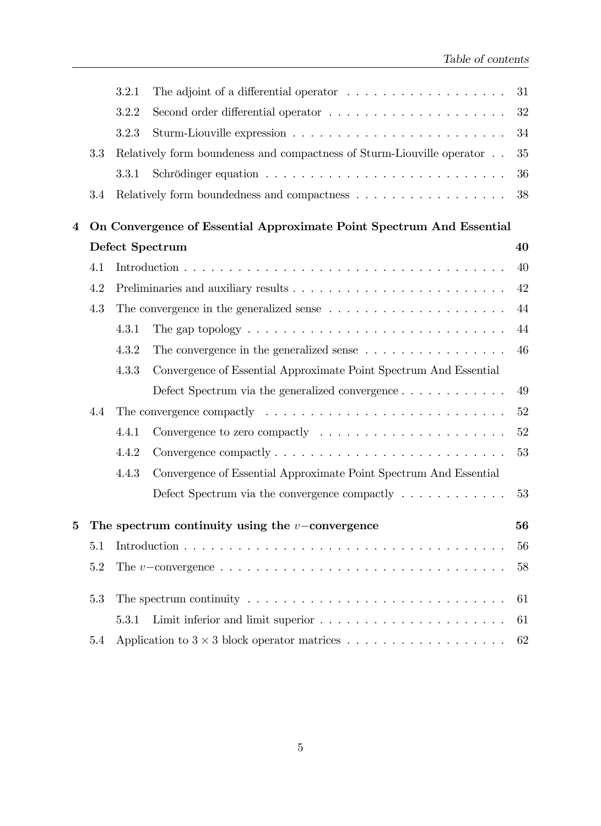|                         |                                                                      | 3.2.1                                                                                       | The adjoint of a differential operator $\dots \dots \dots \dots \dots \dots$                            | 31     |  |
|-------------------------|----------------------------------------------------------------------|---------------------------------------------------------------------------------------------|---------------------------------------------------------------------------------------------------------|--------|--|
|                         |                                                                      | 3.2.2                                                                                       |                                                                                                         | 32     |  |
|                         |                                                                      | 3.2.3                                                                                       |                                                                                                         | 34     |  |
|                         | 3.3                                                                  |                                                                                             | Relatively form boundeness and compactness of Sturm-Liouville operator                                  | 35     |  |
|                         |                                                                      | 3.3.1                                                                                       |                                                                                                         | 36     |  |
|                         | 3.4                                                                  |                                                                                             |                                                                                                         | 38     |  |
| $\overline{\mathbf{4}}$ | On Convergence of Essential Approximate Point Spectrum And Essential |                                                                                             |                                                                                                         |        |  |
|                         | Defect Spectrum                                                      |                                                                                             |                                                                                                         | 40     |  |
|                         | 4.1                                                                  |                                                                                             |                                                                                                         | 40     |  |
|                         | 4.2                                                                  | 42                                                                                          |                                                                                                         |        |  |
|                         | 4.3                                                                  | The convergence in the generalized sense $\ldots \ldots \ldots \ldots \ldots \ldots \ldots$ |                                                                                                         | 44     |  |
|                         |                                                                      | 4.3.1                                                                                       | The gap topology $\dots \dots \dots \dots \dots \dots \dots \dots \dots \dots \dots$                    | 44     |  |
|                         |                                                                      | 4.3.2                                                                                       | The convergence in the generalized sense $\ldots \ldots \ldots \ldots \ldots$                           | 46     |  |
|                         |                                                                      | 4.3.3                                                                                       | Convergence of Essential Approximate Point Spectrum And Essential                                       |        |  |
|                         |                                                                      |                                                                                             | Defect Spectrum via the generalized convergence $\ldots \ldots \ldots \ldots$                           | 49     |  |
|                         | 4.4                                                                  |                                                                                             |                                                                                                         | 52     |  |
|                         |                                                                      | 4.4.1                                                                                       |                                                                                                         | $52\,$ |  |
|                         |                                                                      | 4.4.2                                                                                       |                                                                                                         | 53     |  |
|                         |                                                                      | 4.4.3                                                                                       | Convergence of Essential Approximate Point Spectrum And Essential                                       |        |  |
|                         |                                                                      |                                                                                             | Defect Spectrum via the convergence compactly $\dots \dots \dots \dots$                                 | 53     |  |
| 5                       | The spectrum continuity using the $v$ -convergence<br>56             |                                                                                             |                                                                                                         |        |  |
|                         | 5.1                                                                  | 56                                                                                          |                                                                                                         |        |  |
|                         | $5.2\,$                                                              |                                                                                             | The v-convergence $\dots \dots \dots \dots \dots \dots \dots \dots \dots \dots \dots \dots \dots \dots$ | 58     |  |
|                         | 5.3                                                                  |                                                                                             | The spectrum continuity $\dots \dots \dots \dots \dots \dots \dots \dots \dots \dots \dots \dots$       | 61     |  |
|                         |                                                                      | 5.3.1                                                                                       | Limit inferior and limit superior $\ldots \ldots \ldots \ldots \ldots \ldots \ldots$                    | 61     |  |
|                         | 5.4                                                                  |                                                                                             |                                                                                                         | 62     |  |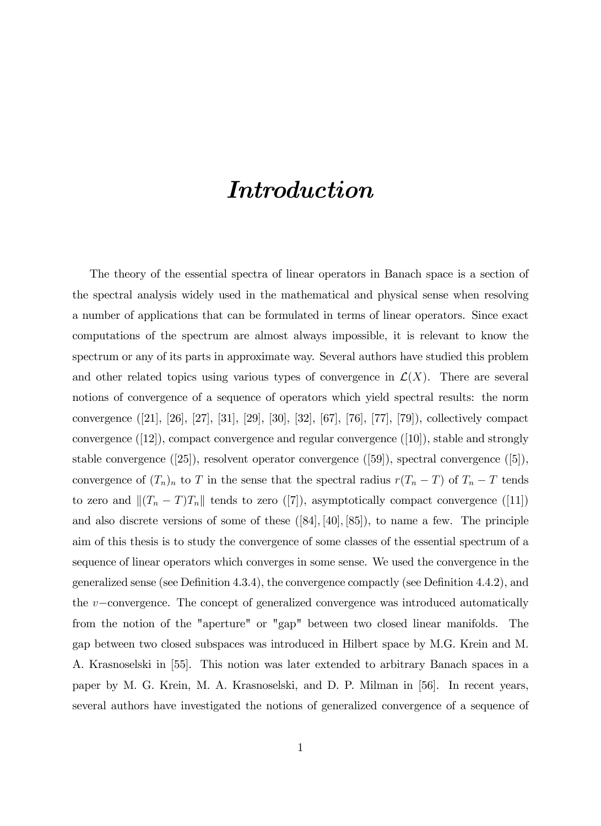## Introduction

The theory of the essential spectra of linear operators in Banach space is a section of the spectral analysis widely used in the mathematical and physical sense when resolving a number of applications that can be formulated in terms of linear operators. Since exact computations of the spectrum are almost always impossible, it is relevant to know the spectrum or any of its parts in approximate way. Several authors have studied this problem and other related topics using various types of convergence in  $\mathcal{L}(X)$ . There are several notions of convergence of a sequence of operators which yield spectral results: the norm convergence ([21], [26], [27], [31], [29], [30], [32], [67], [76], [77], [79]), collectively compact convergence ([12]), compact convergence and regular convergence ([10]), stable and strongly stable convergence ([25]), resolvent operator convergence ([59]), spectral convergence ([5]), convergence of  $(T_n)_n$  to T in the sense that the spectral radius  $r(T_n - T)$  of  $T_n - T$  tends to zero and  $\|(T_n - T)T_n\|$  tends to zero ([7]), asymptotically compact convergence ([11]) and also discrete versions of some of these  $([84], [40], [85])$ , to name a few. The principle aim of this thesis is to study the convergence of some classes of the essential spectrum of a sequence of linear operators which converges in some sense. We used the convergence in the generalized sense (see Definition 4.3.4), the convergence compactly (see Definition 4.4.2), and the  $v$ -convergence. The concept of generalized convergence was introduced automatically from the notion of the "aperture" or "gap" between two closed linear manifolds. The gap between two closed subspaces was introduced in Hilbert space by M.G. Krein and M. A. Krasnoselski in [55]. This notion was later extended to arbitrary Banach spaces in a paper by M. G. Krein, M. A. Krasnoselski, and D. P. Milman in [56]. In recent years, several authors have investigated the notions of generalized convergence of a sequence of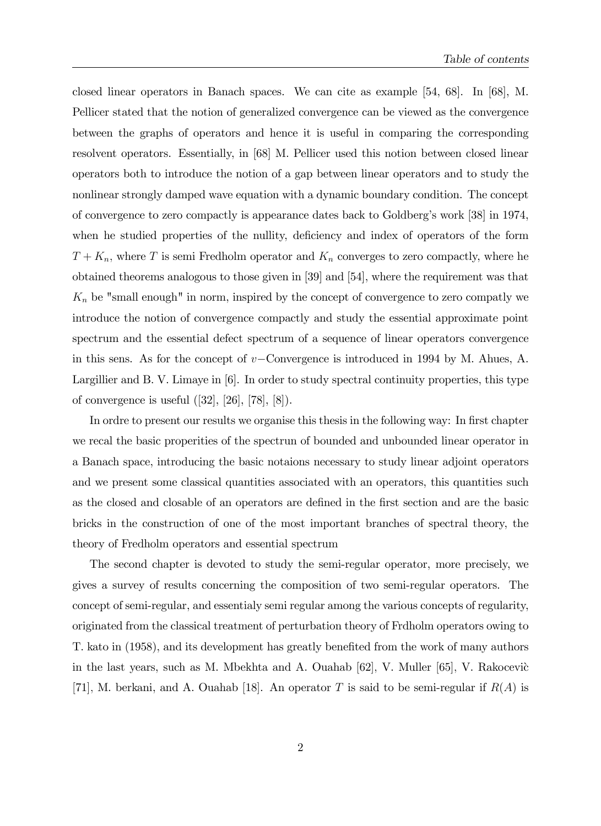closed linear operators in Banach spaces. We can cite as example [54, 68]. In [68], M. Pellicer stated that the notion of generalized convergence can be viewed as the convergence between the graphs of operators and hence it is useful in comparing the corresponding resolvent operators. Essentially, in [68] M. Pellicer used this notion between closed linear operators both to introduce the notion of a gap between linear operators and to study the nonlinear strongly damped wave equation with a dynamic boundary condition. The concept of convergence to zero compactly is appearance dates back to Goldbergís work [38] in 1974, when he studied properties of the nullity, deficiency and index of operators of the form  $T + K_n$ , where T is semi-Fredholm operator and  $K_n$  converges to zero compactly, where he obtained theorems analogous to those given in [39] and [54], where the requirement was that  $K_n$  be "small enough" in norm, inspired by the concept of convergence to zero compatly we introduce the notion of convergence compactly and study the essential approximate point spectrum and the essential defect spectrum of a sequence of linear operators convergence in this sens. As for the concept of  $v$ -Convergence is introduced in 1994 by M. Ahues, A. Largillier and B. V. Limaye in [6]. In order to study spectral continuity properties, this type of convergence is useful ([32], [26], [78], [8]).

In ordre to present our results we organise this thesis in the following way: In first chapter we recal the basic properities of the spectrun of bounded and unbounded linear operator in a Banach space, introducing the basic notaions necessary to study linear adjoint operators and we present some classical quantities associated with an operators, this quantities such as the closed and closable of an operators are defined in the first section and are the basic bricks in the construction of one of the most important branches of spectral theory, the theory of Fredholm operators and essential spectrum

The second chapter is devoted to study the semi-regular operator, more precisely, we gives a survey of results concerning the composition of two semi-regular operators. The concept of semi-regular, and essentialy semi regular among the various concepts of regularity, originated from the classical treatment of perturbation theory of Frdholm operators owing to T. kato in (1958), and its development has greatly benefited from the work of many authors in the last years, such as M. Mbekhta and A. Ouahab  $[62]$ , V. Muller  $[65]$ , V. Rakocevic [71], M. berkani, and A. Quahab [18]. An operator T is said to be semi-regular if  $R(A)$  is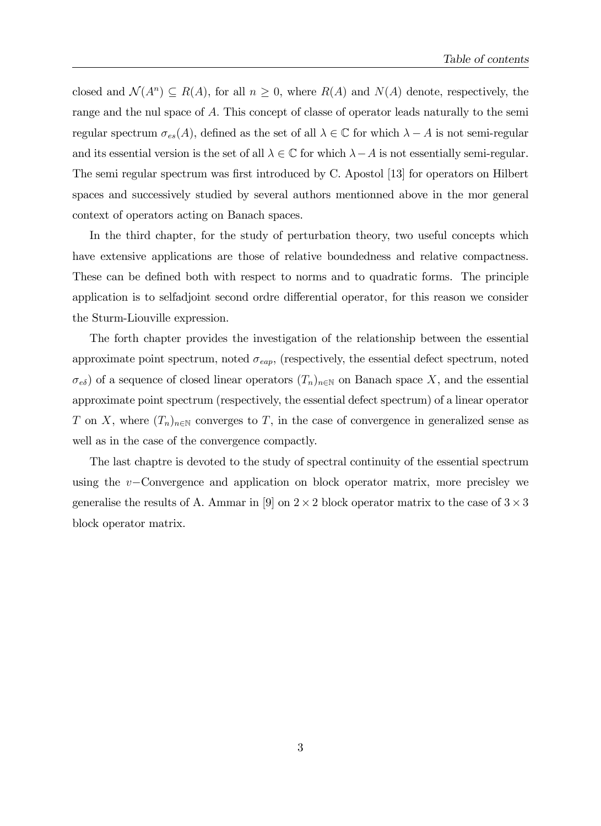closed and  $\mathcal{N}(A^n) \subseteq R(A)$ , for all  $n \geq 0$ , where  $R(A)$  and  $N(A)$  denote, respectively, the range and the nul space of A: This concept of classe of operator leads naturally to the semi regular spectrum  $\sigma_{es}(A)$ , defined as the set of all  $\lambda \in \mathbb{C}$  for which  $\lambda - A$  is not semi-regular and its essential version is the set of all  $\lambda \in \mathbb{C}$  for which  $\lambda - A$  is not essentially semi-regular. The semi regular spectrum was first introduced by C. Apostol [13] for operators on Hilbert spaces and successively studied by several authors mentionned above in the mor general context of operators acting on Banach spaces.

In the third chapter, for the study of perturbation theory, two useful concepts which have extensive applications are those of relative boundedness and relative compactness. These can be defined both with respect to norms and to quadratic forms. The principle application is to selfadjoint second ordre differential operator, for this reason we consider the Sturm-Liouville expression.

The forth chapter provides the investigation of the relationship between the essential approximate point spectrum, noted  $\sigma_{\text{eap}}$ , (respectively, the essential defect spectrum, noted  $\sigma_{e\delta}$  of a sequence of closed linear operators  $(T_n)_{n\in\mathbb{N}}$  on Banach space X, and the essential approximate point spectrum (respectively, the essential defect spectrum) of a linear operator T on X, where  $(T_n)_{n\in\mathbb{N}}$  converges to T, in the case of convergence in generalized sense as well as in the case of the convergence compactly.

The last chaptre is devoted to the study of spectral continuity of the essential spectrum using the  $v$ -Convergence and application on block operator matrix, more precisley we generalise the results of A. Ammar in [9] on  $2 \times 2$  block operator matrix to the case of  $3 \times 3$ block operator matrix.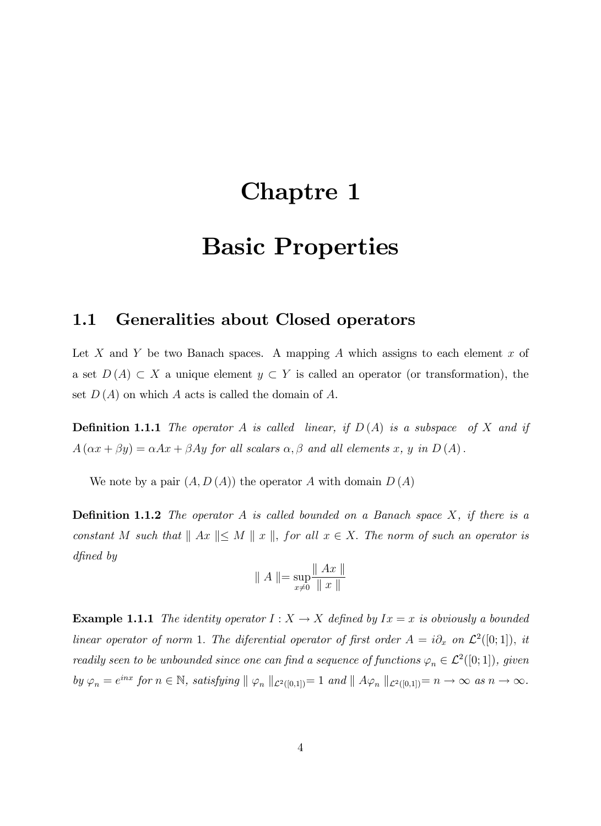## Chaptre 1

## Basic Properties

### 1.1 Generalities about Closed operators

Let X and Y be two Banach spaces. A mapping A which assigns to each element  $x$  of a set  $D(A) \subset X$  a unique element  $y \subset Y$  is called an operator (or transformation), the set  $D(A)$  on which A acts is called the domain of A.

**Definition 1.1.1** The operator A is called linear, if  $D(A)$  is a subspace of X and if  $A(\alpha x + \beta y) = \alpha Ax + \beta Ay$  for all scalars  $\alpha, \beta$  and all elements x, y in  $D(A)$ .

We note by a pair  $(A, D(A))$  the operator A with domain  $D(A)$ 

**Definition 1.1.2** The operator A is called bounded on a Banach space  $X$ , if there is a constant M such that  $||Ax|| \le M ||x||$ , for all  $x \in X$ . The norm of such an operator is dfined by

$$
\parallel A \parallel = \sup_{x \neq 0} \frac{\parallel Ax \parallel}{\parallel x \parallel}
$$

**Example 1.1.1** The identity operator  $I : X \to X$  defined by  $Ix = x$  is obviously a bounded linear operator of norm 1. The diferential operator of first order  $A = i\partial_x$  on  $\mathcal{L}^2([0;1])$ , it readily seen to be unbounded since one can find a sequence of functions  $\varphi_n \in \mathcal{L}^2([0;1])$ , given by  $\varphi_n = e^{inx}$  for  $n \in \mathbb{N}$ , satisfying  $|| \varphi_n ||_{\mathcal{L}^2([0,1])} = 1$  and  $|| A \varphi_n ||_{\mathcal{L}^2([0,1])} = n \to \infty$  as  $n \to \infty$ .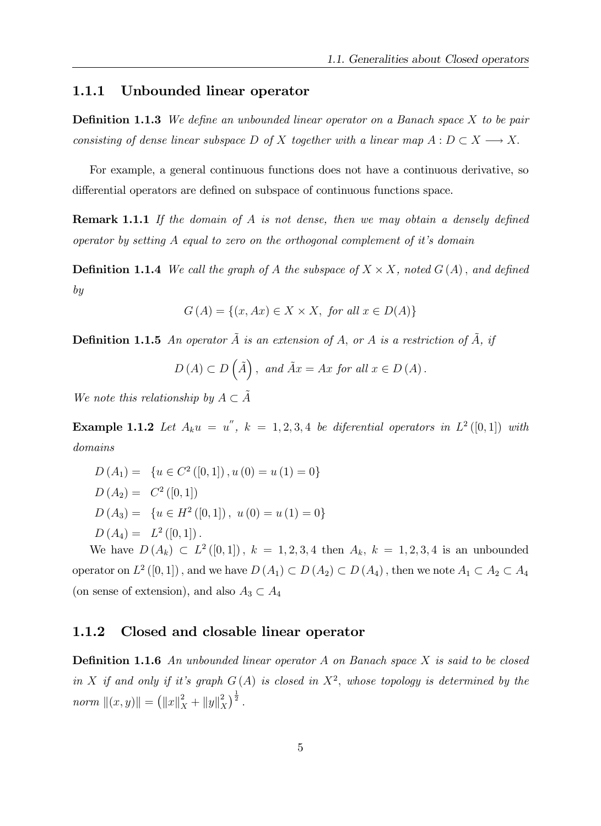#### 1.1.1 Unbounded linear operator

**Definition 1.1.3** We define an unbounded linear operator on a Banach space  $X$  to be pair consisting of dense linear subspace D of X together with a linear map  $A: D \subset X \longrightarrow X$ .

For example, a general continuous functions does not have a continuous derivative, so differential operators are defined on subspace of continuous functions space.

**Remark 1.1.1** If the domain of A is not dense, then we may obtain a densely defined operator by setting  $A$  equal to zero on the orthogonal complement of it's domain

**Definition 1.1.4** We call the graph of A the subspace of  $X \times X$ , noted  $G(A)$ , and defined by

$$
G(A) = \{(x, Ax) \in X \times X, \text{ for all } x \in D(A)\}
$$

**Definition 1.1.5** An operator  $\tilde{A}$  is an extension of A, or A is a restriction of  $\tilde{A}$ , if

$$
D(A) \subset D(\tilde{A}),
$$
 and  $\tilde{A}x = Ax$  for all  $x \in D(A)$ .

We note this relationship by  $A \subset \tilde{A}$ 

**Example 1.1.2** Let  $A_k u = u''$ ,  $k = 1, 2, 3, 4$  be diferential operators in  $L^2([0,1])$  with domains

 $D(A_1) = \{u \in C^2([0,1]), u(0) = u(1) = 0\}$  $D(A_2) = C^2([0, 1])$  $D(A_3) = \{u \in H^2([0,1]), u(0) = u(1) = 0\}$  $D(A_4) = L^2([0,1])$ .

We have  $D(A_k) \subset L^2([0,1])$ ,  $k = 1, 2, 3, 4$  then  $A_k$ ,  $k = 1, 2, 3, 4$  is an unbounded operator on  $L^2([0,1])$ , and we have  $D(A_1) \subset D(A_2) \subset D(A_4)$ , then we note  $A_1 \subset A_2 \subset A_4$ (on sense of extension), and also  $A_3 \subset A_4$ 

### 1.1.2 Closed and closable linear operator

**Definition 1.1.6** An unbounded linear operator A on Banach space X is said to be closed in X if and only if it's graph  $G(A)$  is closed in  $X^2$ , whose topology is determined by the norm  $||(x, y)|| = (||x||_X^2 + ||y||_X^2)$  $\binom{2}{X}^{\frac{1}{2}}$ .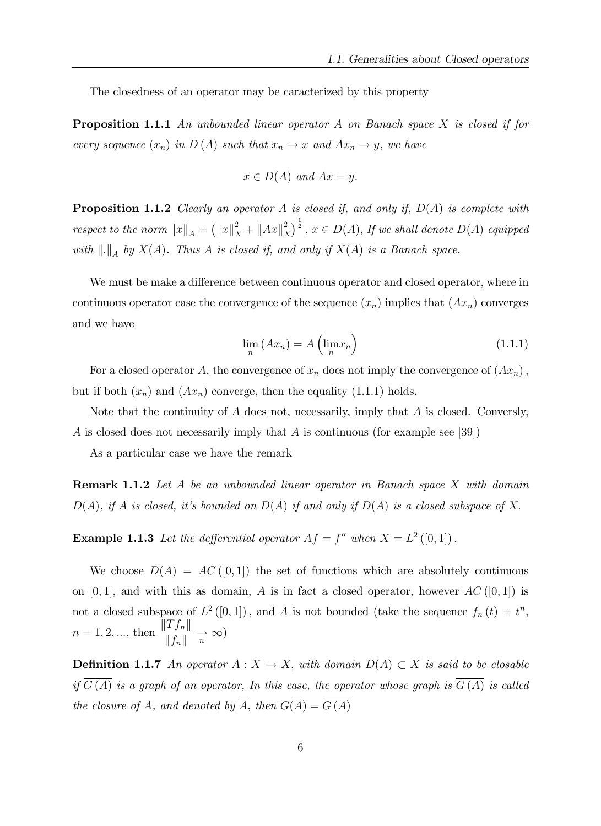The closedness of an operator may be caracterized by this property

**Proposition 1.1.1** An unbounded linear operator A on Banach space  $X$  is closed if for every sequence  $(x_n)$  in  $D(A)$  such that  $x_n \to x$  and  $Ax_n \to y$ , we have

$$
x \in D(A) \text{ and } Ax = y.
$$

**Proposition 1.1.2** Clearly an operator A is closed if, and only if,  $D(A)$  is complete with respect to the norm  $||x||_A = (||x||_X^2 + ||Ax||_X^2)$  $\left(\frac{2}{X}\right)^{\frac{1}{2}}$ ,  $x \in D(A)$ , If we shall denote  $D(A)$  equipped with  $\|.\|_A$  by  $X(A)$ . Thus A is closed if, and only if  $X(A)$  is a Banach space.

We must be make a difference between continuous operator and closed operator, where in continuous operator case the convergence of the sequence  $(x_n)$  implies that  $(Ax_n)$  converges and we have

$$
\lim_{n} (Ax_{n}) = A \left( \lim_{n} x_{n} \right)
$$
\n(1.1.1)

For a closed operator A, the convergence of  $x_n$  does not imply the convergence of  $(Ax_n)$ , but if both  $(x_n)$  and  $(Ax_n)$  converge, then the equality  $(1.1.1)$  holds.

Note that the continuity of  $A$  does not, necessarily, imply that  $A$  is closed. Conversly, A is closed does not necessarily imply that A is continuous (for example see [39])

As a particular case we have the remark

**Remark 1.1.2** Let A be an unbounded linear operator in Banach space X with domain  $D(A)$ , if A is closed, it's bounded on  $D(A)$  if and only if  $D(A)$  is a closed subspace of X.

**Example 1.1.3** Let the defferential operator  $Af = f''$  when  $X = L^2([0,1])$ ,

We choose  $D(A) = AC([0,1])$  the set of functions which are absolutely continuous on [0, 1], and with this as domain, A is in fact a closed operator, however  $AC([0,1])$  is not a closed subspace of  $L^2([0,1])$ , and A is not bounded (take the sequence  $f_n(t) = t^n$ ,  $n = 1, 2, ...,$  then  $\frac{\|T f_n\|}{\|F\|}$  $\frac{f(x) - f(x)}{\|f_n\|} \to \infty$ 

**Definition 1.1.7** An operator  $A: X \to X$ , with domain  $D(A) \subset X$  is said to be closable if  $\overline{G(A)}$  is a graph of an operator, In this case, the operator whose graph is  $\overline{G(A)}$  is called the closure of A, and denoted by  $\overline{A}$ , then  $G(\overline{A}) = \overline{G(A)}$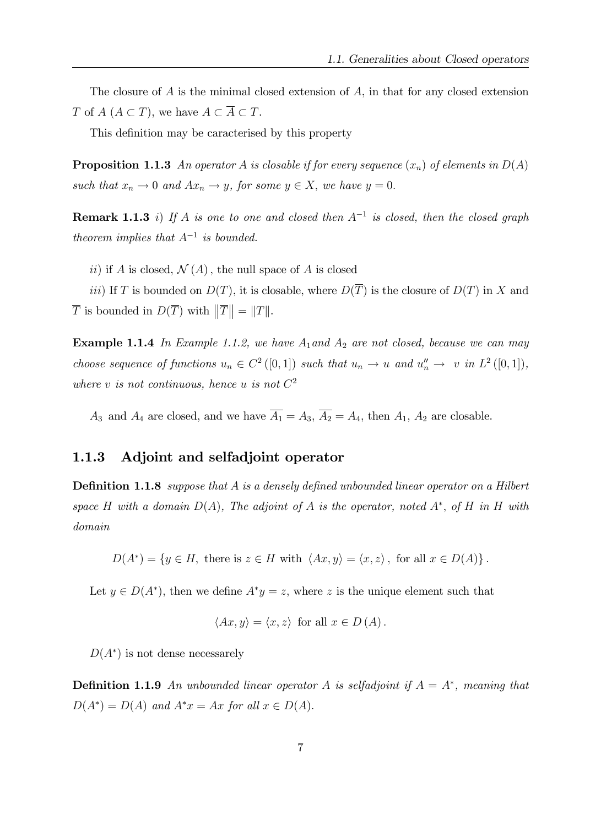The closure of  $A$  is the minimal closed extension of  $A$ , in that for any closed extension T of  $A \subset T$ , we have  $A \subset \overline{A} \subset T$ .

This definition may be caracterised by this property

**Proposition 1.1.3** An operator A is closable if for every sequence  $(x_n)$  of elements in  $D(A)$ such that  $x_n \to 0$  and  $Ax_n \to y$ , for some  $y \in X$ , we have  $y = 0$ .

**Remark 1.1.3** i) If A is one to one and closed then  $A^{-1}$  is closed, then the closed graph theorem implies that  $A^{-1}$  is bounded.

ii) if A is closed,  $\mathcal{N}(A)$ , the null space of A is closed

iii) If T is bounded on  $D(T)$ , it is closable, where  $D(\overline{T})$  is the closure of  $D(T)$  in X and  $\overline{T}$  is bounded in  $D(\overline{T})$  with  $\|\overline{T}\| = \|T\|.$ 

**Example 1.1.4** In Example 1.1.2, we have  $A_1$  and  $A_2$  are not closed, because we can may choose sequence of functions  $u_n \in C^2([0,1])$  such that  $u_n \to u$  and  $u''_n \to v$  in  $L^2([0,1]),$ where v is not continuous, hence u is not  $C^2$ 

 $A_3$  and  $A_4$  are closed, and we have  $\overline{A_1} = A_3$ ,  $\overline{A_2} = A_4$ , then  $A_1$ ,  $A_2$  are closable.

### 1.1.3 Adjoint and selfadjoint operator

**Definition 1.1.8** suppose that A is a densely defined unbounded linear operator on a Hilbert space H with a domain  $D(A)$ , The adjoint of A is the operator, noted  $A^*$ , of H in H with domain

 $D(A^*) = \{y \in H, \text{ there is } z \in H \text{ with } \langle Ax, y \rangle = \langle x, z \rangle, \text{ for all } x \in D(A)\}\.$ 

Let  $y \in D(A^*)$ , then we define  $A^*y = z$ , where z is the unique element such that

$$
\langle Ax, y \rangle = \langle x, z \rangle \text{ for all } x \in D(A).
$$

 $D(A^*)$  is not dense necessarely

**Definition 1.1.9** An unbounded linear operator A is selfadjoint if  $A = A^*$ , meaning that  $D(A^*) = D(A)$  and  $A^*x = Ax$  for all  $x \in D(A)$ .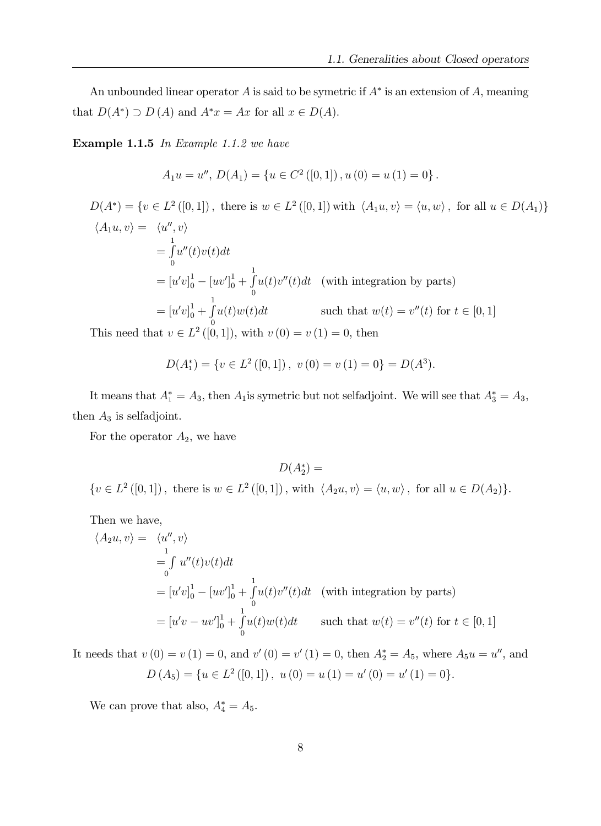An unbounded linear operator A is said to be symetric if  $A^*$  is an extension of A, meaning that  $D(A^*) \supset D(A)$  and  $A^*x = Ax$  for all  $x \in D(A)$ .

Example 1.1.5 In Example 1.1.2 we have

$$
A_1u = u'',\ D(A_1) = \{u \in C^2([0,1]), u(0) = u(1) = 0\}.
$$

 $D(A^*) = \{v \in L^2([0,1])\,$ , there is  $w \in L^2([0,1])$  with  $\langle A_1u, v \rangle = \langle u, w \rangle$ , for all  $u \in D(A_1)\}$  $\langle A_1 u, v \rangle = \langle u'', v \rangle$  $=\int$ 0  $u''(t)v(t)dt$  $=[u'v]_0^1 - [uv']_0^1 + \int_{0}^{1}$  $\boldsymbol{0}$  $u(t)v''(t)dt$  (with integration by parts)  $=[u'v]_0^1 + \int_0^1$ 0  $u(t)w(t)dt$  such that  $w(t) = v''(t)$  for  $t \in [0, 1]$ 

This need that  $v \in L^2([0, 1])$ , with  $v(0) = v(1) = 0$ , then

$$
D(A_1^*) = \{ v \in L^2([0,1]), \ v(0) = v(1) = 0 \} = D(A^3).
$$

It means that  $A_1^* = A_3$ , then  $A_1$  is symetric but not selfadjoint. We will see that  $A_3^* = A_3$ , then  $A_3$  is selfadjoint.

For the operator  $A_2$ , we have

 $D(A_2^*) =$  $\{v \in L^2([0,1])\,$ , there is  $w \in L^2([0,1])$ , with  $\langle A_2u, v \rangle = \langle u, w \rangle$ , for all  $u \in D(A_2)\}.$ 

Then we have,

$$
\langle A_2 u, v \rangle = \langle u'', v \rangle
$$
  
=  $\int_0^1 u''(t)v(t)dt$   
=  $[u'v]_0^1 - [uv']_0^1 + \int_0^1 u(t)v''(t)dt$  (with integration by parts)  
=  $[u'v - uv']_0^1 + \int_0^1 u(t)w(t)dt$  such that  $w(t) = v''(t)$  for  $t \in [0, 1]$ 

It needs that  $v(0) = v(1) = 0$ , and  $v'(0) = v'(1) = 0$ , then  $A_2^* = A_5$ , where  $A_5u = u''$ , and  $D(A_5) = \{u \in L^2([0,1]), u(0) = u(1) = u'(0) = u'(1) = 0\}.$ 

We can prove that also,  $A_4^* = A_5$ .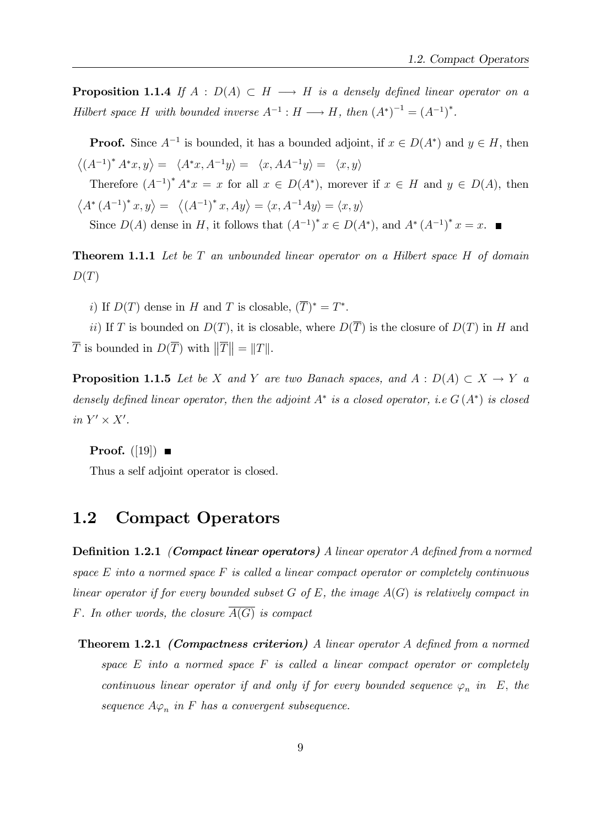**Proposition 1.1.4** If  $A : D(A) \subset H \longrightarrow H$  is a densely defined linear operator on a Hilbert space H with bounded inverse  $A^{-1}: H \longrightarrow H$ , then  $(A^*)^{-1} = (A^{-1})^*$ .

**Proof.** Since  $A^{-1}$  is bounded, it has a bounded adjoint, if  $x \in D(A^*)$  and  $y \in H$ , then  $\langle (A^{-1})^* A^* x, y \rangle = \langle A^* x, A^{-1} y \rangle = \langle x, A A^{-1} y \rangle = \langle x, y \rangle$ Therefore  $(A^{-1})^* A^*x = x$  for all  $x \in D(A^*)$ , morever if  $x \in H$  and  $y \in D(A)$ , then  $\langle A^*(A^{-1})^*x, y \rangle = \langle (A^{-1})^*x, Ay \rangle = \langle x, A^{-1}Ay \rangle = \langle x, y \rangle$ Since  $D(A)$  dense in H, it follows that  $(A^{-1})^* x \in D(A^*)$ , and  $A^*(A^{-1})^* x = x$ .

**Theorem 1.1.1** Let be  $T$  an unbounded linear operator on a Hilbert space  $H$  of domain  $D(T)$ 

i) If  $D(T)$  dense in H and T is closable,  $(T)^* = T^*$ .

ii) If T is bounded on  $D(T)$ , it is closable, where  $D(\overline{T})$  is the closure of  $D(T)$  in H and  $\overline{T}$  is bounded in  $D(\overline{T})$  with  $\|\overline{T}\| = \|T\|.$ 

**Proposition 1.1.5** Let be X and Y are two Banach spaces, and  $A : D(A) \subset X \to Y$  a densely defined linear operator, then the adjoint  $A^*$  is a closed operator, i.e  $G(A^*)$  is closed in  $Y' \times X'$ .

**Proof.** ([19])  $\blacksquare$ 

Thus a self adjoint operator is closed.

### 1.2 Compact Operators

**Definition 1.2.1** (Compact linear operators) A linear operator A defined from a normed space  $E$  into a normed space  $F$  is called a linear compact operator or completely continuous linear operator if for every bounded subset  $G$  of  $E$ , the image  $A(G)$  is relatively compact in F. In other words, the closure  $A(G)$  is compact

**Theorem 1.2.1 (Compactness criterion)** A linear operator A defined from a normed space  $E$  into a normed space  $F$  is called a linear compact operator or completely continuous linear operator if and only if for every bounded sequence  $\varphi_n$  in E, the sequence  $A\varphi_n$  in F has a convergent subsequence.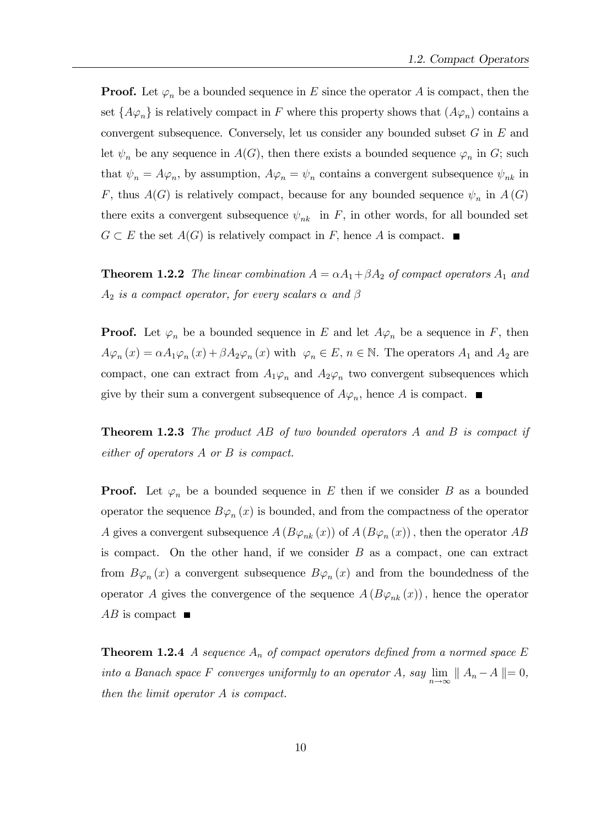**Proof.** Let  $\varphi_n$  be a bounded sequence in E since the operator A is compact, then the set  $\{A\varphi_n\}$  is relatively compact in F where this property shows that  $(A\varphi_n)$  contains a convergent subsequence. Conversely, let us consider any bounded subset  $G$  in  $E$  and let  $\psi_n$  be any sequence in  $A(G)$ , then there exists a bounded sequence  $\varphi_n$  in G; such that  $\psi_n = A\varphi_n$ , by assumption,  $A\varphi_n = \psi_n$  contains a convergent subsequence  $\psi_{nk}$  in F, thus  $A(G)$  is relatively compact, because for any bounded sequence  $\psi_n$  in  $A(G)$ there exits a convergent subsequence  $\psi_{nk}$  in F, in other words, for all bounded set  $G \subset E$  the set  $A(G)$  is relatively compact in F, hence A is compact.

**Theorem 1.2.2** The linear combination  $A = \alpha A_1 + \beta A_2$  of compact operators  $A_1$  and  $A_2$  is a compact operator, for every scalars  $\alpha$  and  $\beta$ 

**Proof.** Let  $\varphi_n$  be a bounded sequence in E and let  $A\varphi_n$  be a sequence in F, then  $A\varphi_n(x) = \alpha A_1\varphi_n(x) + \beta A_2\varphi_n(x)$  with  $\varphi_n \in E, n \in \mathbb{N}$ . The operators  $A_1$  and  $A_2$  are compact, one can extract from  $A_1\varphi_n$  and  $A_2\varphi_n$  two convergent subsequences which give by their sum a convergent subsequence of  $A\varphi_n$ , hence A is compact.

**Theorem 1.2.3** The product AB of two bounded operators A and B is compact if either of operators A or B is compact.

**Proof.** Let  $\varphi_n$  be a bounded sequence in E then if we consider B as a bounded operator the sequence  $B\varphi_n(x)$  is bounded, and from the compactness of the operator A gives a convergent subsequence  $A(B\varphi_{nk}(x))$  of  $A(B\varphi_{n}(x))$ , then the operator  $AB$ is compact. On the other hand, if we consider  $B$  as a compact, one can extract from  $B\varphi_n(x)$  a convergent subsequence  $B\varphi_n(x)$  and from the boundedness of the operator A gives the convergence of the sequence  $A (B\varphi_{nk}(x))$ , hence the operator  $AB$  is compact  $\blacksquare$ 

**Theorem 1.2.4** A sequence  $A_n$  of compact operators defined from a normed space E into a Banach space F converges uniformly to an operator A, say  $\lim_{n\to\infty}$   $|| A_n - A || = 0$ , then the limit operator A is compact.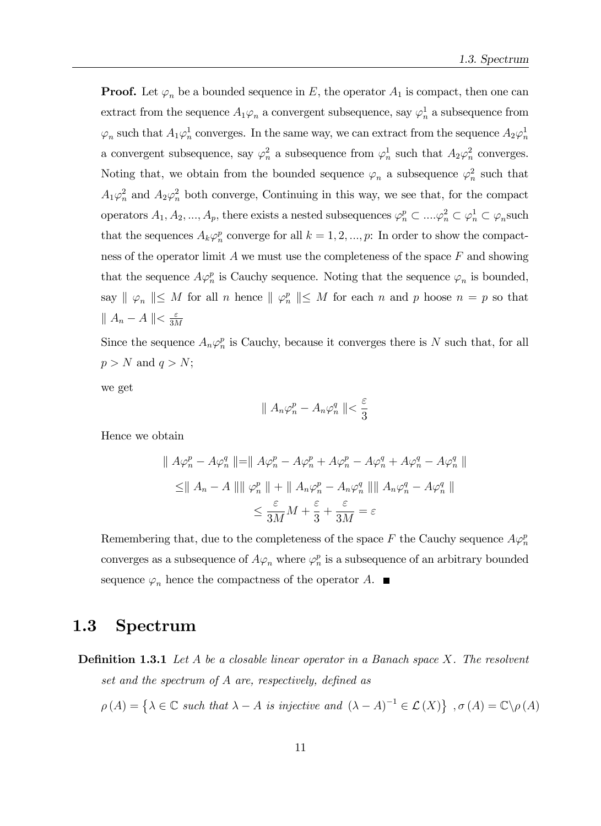**Proof.** Let  $\varphi_n$  be a bounded sequence in E, the operator  $A_1$  is compact, then one can extract from the sequence  $A_1\varphi_n$  a convergent subsequence, say  $\varphi_n^1$  a subsequence from  $\varphi_n$  such that  $A_1\varphi_n^1$  converges. In the same way, we can extract from the sequence  $A_2\varphi_n^1$ a convergent subsequence, say  $\varphi_n^2$  a subsequence from  $\varphi_n^1$  such that  $A_2\varphi_n^2$  converges. Noting that, we obtain from the bounded sequence  $\varphi_n$  a subsequence  $\varphi_n^2$  such that  $A_1\varphi_n^2$  and  $A_2\varphi_n^2$  both converge, Continuing in this way, we see that, for the compact operators  $A_1, A_2, ..., A_p$ , there exists a nested subsequences  $\varphi_n^p \subset ... \varphi_n^2 \subset \varphi_n^1 \subset \varphi_n$  such that the sequences  $A_k \varphi_n^p$  converge for all  $k = 1, 2, ..., p$ : In order to show the compactness of the operator limit  $A$  we must use the completeness of the space  $F$  and showing that the sequence  $A\varphi_n^p$  is Cauchy sequence. Noting that the sequence  $\varphi_n$  is bounded, say  $\parallel \varphi_n \parallel \leq M$  for all n hence  $\parallel \varphi_n^p \parallel \leq M$  for each n and p hoose  $n = p$  so that  $|| A_n - A || < \frac{\varepsilon}{3\Lambda}$ 3M

Since the sequence  $A_n \varphi_n^p$  is Cauchy, because it converges there is N such that, for all  $p > N$  and  $q > N$ ;

we get

$$
\parallel A_n \varphi_n^p - A_n \varphi_n^q \parallel < \frac{\varepsilon}{3}
$$

Hence we obtain

$$
\| A\varphi_n^p - A\varphi_n^q \| = \| A\varphi_n^p - A\varphi_n^p + A\varphi_n^p - A\varphi_n^q + A\varphi_n^q - A\varphi_n^q \|
$$
  

$$
\leq \| A_n - A \| \| \varphi_n^p \| + \| A_n \varphi_n^p - A_n \varphi_n^q \| \| A_n \varphi_n^q - A\varphi_n^q \|
$$
  

$$
\leq \frac{\varepsilon}{3M} M + \frac{\varepsilon}{3} + \frac{\varepsilon}{3M} = \varepsilon
$$

Remembering that, due to the completeness of the space F the Cauchy sequence  $A\varphi_n^p$ converges as a subsequence of  $A\varphi_n$  where  $\varphi_n^p$  is a subsequence of an arbitrary bounded sequence  $\varphi_n$  hence the compactness of the operator A.

### 1.3 Spectrum

**Definition 1.3.1** Let A be a closable linear operator in a Banach space X. The resolvent set and the spectrum of  $A$  are, respectively, defined as

$$
\rho(A) = \left\{ \lambda \in \mathbb{C} \text{ such that } \lambda - A \text{ is injective and } (\lambda - A)^{-1} \in \mathcal{L}(X) \right\}, \sigma(A) = \mathbb{C} \backslash \rho(A)
$$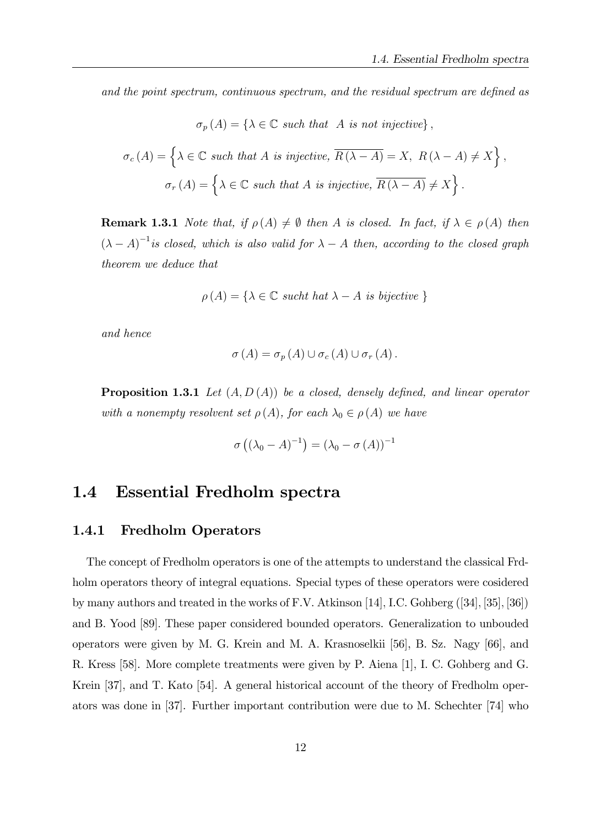and the point spectrum, continuous spectrum, and the residual spectrum are defined as

$$
\sigma_p(A) = \{ \lambda \in \mathbb{C} \text{ such that } A \text{ is not injective} \},
$$

$$
\sigma_c(A) = \left\{ \lambda \in \mathbb{C} \text{ such that } A \text{ is injective, } \overline{R(\lambda - A)} = X, R(\lambda - A) \neq X \right\},
$$

$$
\sigma_r(A) = \left\{ \lambda \in \mathbb{C} \text{ such that } A \text{ is injective, } \overline{R(\lambda - A)} \neq X \right\}.
$$

**Remark 1.3.1** Note that, if  $\rho(A) \neq \emptyset$  then A is closed. In fact, if  $\lambda \in \rho(A)$  then  $(\lambda - A)^{-1}$  is closed, which is also valid for  $\lambda - A$  then, according to the closed graph theorem we deduce that

$$
\rho(A) = \{ \lambda \in \mathbb{C} \text{ such that } \lambda - A \text{ is bijective } \}
$$

and hence

$$
\sigma(A) = \sigma_p(A) \cup \sigma_c(A) \cup \sigma_r(A).
$$

**Proposition 1.3.1** Let  $(A, D(A))$  be a closed, densely defined, and linear operator with a nonempty resolvent set  $\rho(A)$ , for each  $\lambda_0 \in \rho(A)$  we have

$$
\sigma\left(\left(\lambda_0 - A\right)^{-1}\right) = \left(\lambda_0 - \sigma\left(A\right)\right)^{-1}
$$

### 1.4 Essential Fredholm spectra

#### 1.4.1 Fredholm Operators

The concept of Fredholm operators is one of the attempts to understand the classical Frdholm operators theory of integral equations. Special types of these operators were cosidered by many authors and treated in the works of F.V. Atkinson [14], I.C. Gohberg  $([34], [35], [36])$ and B. Yood [89]: These paper considered bounded operators. Generalization to unbouded operators were given by M. G. Krein and M. A. Krasnoselkii [56], B. Sz. Nagy [66]; and R. Kress [58]. More complete treatments were given by P. Aiena [1], I. C. Gohberg and G. Krein [37], and T. Kato [54]. A general historical account of the theory of Fredholm operators was done in [37]. Further important contribution were due to M. Schechter [74] who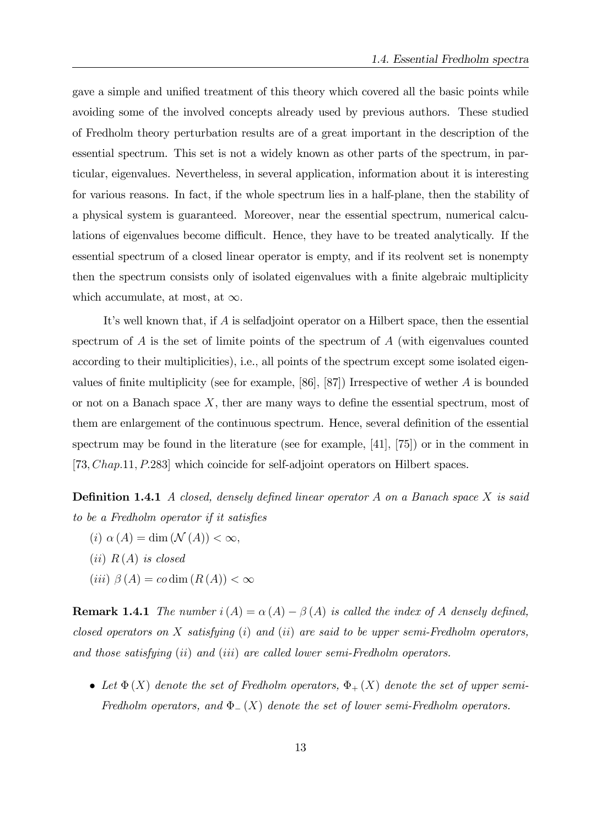gave a simple and unified treatment of this theory which covered all the basic points while avoiding some of the involved concepts already used by previous authors. These studied of Fredholm theory perturbation results are of a great important in the description of the essential spectrum. This set is not a widely known as other parts of the spectrum, in particular, eigenvalues. Nevertheless, in several application, information about it is interesting for various reasons. In fact, if the whole spectrum lies in a half-plane, then the stability of a physical system is guaranteed. Moreover, near the essential spectrum, numerical calculations of eigenvalues become difficult. Hence, they have to be treated analytically. If the essential spectrum of a closed linear operator is empty, and if its reolvent set is nonempty then the spectrum consists only of isolated eigenvalues with a finite algebraic multiplicity which accumulate, at most, at  $\infty$ .

It's well known that, if  $A$  is selfadjoint operator on a Hilbert space, then the essential spectrum of  $\tilde{A}$  is the set of limite points of the spectrum of  $\tilde{A}$  (with eigenvalues counted according to their multiplicities), i.e., all points of the spectrum except some isolated eigenvalues of finite multiplicity (see for example, [86], [87]) Irrespective of wether  $A$  is bounded or not on a Banach space  $X$ , ther are many ways to define the essential spectrum, most of them are enlargement of the continuous spectrum. Hence, several definition of the essential spectrum may be found in the literature (see for example, [41], [75]) or in the comment in [73; Chap:11; P:283] which coincide for self-adjoint operators on Hilbert spaces.

**Definition 1.4.1** A closed, densely defined linear operator A on a Banach space X is said to be a Fredholm operator if it satisfies

- (i)  $\alpha(A) = \dim(\mathcal{N}(A)) < \infty,$
- $(ii)$  R(A) is closed
- $(iii)$   $\beta(A) = co \dim(R(A)) < \infty$

**Remark 1.4.1** The number  $i(A) = \alpha(A) - \beta(A)$  is called the index of A densely defined, closed operators on X satisfying  $(i)$  and  $(ii)$  are said to be upper semi-Fredholm operators, and those satisfying (ii) and (iii) are called lower semi-Fredholm operators.

• Let  $\Phi(X)$  denote the set of Fredholm operators,  $\Phi_{+}(X)$  denote the set of upper semi-Fredholm operators, and  $\Phi_{-}(X)$  denote the set of lower semi-Fredholm operators.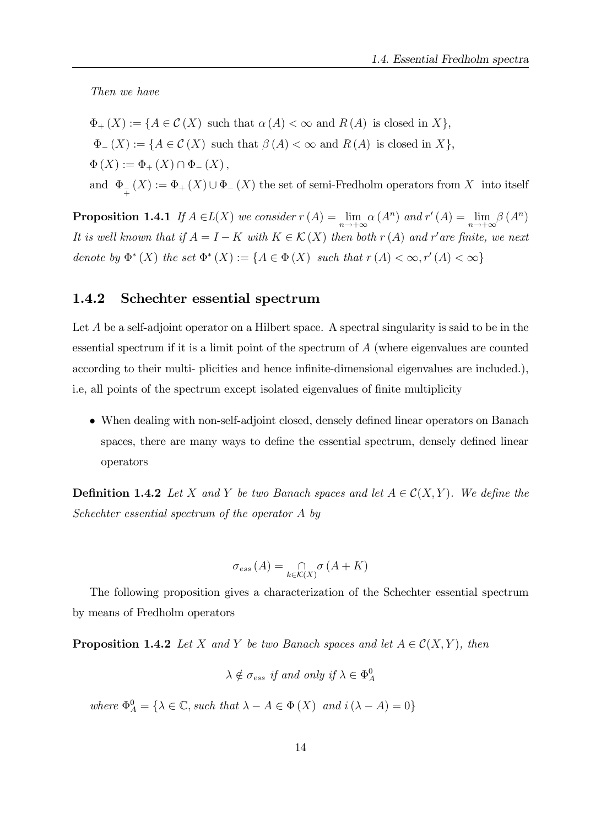Then we have

 $\Phi_+ (X) := \{ A \in \mathcal{C} (X) \text{ such that } \alpha (A) < \infty \text{ and } R (A) \text{ is closed in } X \},$  $\Phi_{-}(X) := \{ A \in \mathcal{C}(X) \text{ such that } \beta(A) < \infty \text{ and } R(A) \text{ is closed in } X \},$  $\Phi(X) := \Phi_{+}(X) \cap \Phi_{-}(X),$ and  $\Phi_{_{+}}(X) := \Phi_{+}(X) \cup \Phi_{-}(X)$  the set of semi-Fredholm operators from X into itself

**Proposition 1.4.1** If  $A \in L(X)$  we consider  $r(A) = \lim_{n \to +\infty} \alpha(A^n)$  and  $r'(A) = \lim_{n \to +\infty} \beta(A^n)$ It is well known that if  $A = I - K$  with  $K \in \mathcal{K}(X)$  then both  $r(A)$  and  $r'$  are finite, we next denote by  $\Phi^*(X)$  the set  $\Phi^*(X) := \{ A \in \Phi(X) \text{ such that } r(A) < \infty, r'(A) < \infty \}$ 

#### 1.4.2 Schechter essential spectrum

Let A be a self-adjoint operator on a Hilbert space. A spectral singularity is said to be in the essential spectrum if it is a limit point of the spectrum of A (where eigenvalues are counted according to their multi- plicities and hence infinite-dimensional eigenvalues are included.), i.e, all points of the spectrum except isolated eigenvalues of finite multiplicity

• When dealing with non-self-adjoint closed, densely defined linear operators on Banach spaces, there are many ways to define the essential spectrum, densely defined linear operators

**Definition 1.4.2** Let X and Y be two Banach spaces and let  $A \in \mathcal{C}(X, Y)$ . We define the Schechter essential spectrum of the operator A by

$$
\sigma_{ess}(A) = \bigcap_{k \in \mathcal{K}(X)} \sigma(A + K)
$$

The following proposition gives a characterization of the Schechter essential spectrum by means of Fredholm operators

**Proposition 1.4.2** Let X and Y be two Banach spaces and let  $A \in \mathcal{C}(X, Y)$ , then

$$
\lambda \notin \sigma_{ess} \text{ if and only if } \lambda \in \Phi_A^0
$$

where  $\Phi_A^0 = {\lambda \in \mathbb{C}}$ , such that  $\lambda - A \in \Phi(X)$  and  $i(\lambda - A) = 0$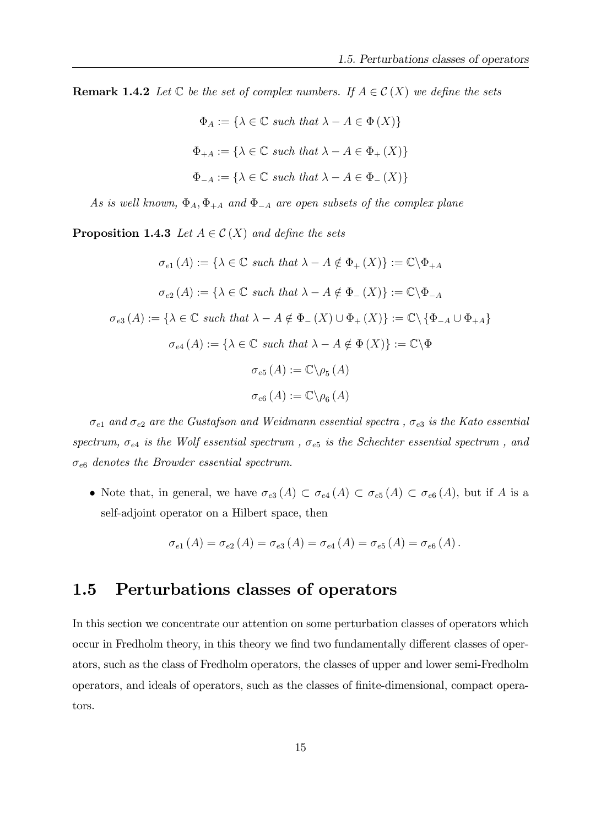**Remark 1.4.2** Let  $\mathbb C$  be the set of complex numbers. If  $A \in \mathcal C(X)$  we define the sets

$$
\Phi_A := \{ \lambda \in \mathbb{C} \text{ such that } \lambda - A \in \Phi(X) \}
$$
  

$$
\Phi_{+A} := \{ \lambda \in \mathbb{C} \text{ such that } \lambda - A \in \Phi_+(X) \}
$$
  

$$
\Phi_{-A} := \{ \lambda \in \mathbb{C} \text{ such that } \lambda - A \in \Phi_-(X) \}
$$

As is well known,  $\Phi_A$ ,  $\Phi_{+A}$  and  $\Phi_{-A}$  are open subsets of the complex plane

**Proposition 1.4.3** Let  $A \in \mathcal{C}(X)$  and define the sets

$$
\sigma_{e1}(A) := \{ \lambda \in \mathbb{C} \text{ such that } \lambda - A \notin \Phi_+(X) \} := \mathbb{C} \backslash \Phi_{+A}
$$

$$
\sigma_{e2}(A) := \{ \lambda \in \mathbb{C} \text{ such that } \lambda - A \notin \Phi_-(X) \} := \mathbb{C} \backslash \Phi_{-A}
$$

$$
\sigma_{e3}(A) := \{ \lambda \in \mathbb{C} \text{ such that } \lambda - A \notin \Phi_-(X) \cup \Phi_+(X) \} := \mathbb{C} \backslash \{ \Phi_{-A} \cup \Phi_{+A} \}
$$

$$
\sigma_{e4}(A) := \{ \lambda \in \mathbb{C} \text{ such that } \lambda - A \notin \Phi(X) \} := \mathbb{C} \backslash \Phi
$$

$$
\sigma_{e5}(A) := \mathbb{C} \backslash \rho_5(A)
$$

$$
\sigma_{e6}(A) := \mathbb{C} \backslash \rho_6(A)
$$

 $\sigma_{e1}$  and  $\sigma_{e2}$  are the Gustafson and Weidmann essential spectra,  $\sigma_{e3}$  is the Kato essential spectrum,  $\sigma_{e4}$  is the Wolf essential spectrum,  $\sigma_{e5}$  is the Schechter essential spectrum, and  $\sigma_{e6}$  denotes the Browder essential spectrum.

• Note that, in general, we have  $\sigma_{e3}(A) \subset \sigma_{e4}(A) \subset \sigma_{e5}(A) \subset \sigma_{e6}(A)$ , but if A is a self-adjoint operator on a Hilbert space, then

$$
\sigma_{e1}(A) = \sigma_{e2}(A) = \sigma_{e3}(A) = \sigma_{e4}(A) = \sigma_{e5}(A) = \sigma_{e6}(A).
$$

### 1.5 Perturbations classes of operators

In this section we concentrate our attention on some perturbation classes of operators which occur in Fredholm theory, in this theory we find two fundamentally different classes of operators, such as the class of Fredholm operators, the classes of upper and lower semi-Fredholm operators, and ideals of operators, such as the classes of Önite-dimensional, compact operators.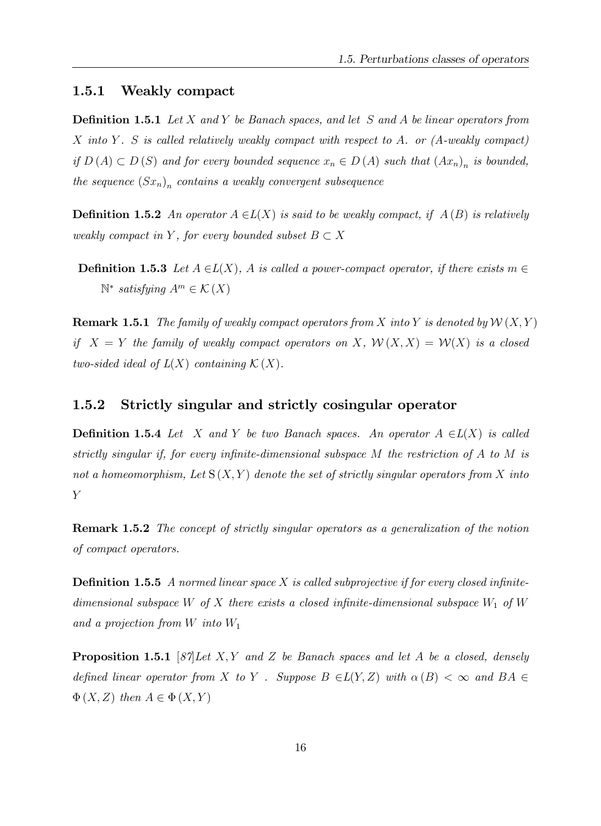#### 1.5.1 Weakly compact

**Definition 1.5.1** Let X and Y be Banach spaces, and let S and A be linear operators from X into Y. S is called relatively weakly compact with respect to A. or  $(A$ -weakly compact) if  $D(A) \subset D(S)$  and for every bounded sequence  $x_n \in D(A)$  such that  $(Ax_n)_n$  is bounded, the sequence  $(Sx_n)_n$  contains a weakly convergent subsequence

**Definition 1.5.2** An operator  $A \in L(X)$  is said to be weakly compact, if  $A(B)$  is relatively weakly compact in Y, for every bounded subset  $B \subset X$ 

**Definition 1.5.3** Let  $A \in L(X)$ , A is called a power-compact operator, if there exists  $m \in$  $\mathbb{N}^*$  satisfying  $A^m \in \mathcal{K}(X)$ 

**Remark 1.5.1** The family of weakly compact operators from X into Y is denoted by  $W(X, Y)$ if  $X = Y$  the family of weakly compact operators on X,  $\mathcal{W}(X, X) = \mathcal{W}(X)$  is a closed two-sided ideal of  $L(X)$  containing  $\mathcal{K}(X)$ .

#### 1.5.2 Strictly singular and strictly cosingular operator

**Definition 1.5.4** Let X and Y be two Banach spaces. An operator  $A \in L(X)$  is called strictly singular if, for every infinite-dimensional subspace  $M$  the restriction of  $A$  to  $M$  is not a homeomorphism, Let  $S(X, Y)$  denote the set of strictly singular operators from X into Y

**Remark 1.5.2** The concept of strictly singular operators as a generalization of the notion of compact operators.

**Definition 1.5.5** A normed linear space X is called subprojective if for every closed infinitedimensional subspace W of X there exists a closed infinite-dimensional subspace  $W_1$  of W and a projection from  $W$  into  $W_1$ 

**Proposition 1.5.1** [87] Let X, Y and Z be Banach spaces and let A be a closed, densely defined linear operator from X to Y. Suppose  $B \in L(Y,Z)$  with  $\alpha(B) < \infty$  and  $BA \in$  $\Phi(X, Z)$  then  $A \in \Phi(X, Y)$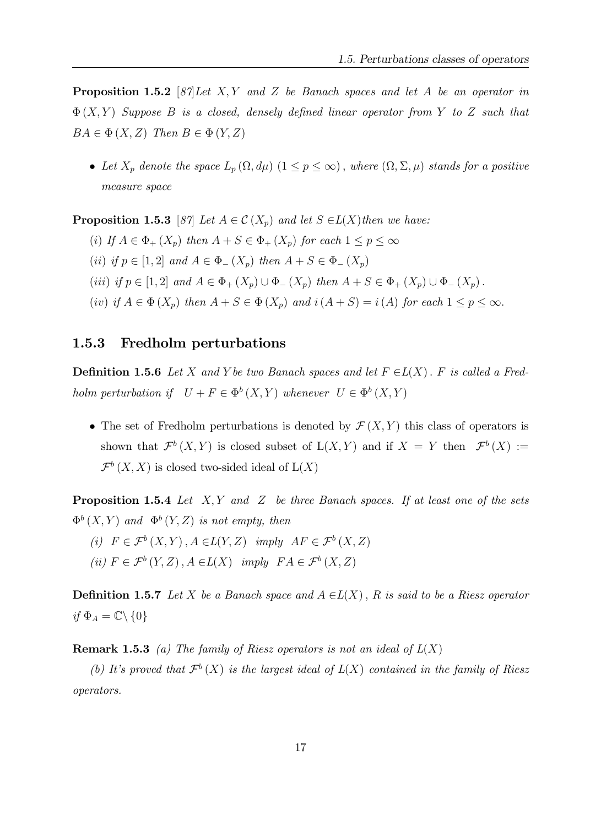**Proposition 1.5.2** [87] Let X, Y and Z be Banach spaces and let A be an operator in  $\Phi(X,Y)$  Suppose B is a closed, densely defined linear operator from Y to Z such that  $BA \in \Phi(X, Z)$  Then  $B \in \Phi(Y, Z)$ 

• Let  $X_p$  denote the space  $L_p(\Omega, d\mu)$   $(1 \le p \le \infty)$ , where  $(\Omega, \Sigma, \mu)$  stands for a positive measure space

**Proposition 1.5.3** [87] Let  $A \in \mathcal{C}(X_n)$  and let  $S \in L(X)$  then we have:

- (i) If  $A \in \Phi_+(X_p)$  then  $A + S \in \Phi_+(X_p)$  for each  $1 \leq p \leq \infty$
- (ii) if  $p \in [1, 2]$  and  $A \in \Phi_-(X_p)$  then  $A + S \in \Phi_-(X_p)$
- (iii) if  $p \in [1, 2]$  and  $A \in \Phi_+(X_p) \cup \Phi_-(X_p)$  then  $A + S \in \Phi_+(X_p) \cup \Phi_-(X_p)$ .
- (iv) if  $A \in \Phi(X_p)$  then  $A + S \in \Phi(X_p)$  and  $i(A + S) = i(A)$  for each  $1 \le p \le \infty$ .

#### 1.5.3 Fredholm perturbations

**Definition 1.5.6** Let X and Y be two Banach spaces and let  $F \in L(X)$ . F is called a Fredholm perturbation if  $U + F \in \Phi^b(X, Y)$  whenever  $U \in \Phi^b(X, Y)$ 

• The set of Fredholm perturbations is denoted by  $\mathcal{F}(X, Y)$  this class of operators is shown that  $\mathcal{F}^{b}(X,Y)$  is closed subset of  $L(X,Y)$  and if  $X = Y$  then  $\mathcal{F}^{b}(X) :=$  $\mathcal{F}^{b}(X,X)$  is closed two-sided ideal of  $L(X)$ 

**Proposition 1.5.4** Let  $X, Y$  and  $Z$  be three Banach spaces. If at least one of the sets  $\Phi^b(X,Y)$  and  $\Phi^b(Y,Z)$  is not empty, then

(i)  $F \in \mathcal{F}^b(X, Y), A \in L(Y, Z)$  imply  $AF \in \mathcal{F}^b(X, Z)$ (ii)  $F \in \mathcal{F}^b(Y, Z)$ ,  $A \in L(X)$  imply  $FA \in \mathcal{F}^b(X, Z)$ 

**Definition 1.5.7** Let X be a Banach space and  $A \in L(X)$ , R is said to be a Riesz operator if  $\Phi_A = \mathbb{C} \backslash \{0\}$ 

**Remark 1.5.3** (a) The family of Riesz operators is not an ideal of  $L(X)$ 

(b) It's proved that  $\mathcal{F}^b(X)$  is the largest ideal of  $L(X)$  contained in the family of Riesz operators.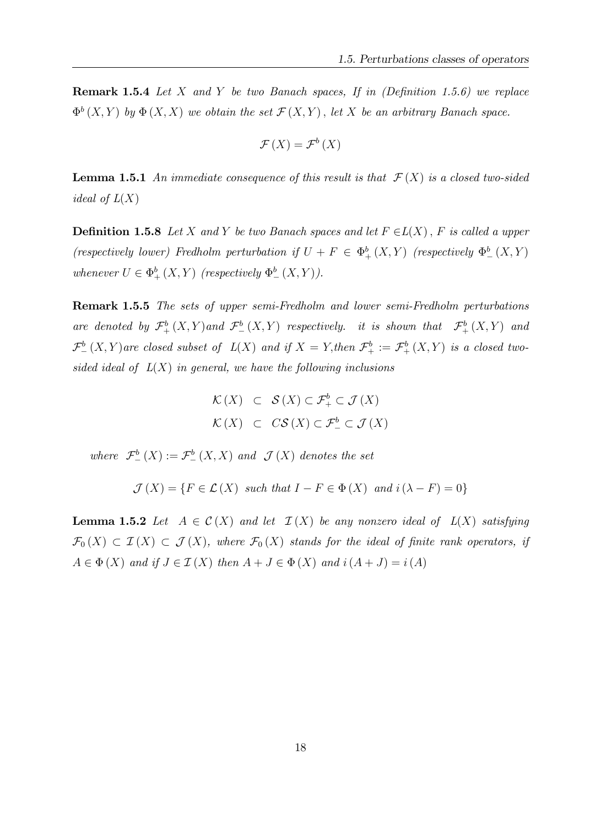**Remark 1.5.4** Let X and Y be two Banach spaces, If in (Definition 1.5.6) we replace  $\Phi^{b}(X,Y)$  by  $\Phi(X,X)$  we obtain the set  $\mathcal{F}(X,Y)$ , let X be an arbitrary Banach space.

$$
\mathcal{F}\left(X\right)=\mathcal{F}^{b}\left(X\right)
$$

**Lemma 1.5.1** An immediate consequence of this result is that  $\mathcal{F}(X)$  is a closed two-sided *ideal of*  $L(X)$ 

**Definition 1.5.8** Let X and Y be two Banach spaces and let  $F \in L(X)$ , F is called a upper (respectively lower) Fredholm perturbation if  $U + F \in \Phi_{+}^{b}(X, Y)$  (respectively  $\Phi_{-}^{b}(X, Y)$ ) whenever  $U \in \Phi_+^b(X, Y)$  (respectively  $\Phi_-^b(X, Y)$ ).

Remark 1.5.5 The sets of upper semi-Fredholm and lower semi-Fredholm perturbations are denoted by  $\mathcal{F}^b_+(X,Y)$  and  $\mathcal{F}^b_-(X,Y)$  respectively. it is shown that  $\mathcal{F}^b_+(X,Y)$  and  $\mathcal{F}^b_-(X,Y)$  are closed subset of  $L(X)$  and if  $X=Y$ , then  $\mathcal{F}^b_+ := \mathcal{F}^b_+(X,Y)$  is a closed twosided ideal of  $L(X)$  in general, we have the following inclusions

> $\mathcal{K}(X) \subset \mathcal{S}(X) \subset \mathcal{F}^b_+ \subset \mathcal{J}(X)$  $\mathcal{K}(X) \subset CS(X) \subset \mathcal{F}_{-}^{b} \subset \mathcal{J}(X)$

where  $\mathcal{F}^b_-(X) := \mathcal{F}^b_-(X,X)$  and  $\mathcal{J}(X)$  denotes the set

$$
\mathcal{J}(X) = \{ F \in \mathcal{L}(X) \text{ such that } I - F \in \Phi(X) \text{ and } i(\lambda - F) = 0 \}
$$

**Lemma 1.5.2** Let  $A \in \mathcal{C}(X)$  and let  $\mathcal{I}(X)$  be any nonzero ideal of  $L(X)$  satisfying  $\mathcal{F}_0(X) \subset \mathcal{I}(X) \subset \mathcal{J}(X)$ , where  $\mathcal{F}_0(X)$  stands for the ideal of finite rank operators, if  $A \in \Phi(X)$  and if  $J \in \mathcal{I}(X)$  then  $A + J \in \Phi(X)$  and  $i(A + J) = i(A)$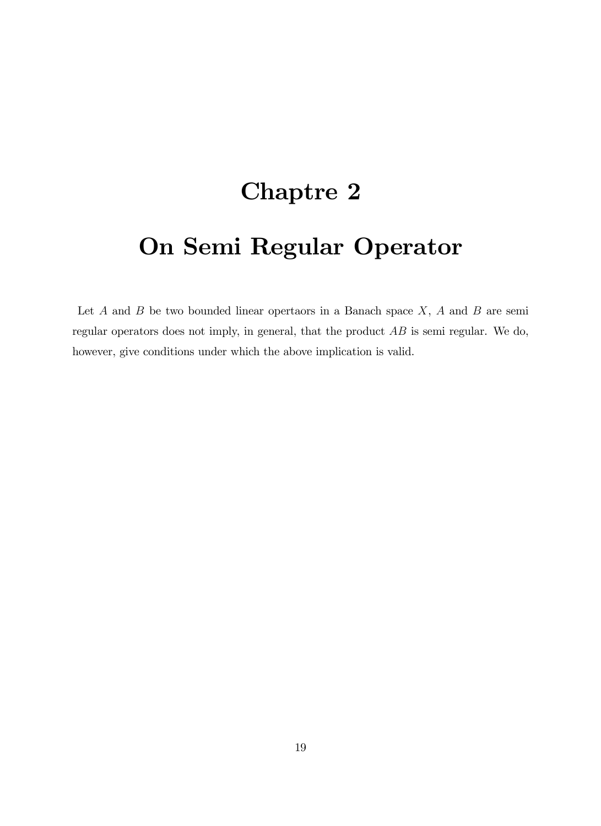## Chaptre 2

## On Semi Regular Operator

Let  $A$  and  $B$  be two bounded linear opertaors in a Banach space  $X$ ,  $A$  and  $B$  are semi regular operators does not imply, in general, that the product AB is semi regular. We do, however, give conditions under which the above implication is valid.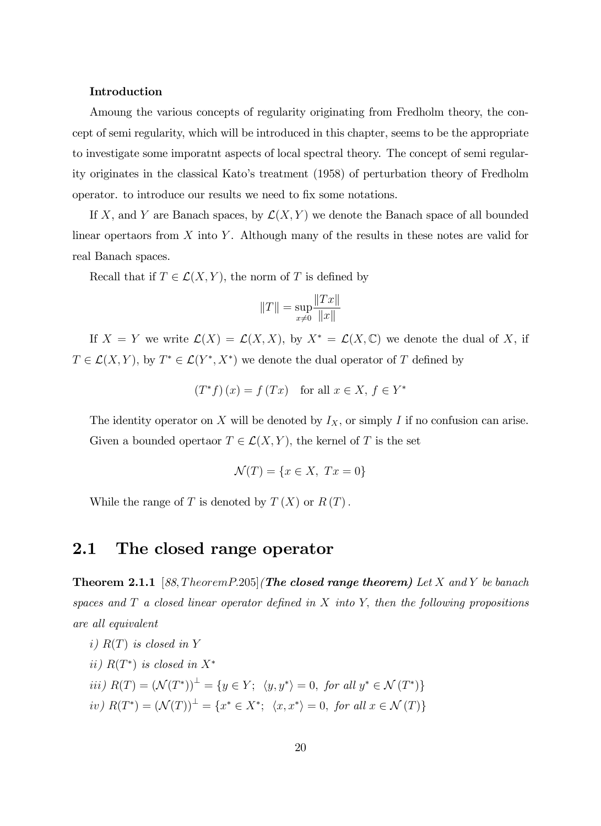#### Introduction

Amoung the various concepts of regularity originating from Fredholm theory, the concept of semi regularity, which will be introduced in this chapter, seems to be the appropriate to investigate some imporatnt aspects of local spectral theory. The concept of semi regularity originates in the classical Kato's treatment (1958) of perturbation theory of Fredholm operator, to introduce our results we need to fix some notations.

If X, and Y are Banach spaces, by  $\mathcal{L}(X, Y)$  we denote the Banach space of all bounded linear opertaors from  $X$  into  $Y$ . Although many of the results in these notes are valid for real Banach spaces.

Recall that if  $T \in \mathcal{L}(X, Y)$ , the norm of T is defined by

$$
||T|| = \sup_{x \neq 0} \frac{||Tx||}{||x||}
$$

If  $X = Y$  we write  $\mathcal{L}(X) = \mathcal{L}(X, X)$ , by  $X^* = \mathcal{L}(X, \mathbb{C})$  we denote the dual of X, if  $T \in \mathcal{L}(X, Y)$ , by  $T^* \in \mathcal{L}(Y^*, X^*)$  we denote the dual operator of T defined by

$$
(T^*f)(x) = f(Tx) \text{ for all } x \in X, f \in Y^*
$$

The identity operator on X will be denoted by  $I_X$ , or simply I if no confusion can arise. Given a bounded opertaor  $T \in \mathcal{L}(X, Y)$ , the kernel of T is the set

$$
\mathcal{N}(T) = \{x \in X, \ Tx = 0\}
$$

While the range of T is denoted by  $T(X)$  or  $R(T)$ .

### 2.1 The closed range operator

**Theorem 2.1.1** [88, Theorem P.205] (The closed range theorem) Let X and Y be banach spaces and  $T$  a closed linear operator defined in  $X$  into  $Y$ , then the following propositions are all equivalent

- i)  $R(T)$  is closed in Y
- ii)  $R(T^*)$  is closed in  $X^*$
- iii)  $R(T) = (\mathcal{N}(T^*))^{\perp} = \{y \in Y; \langle y, y^* \rangle = 0, \text{ for all } y^* \in \mathcal{N}(T^*)\}$
- iv)  $R(T^*) = (\mathcal{N}(T))^{\perp} = \{x^* \in X^*; \ \langle x, x^* \rangle = 0, \text{ for all } x \in \mathcal{N}(T)\}\$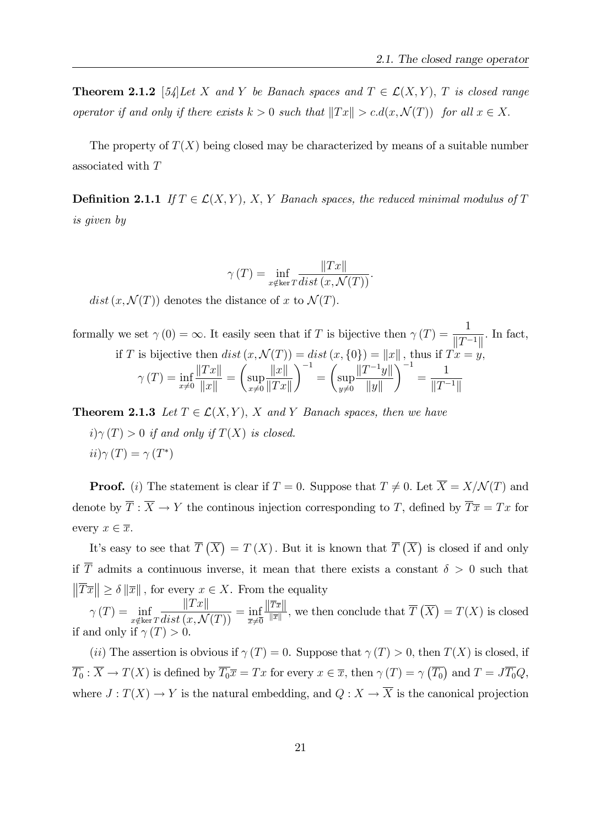**Theorem 2.1.2** [54] Let X and Y be Banach spaces and  $T \in \mathcal{L}(X, Y)$ , T is closed range operator if and only if there exists  $k > 0$  such that  $||Tx|| > c.d(x, \mathcal{N}(T))$  for all  $x \in X$ .

The property of  $T(X)$  being closed may be characterized by means of a suitable number associated with T

**Definition 2.1.1** If  $T \in \mathcal{L}(X, Y)$ , X, Y Banach spaces, the reduced minimal modulus of T is given by

$$
\gamma(T) = \inf_{x \notin \ker T} \frac{\|Tx\|}{dist(x, \mathcal{N}(T))}.
$$

 $dist(x, \mathcal{N}(T))$  denotes the distance of x to  $\mathcal{N}(T)$ .

formally we set  $\gamma(0) = \infty$ . It easily seen that if T is bijective then  $\gamma(T) = \frac{1}{\|T\|}$  $\frac{1}{\|T^{-1}\|}$ . In fact,

if *T* is bijective then 
$$
dist(x, \mathcal{N}(T)) = dist(x, \{0\}) = ||x||
$$
, thus if  $Tx = y$ ,  
\n
$$
\gamma(T) = \inf_{x \neq 0} \frac{||Tx||}{||x||} = \left(\sup_{x \neq 0} \frac{||x||}{||Tx||}\right)^{-1} = \left(\sup_{y \neq 0} \frac{||T^{-1}y||}{||y||}\right)^{-1} = \frac{1}{||T^{-1}||}
$$

**Theorem 2.1.3** Let  $T \in \mathcal{L}(X, Y)$ , X and Y Banach spaces, then we have

 $i)\gamma(T) > 0$  if and only if  $T(X)$  is closed.  $ii)\gamma(T)=\gamma(T^*)$ 

**Proof.** (i) The statement is clear if  $T = 0$ . Suppose that  $T \neq 0$ . Let  $\overline{X} = X/N(T)$  and denote by  $\overline{T}$ :  $\overline{X} \to Y$  the continous injection corresponding to T, defined by  $\overline{T} \overline{x} = Tx$  for every  $x \in \overline{x}$ .

It's easy to see that  $\overline{T}(\overline{X}) = T(X)$ . But it is known that  $\overline{T}(\overline{X})$  is closed if and only if  $\overline{T}$  admits a continuous inverse, it mean that there exists a constant  $\delta > 0$  such that  $\|\overline{T}\overline{x}\| \ge \delta \|\overline{x}\|$ , for every  $x \in X$ . From the equality

 $\gamma\left(T\right) = \inf$  $x \notin \ker T$  $\|Tx\|$  $\frac{\frac{||\mathcal{L} \times \mathcal{L}_||}{distr(x,\mathcal{N}(T))} = \inf_{\overline{x} \neq \overline{0}}$  $\frac{||T\overline{x}||}{||T\overline{x}||}$  $\frac{Tr\|}{\|\overline{x}\|}$ , we then conclude that  $\overline{T}(\overline{X}) = T(X)$  is closed if and only if  $\gamma(T) > 0$ .

(*ii*) The assertion is obvious if  $\gamma(T) = 0$ . Suppose that  $\gamma(T) > 0$ , then  $T(X)$  is closed, if  $\overline{T_0}$ :  $\overline{X} \to T(X)$  is defined by  $\overline{T_0} \overline{x} = Tx$  for every  $x \in \overline{x}$ , then  $\gamma(T) = \gamma(\overline{T_0})$  and  $T = J\overline{T_0}Q$ , where  $J: T(X) \to Y$  is the natural embedding, and  $Q: X \to \overline{X}$  is the canonical projection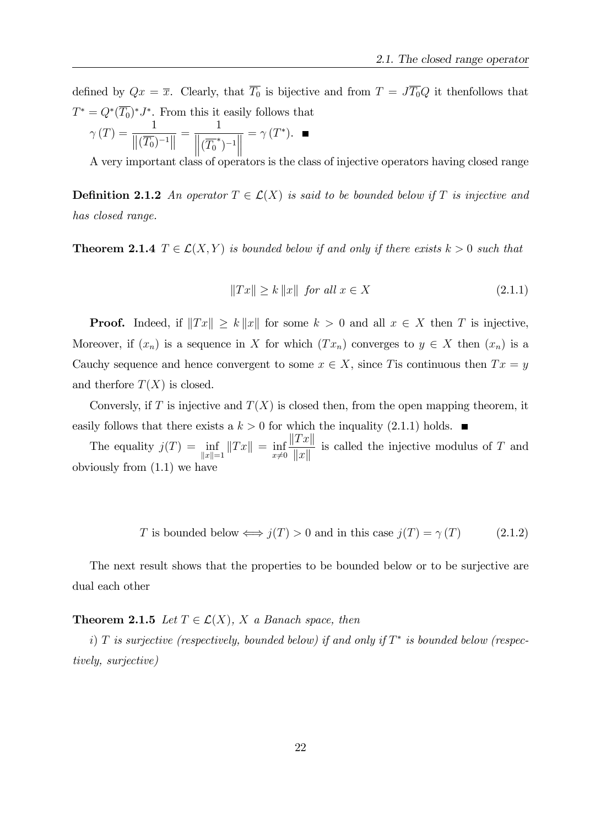defined by  $Qx = \overline{x}$ . Clearly, that  $\overline{T_0}$  is bijective and from  $T = J\overline{T_0}Q$  it thenfollows that  $T^* = Q^*(T_0)^* J^*$ . From this it easily follows that

$$
\gamma(T) = \frac{1}{\left\|(\overline{T_0})^{-1}\right\|} = \frac{1}{\left\|(\overline{T_0}^*)^{-1}\right\|} = \gamma(T^*). \quad \blacksquare
$$

A very important class of operators is the class of injective operators having closed range

**Definition 2.1.2** An operator  $T \in \mathcal{L}(X)$  is said to be bounded below if T is injective and has closed range.

**Theorem 2.1.4**  $T \in \mathcal{L}(X, Y)$  is bounded below if and only if there exists  $k > 0$  such that

$$
||Tx|| \ge k ||x|| \quad \text{for all } x \in X \tag{2.1.1}
$$

**Proof.** Indeed, if  $||Tx|| \ge k||x||$  for some  $k > 0$  and all  $x \in X$  then T is injective, Moreover, if  $(x_n)$  is a sequence in X for which  $(Tx_n)$  converges to  $y \in X$  then  $(x_n)$  is a Cauchy sequence and hence convergent to some  $x \in X$ , since T is continuous then  $Tx = y$ and therfore  $T(X)$  is closed.

Conversly, if T is injective and  $T(X)$  is closed then, from the open mapping theorem, it easily follows that there exists a  $k > 0$  for which the inquality (2.1.1) holds.

The equality  $j(T) = \inf$  $\inf_{\|x\|=1} \|Tx\| = \inf_{x\neq 0}$  $\Vert Tx \Vert$  $\Vert x \Vert$ is called the injective modulus of T and obviously from (1.1) we have

$$
T \text{ is bounded below} \Longleftrightarrow j(T) > 0 \text{ and in this case } j(T) = \gamma(T) \tag{2.1.2}
$$

The next result shows that the properties to be bounded below or to be surjective are dual each other

#### **Theorem 2.1.5** Let  $T \in \mathcal{L}(X)$ , X a Banach space, then

i) T is surjective (respectively, bounded below) if and only if  $T^*$  is bounded below (respectively, surjective)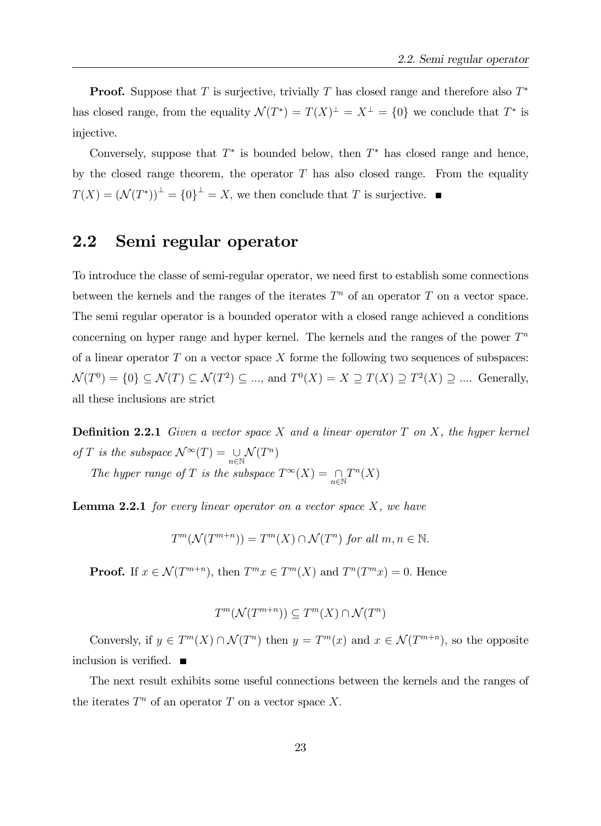**Proof.** Suppose that T is surjective, trivially T has closed range and therefore also  $T^*$ has closed range, from the equality  $\mathcal{N}(T^*) = T(X)^{\perp} = X^{\perp} = \{0\}$  we conclude that  $T^*$  is injective.

Conversely, suppose that  $T^*$  is bounded below, then  $T^*$  has closed range and hence, by the closed range theorem, the operator  $T$  has also closed range. From the equality  $T(X) = (\mathcal{N}(T^*))^{\perp} = \{0\}^{\perp} = X$ , we then conclude that T is surjective.

### 2.2 Semi regular operator

To introduce the classe of semi-regular operator, we need first to establish some connections between the kernels and the ranges of the iterates  $T<sup>n</sup>$  of an operator T on a vector space. The semi regular operator is a bounded operator with a closed range achieved a conditions concerning on hyper range and hyper kernel. The kernels and the ranges of the power  $T<sup>n</sup>$ of a linear operator  $T$  on a vector space  $X$  forme the following two sequences of subspaces:  $\mathcal{N}(T^0) = \{0\} \subseteq \mathcal{N}(T) \subseteq \mathcal{N}(T^2) \subseteq \dots$ , and  $T^0(X) = X \supseteq T(X) \supseteq T^2(X) \supseteq \dots$ . Generally, all these inclusions are strict

**Definition 2.2.1** Given a vector space X and a linear operator  $T$  on  $X$ , the hyper kernel of T is the subspace  $\mathcal{N}^{\infty}(T) = \bigcup_{n \in \mathbb{N}} \mathcal{N}(T^n)$ 

The hyper range of T is the subspace  $T^{\infty}(X) = \bigcap_{n \in \mathbb{N}}$  $T^n(X)$ 

**Lemma 2.2.1** for every linear operator on a vector space  $X$ , we have

$$
T^m(\mathcal{N}(T^{m+n})) = T^m(X) \cap \mathcal{N}(T^n) \text{ for all } m, n \in \mathbb{N}.
$$

**Proof.** If  $x \in \mathcal{N}(T^{m+n})$ , then  $T^m x \in T^m(X)$  and  $T^n(T^m x) = 0$ . Hence

$$
T^m(\mathcal{N}(T^{m+n})) \subseteq T^m(X) \cap \mathcal{N}(T^n)
$$

Conversly, if  $y \in T^m(X) \cap \mathcal{N}(T^n)$  then  $y = T^m(x)$  and  $x \in \mathcal{N}(T^{m+n})$ , so the opposite inclusion is verified.  $\blacksquare$ 

The next result exhibits some useful connections between the kernels and the ranges of the iterates  $T^n$  of an operator T on a vector space X.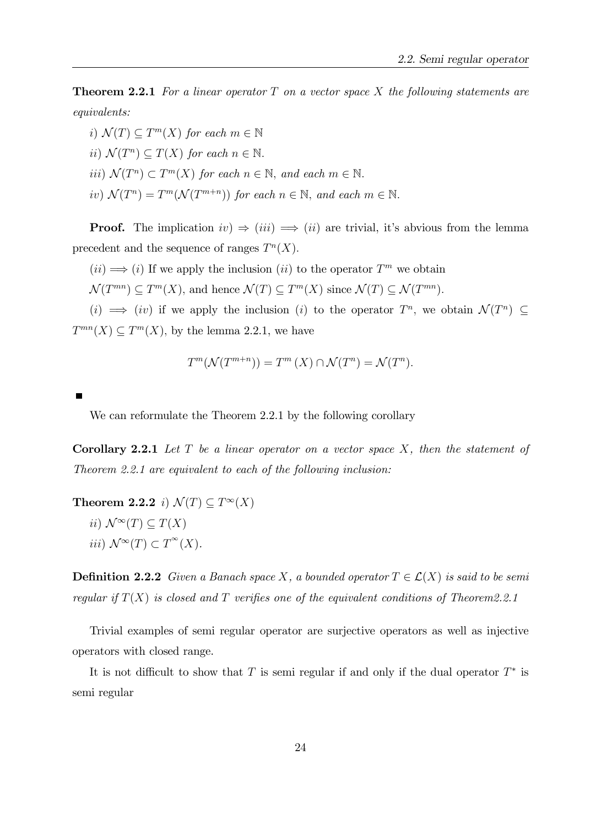**Theorem 2.2.1** For a linear operator  $T$  on a vector space  $X$  the following statements are equivalents:

i)  $\mathcal{N}(T) \subseteq T^m(X)$  for each  $m \in \mathbb{N}$ ii)  $\mathcal{N}(T^n) \subseteq T(X)$  for each  $n \in \mathbb{N}$ . *iii*)  $\mathcal{N}(T^n) \subset T^m(X)$  for each  $n \in \mathbb{N}$ , and each  $m \in \mathbb{N}$ . iv)  $\mathcal{N}(T^n) = T^m(\mathcal{N}(T^{m+n}))$  for each  $n \in \mathbb{N}$ , and each  $m \in \mathbb{N}$ .

**Proof.** The implication  $iv) \Rightarrow (iii) \Rightarrow (ii)$  are trivial, it's abvious from the lemma precedent and the sequence of ranges  $T^n(X)$ .

 $(ii) \Longrightarrow (i)$  If we apply the inclusion  $(ii)$  to the operator  $T^m$  we obtain

 $\mathcal{N}(T^{mn}) \subseteq T^m(X)$ , and hence  $\mathcal{N}(T) \subseteq T^m(X)$  since  $\mathcal{N}(T) \subseteq \mathcal{N}(T^{mn})$ .

 $(i) \implies (iv)$  if we apply the inclusion  $(i)$  to the operator  $T^n$ , we obtain  $\mathcal{N}(T^n) \subseteq$  $T^{mn}(X) \subseteq T^m(X)$ , by the lemma 2.2.1, we have

$$
T^m(\mathcal{N}(T^{m+n})) = T^m(X) \cap \mathcal{N}(T^n) = \mathcal{N}(T^n).
$$

We can reformulate the Theorem 2.2.1 by the following corollary

**Corollary 2.2.1** Let  $T$  be a linear operator on a vector space  $X$ , then the statement of Theorem 2.2.1 are equivalent to each of the following inclusion:

**Theorem 2.2.2** *i*)  $\mathcal{N}(T) \subseteq T^{\infty}(X)$ ii)  $\mathcal{N}^\infty(T) \subset T(X)$ iii)  $\mathcal{N}^{\infty}(T) \subset T^{\infty}(X)$ .

**Definition 2.2.2** Given a Banach space X, a bounded operator  $T \in \mathcal{L}(X)$  is said to be semi regular if  $T(X)$  is closed and T verifies one of the equivalent conditions of Theorem2.2.1

Trivial examples of semi regular operator are surjective operators as well as injective operators with closed range.

It is not difficult to show that T is semi-regular if and only if the dual operator  $T^*$  is semi regular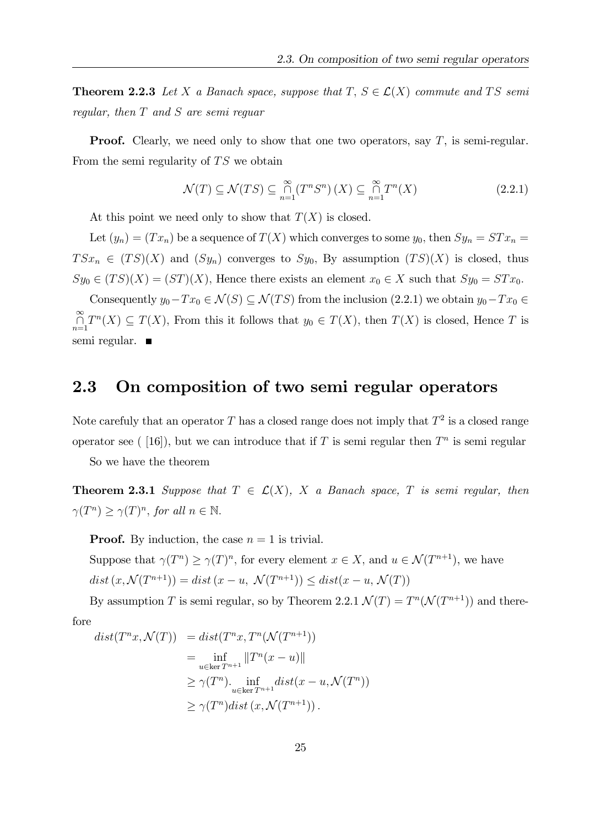**Theorem 2.2.3** Let X a Banach space, suppose that  $T, S \in \mathcal{L}(X)$  commute and TS semi regular, then T and S are semi reguar

**Proof.** Clearly, we need only to show that one two operators, say  $T$ , is semi-regular. From the semi regularity of  $TS$  we obtain

$$
\mathcal{N}(T) \subseteq \mathcal{N}(TS) \subseteq \bigcap_{n=1}^{\infty} (T^n S^n) \left( X \right) \subseteq \bigcap_{n=1}^{\infty} T^n(X) \tag{2.2.1}
$$

At this point we need only to show that  $T(X)$  is closed.

Let  $(y_n) = (Tx_n)$  be a sequence of  $T(X)$  which converges to some  $y_0$ , then  $Sy_n = STx_n =$  $T S x_n \in (TS)(X)$  and  $(Sy_n)$  converges to  $Sy_0$ , By assumption  $(T S)(X)$  is closed, thus  $Sy_0 \in (TS)(X) = (ST)(X)$ , Hence there exists an element  $x_0 \in X$  such that  $Sy_0 = STx_0$ .

Consequently  $y_0-Tx_0\in \mathcal{N}(S)\subseteq \mathcal{N}(TS)$  from the inclusion  $(2.2.1)$  we obtain  $y_0-Tx_0\in \mathcal{N}(T)$  $\bigcap_{n=1}^{\infty} T^n(X) \subseteq T(X)$ , From this it follows that  $y_0 \in T(X)$ , then  $T(X)$  is closed, Hence T is semi regular.

### 2.3 On composition of two semi regular operators

Note carefuly that an operator T has a closed range does not imply that  $T^2$  is a closed range operator see ([16]), but we can introduce that if T is semi regular then  $T<sup>n</sup>$  is semi regular

So we have the theorem

**Theorem 2.3.1** Suppose that  $T \in \mathcal{L}(X)$ , X a Banach space, T is semi regular, then  $\gamma(T^n) \geq \gamma(T)^n$ , for all  $n \in \mathbb{N}$ .

**Proof.** By induction, the case  $n = 1$  is trivial.

Suppose that  $\gamma(T^n) \geq \gamma(T)^n$ , for every element  $x \in X$ , and  $u \in \mathcal{N}(T^{n+1})$ , we have  $dist(x, \mathcal{N}(T^{n+1})) = dist(x - u, \ \mathcal{N}(T^{n+1})) \leq dist(x - u, \ \mathcal{N}(T))$ 

By assumption T is semi regular, so by Theorem 2.2.1  $\mathcal{N}(T) = T^n(\mathcal{N}(T^{n+1}))$  and there- $\mathbf{r}$ <sub>c</sub>

$$
^{\mathrm{10Te}}
$$

$$
dist(T^n x, \mathcal{N}(T)) = dist(T^n x, T^n(\mathcal{N}(T^{n+1}))
$$
  
\n
$$
= \inf_{u \in \ker T^{n+1}} ||T^n(x - u)||
$$
  
\n
$$
\geq \gamma(T^n) \cdot \inf_{u \in \ker T^{n+1}} dist(x - u, \mathcal{N}(T^n))
$$
  
\n
$$
\geq \gamma(T^n) dist(x, \mathcal{N}(T^{n+1})).
$$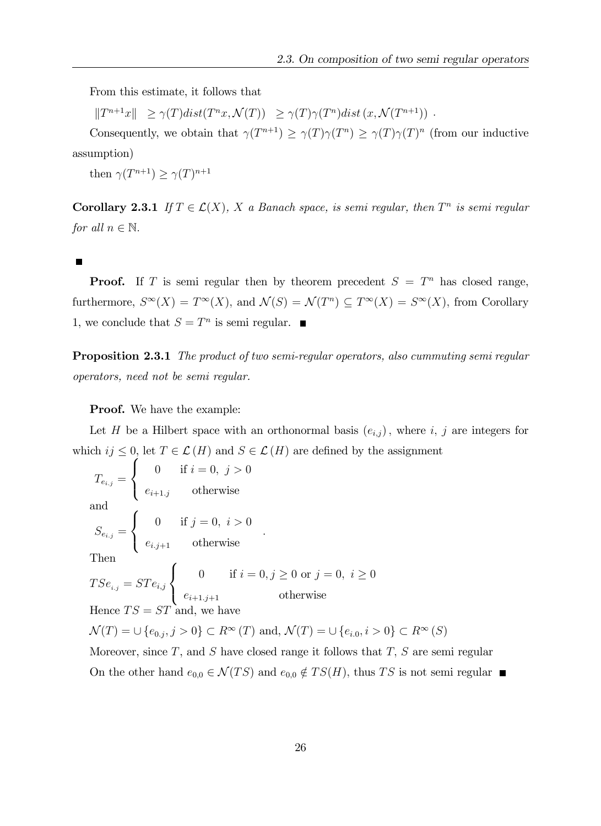From this estimate, it follows that

 $||T^{n+1}x|| \geq \gamma(T)dist(T^n x, \mathcal{N}(T)) \geq \gamma(T)\gamma(T^n)dist(x, \mathcal{N}(T^{n+1}))$ .

Consequently, we obtain that  $\gamma(T^{n+1}) \geq \gamma(T)\gamma(T^n) \geq \gamma(T)\gamma(T)^n$  (from our inductive assumption)

then  $\gamma(T^{n+1}) \geq \gamma(T)^{n+1}$ 

**Corollary 2.3.1** If  $T \in \mathcal{L}(X)$ , X a Banach space, is semi regular, then  $T^n$  is semi regular for all  $n \in \mathbb{N}$ .

**Proof.** If T is semi regular then by theorem precedent  $S = T<sup>n</sup>$  has closed range, furthermore,  $S^{\infty}(X) = T^{\infty}(X)$ , and  $\mathcal{N}(S) = \mathcal{N}(T^n) \subseteq T^{\infty}(X) = S^{\infty}(X)$ , from Corollary 1, we conclude that  $S = T^n$  is semi regular.

**Proposition 2.3.1** The product of two semi-regular operators, also cummuting semi regular operators, need not be semi regular.

Proof. We have the example:

Let H be a Hilbert space with an orthonormal basis  $(e_{i,j})$ , where i, j are integers for which  $ij \leq 0$ , let  $T \in \mathcal{L}(H)$  and  $S \in \mathcal{L}(H)$  are defined by the assignment

$$
T_{e_{i,j}} = \begin{cases} 0 & \text{if } i = 0, j > 0 \\ e_{i+1,j} & \text{otherwise} \end{cases}
$$
  
and  

$$
S_{e_{i,j}} = \begin{cases} 0 & \text{if } j = 0, i > 0 \\ e_{i,j+1} & \text{otherwise} \end{cases}
$$
  
Then  

$$
TSe_{i,j} = STe_{i,j} \begin{cases} 0 & \text{if } i = 0, j \ge 0 \text{ or } j = 0, i \ge 0 \\ e_{i+1,j+1} & \text{otherwise} \end{cases}
$$
  
Hence  $TS = ST$  and, we have

 $\mathcal{N}(T) = \cup \{e_{0,j}, j > 0\} \subset R^{\infty}(T)$  and,  $\mathcal{N}(T) = \cup \{e_{i,0}, i > 0\} \subset R^{\infty}(S)$ 

Moreover, since  $T$ , and  $S$  have closed range it follows that  $T$ ,  $S$  are semi regular On the other hand  $e_{0,0} \in \mathcal{N}(TS)$  and  $e_{0,0} \notin TS(H)$ , thus TS is not semi regular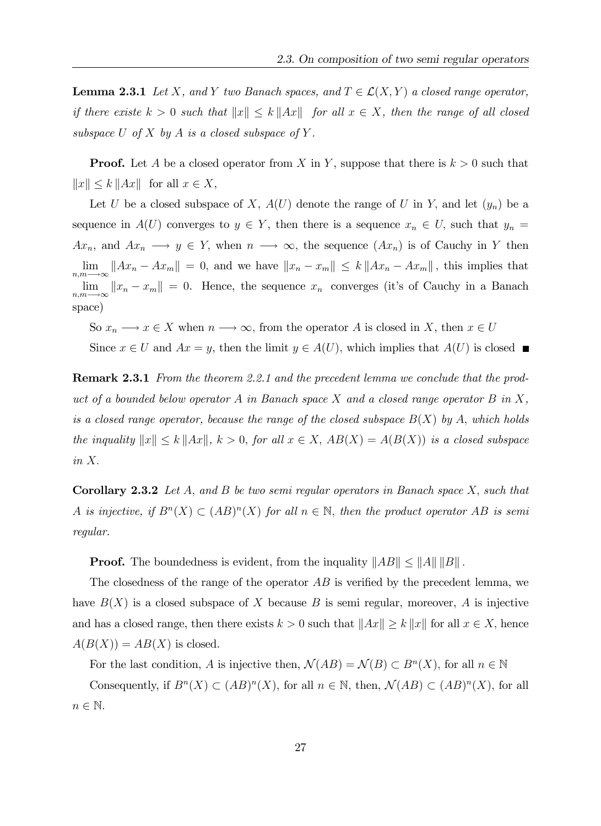**Lemma 2.3.1** Let X, and Y two Banach spaces, and  $T \in \mathcal{L}(X, Y)$  a closed range operator, if there existe  $k > 0$  such that  $||x|| \leq k ||Ax||$  for all  $x \in X$ , then the range of all closed subspace U of X by A is a closed subspace of Y.

**Proof.** Let A be a closed operator from X in Y, suppose that there is  $k > 0$  such that  $||x|| \le k ||Ax||$  for all  $x \in X$ ,

Let U be a closed subspace of X,  $A(U)$  denote the range of U in Y, and let  $(y_n)$  be a sequence in  $A(U)$  converges to  $y \in Y$ , then there is a sequence  $x_n \in U$ , such that  $y_n =$  $Ax_n$ , and  $Ax_n \longrightarrow y \in Y$ , when  $n \longrightarrow \infty$ , the sequence  $(Ax_n)$  is of Cauchy in Y then lim  $\lim_{n,m\to\infty}||Ax_n - Ax_m|| = 0$ , and we have  $||x_n - x_m|| \le k||Ax_n - Ax_m||$ , this implies that lim  $\lim_{n,m\to\infty}||x_n-x_m||=0.$  Hence, the sequence  $x_n$  converges (it's of Cauchy in a Banach space)

So  $x_n \longrightarrow x \in X$  when  $n \longrightarrow \infty$ , from the operator A is closed in X, then  $x \in U$ Since  $x \in U$  and  $Ax = y$ , then the limit  $y \in A(U)$ , which implies that  $A(U)$  is closed

**Remark 2.3.1** From the theorem 2.2.1 and the precedent lemma we conclude that the product of a bounded below operator A in Banach space X and a closed range operator B in X, is a closed range operator, because the range of the closed subspace  $B(X)$  by A, which holds the inquality  $||x|| \leq k ||Ax||$ ,  $k > 0$ , for all  $x \in X$ ,  $AB(X) = A(B(X))$  is a closed subspace in X:

**Corollary 2.3.2** Let A, and B be two semi regular operators in Banach space X, such that A is injective, if  $B<sup>n</sup>(X) \subset (AB)<sup>n</sup>(X)$  for all  $n \in \mathbb{N}$ , then the product operator AB is semi regular.

**Proof.** The boundedness is evident, from the inquality  $||AB|| \le ||A|| ||B||$ .

The closedness of the range of the operator  $AB$  is verified by the precedent lemma, we have  $B(X)$  is a closed subspace of X because B is semi regular, moreover, A is injective and has a closed range, then there exists  $k > 0$  such that  $||Ax|| \ge k ||x||$  for all  $x \in X$ , hence  $A(B(X)) = AB(X)$  is closed.

For the last condition, A is injective then,  $\mathcal{N}(AB) = \mathcal{N}(B) \subset B^{n}(X)$ , for all  $n \in \mathbb{N}$ 

Consequently, if  $B^{n}(X) \subset (AB)^{n}(X)$ , for all  $n \in \mathbb{N}$ , then,  $\mathcal{N}(AB) \subset (AB)^{n}(X)$ , for all  $n \in \mathbb{N}$ .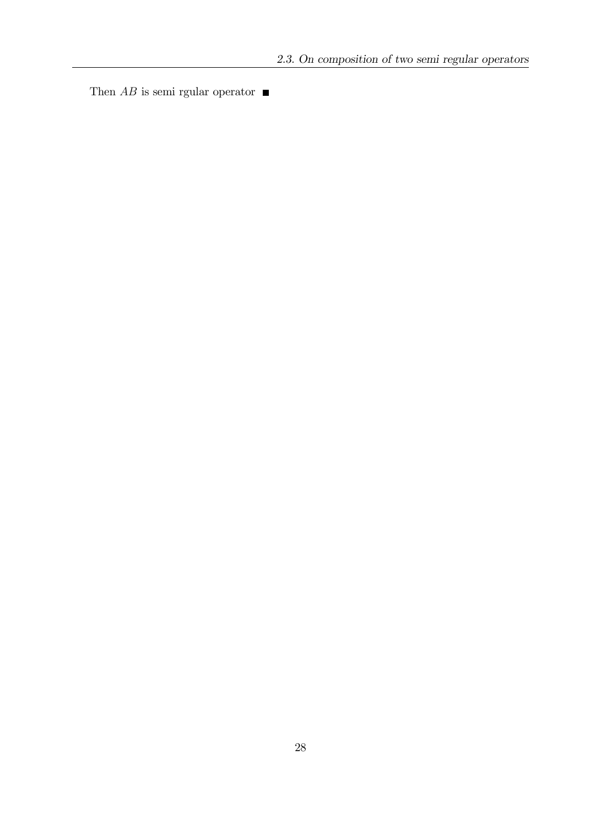Then  $AB$  is semi rgular operator  $\blacksquare$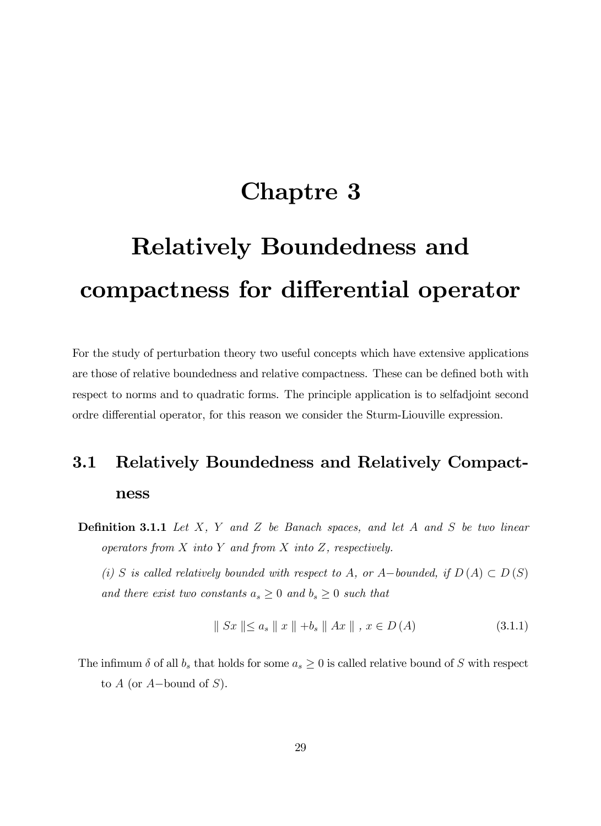## Chaptre 3

# Relatively Boundedness and compactness for differential operator

For the study of perturbation theory two useful concepts which have extensive applications are those of relative boundedness and relative compactness. These can be defined both with respect to norms and to quadratic forms. The principle application is to selfadjoint second ordre differential operator, for this reason we consider the Sturm-Liouville expression.

## 3.1 Relatively Boundedness and Relatively Compactness

**Definition 3.1.1** Let  $X$ ,  $Y$  and  $Z$  be Banach spaces, and let  $A$  and  $S$  be two linear operators from  $X$  into  $Y$  and from  $X$  into  $Z$ , respectively.

(i) S is called relatively bounded with respect to A, or A-bounded, if  $D(A) \subset D(S)$ and there exist two constants  $a_s \geq 0$  and  $b_s \geq 0$  such that

$$
\| Sx \| \le a_s \| x \| + b_s \| Ax \|, x \in D(A)
$$
\n(3.1.1)

The infimum  $\delta$  of all  $b_s$  that holds for some  $a_s \geq 0$  is called relative bound of S with respect to  $A$  (or  $A$ -bound of  $S$ ).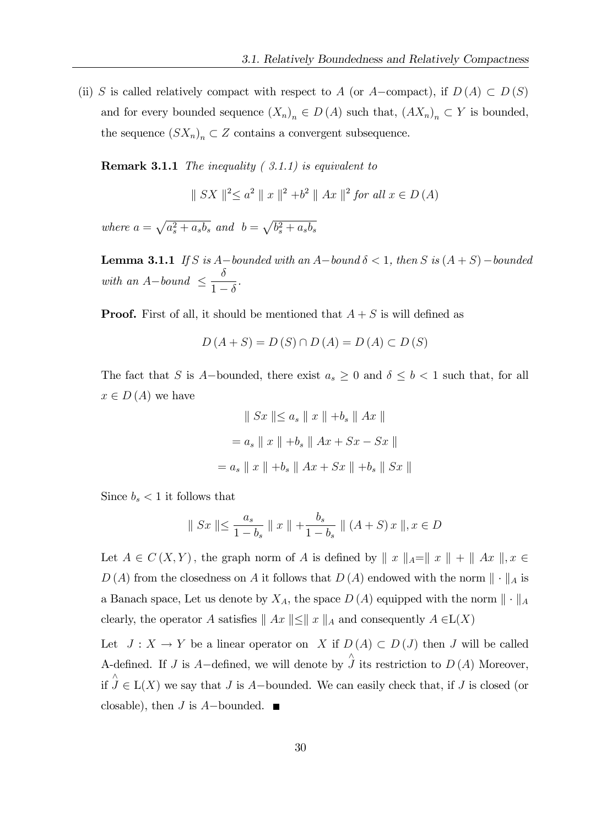(ii) S is called relatively compact with respect to A (or A-compact), if  $D(A) \subset D(S)$ and for every bounded sequence  $(X_n)_n \in D(A)$  such that,  $(AX_n)_n \subset Y$  is bounded, the sequence  $(SX_n)_n \subset Z$  contains a convergent subsequence.

**Remark 3.1.1** The inequality  $(3.1.1)$  is equivalent to

 $|| SX ||^2 \le a^2 || x ||^2 + b^2 || Ax ||^2$  for all  $x \in D(A)$ 

where  $a = \sqrt{a_s^2 + a_s b_s}$  and  $b = \sqrt{b_s^2 + a_s b_s}$ 

**Lemma 3.1.1** If S is A-bounded with an A-bound  $\delta < 1$ , then S is  $(A + S)$ -bounded with an  $A$ -bound  $\leq$  $\delta$  $1-\delta$ .

**Proof.** First of all, it should be mentioned that  $A + S$  is will defined as

$$
D(A+S) = D(S) \cap D(A) = D(A) \subset D(S)
$$

The fact that S is A-bounded, there exist  $a_s \geq 0$  and  $\delta \leq b < 1$  such that, for all  $x \in D(A)$  we have

$$
\| Sx \| \le a_s \| x \| + b_s \| Ax \|
$$
  
=  $a_s \| x \| + b_s \| Ax + Sx - Sx \|$   
=  $a_s \| x \| + b_s \| Ax + Sx \| + b_s \| Sx \|$ 

Since  $b_s < 1$  it follows that

$$
\| Sx \| \le \frac{a_s}{1 - b_s} \| x \| + \frac{b_s}{1 - b_s} \| (A + S) x \|, x \in D
$$

Let  $A \in C(X, Y)$ , the graph norm of A is defined by  $\|x\|_A=\|x\| + \|Ax\|$ ,  $x \in$  $D(A)$  from the closedness on A it follows that  $D(A)$  endowed with the norm  $\|\cdot\|_A$  is a Banach space, Let us denote by  $X_A$ , the space  $D(A)$  equipped with the norm  $\|\cdot\|_A$ clearly, the operator A satisfies  $|| Ax || \le || x ||_A$  and consequently  $A \in L(X)$ 

Let  $J: X \to Y$  be a linear operator on X if  $D(A) \subset D(J)$  then J will be called A-defined. If J is A-defined, we will denote by  $\hat{J}$  its restriction to  $D(A)$  Moreover, if  $J \in L(X)$  we say that J is A-bounded. We can easily check that, if J is closed (or closable), then *J* is *A*-bounded.  $\blacksquare$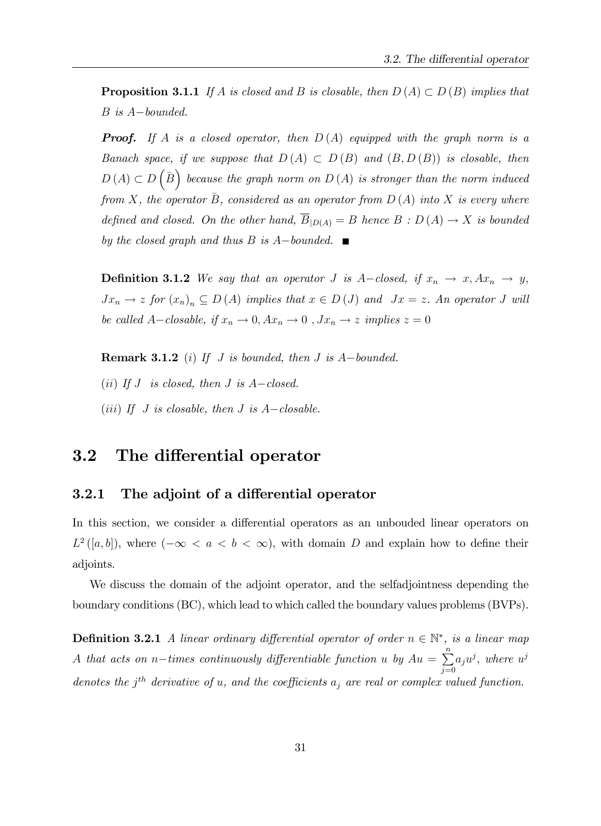**Proposition 3.1.1** If A is closed and B is closable, then  $D(A) \subset D(B)$  implies that  $B$  is  $A-bounded$ .

**Proof.** If A is a closed operator, then  $D(A)$  equipped with the graph norm is a Banach space, if we suppose that  $D(A) \subset D(B)$  and  $(B, D(B))$  is closable, then  $D(A) \subset D$  $\overline{B}$  because the graph norm on  $D(A)$  is stronger than the norm induced from X, the operator B, considered as an operator from  $D(A)$  into X is every where defined and closed. On the other hand,  $\overline{B}_{|D(A)} = B$  hence  $B : D(A) \rightarrow X$  is bounded by the closed graph and thus B is  $A$ -bounded.

**Definition 3.1.2** We say that an operator J is A-closed, if  $x_n \to x$ ,  $Ax_n \to y$ ,  $Jx_n \to z$  for  $(x_n)_n \subseteq D(A)$  implies that  $x \in D(J)$  and  $Jx = z$ . An operator J will be called A-closable, if  $x_n \to 0$ ,  $Ax_n \to 0$ ,  $Jx_n \to z$  implies  $z = 0$ 

**Remark 3.1.2** (i) If J is bounded, then J is  $A$ -bounded. (ii) If  $J$  is closed, then  $J$  is  $A-closed$ . (iii) If J is closable, then J is  $A-closable$ .

# 3.2 The differential operator

### 3.2.1 The adjoint of a differential operator

In this section, we consider a differential operators as an unbouded linear operators on  $L^2([a, b])$ , where  $(-\infty < a < b < \infty)$ , with domain D and explain how to define their adjoints.

We discuss the domain of the adjoint operator, and the selfadjointness depending the boundary conditions (BC), which lead to which called the boundary values problems (BVPs).

**Definition 3.2.1** A linear ordinary differential operator of order  $n \in \mathbb{N}^*$ , is a linear map A that acts on n-times continuously differentiable function u by  $Au = \sum_{n=0}^{n}$  $j=0$  $a_ju^j,$  where  $u^j$ denotes the  $j<sup>th</sup>$  derivative of u, and the coefficients  $a_j$  are real or complex valued function.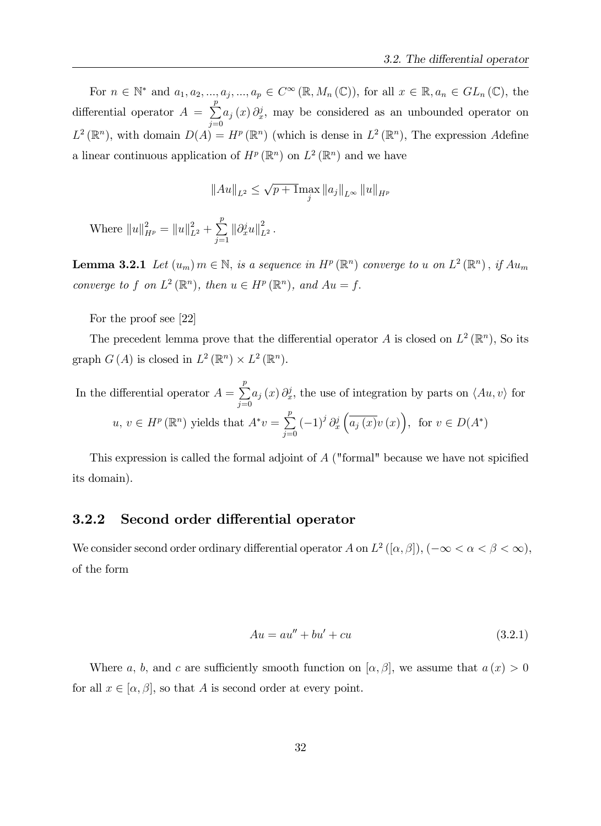For  $n \in \mathbb{N}^*$  and  $a_1, a_2, ..., a_j, ..., a_p \in C^{\infty}(\mathbb{R}, M_n(\mathbb{C}))$ , for all  $x \in \mathbb{R}, a_n \in GL_n(\mathbb{C})$ , the differential operator  $A = \sum_{n=1}^{p} A_n$  $j=0$  $a_j(x)\partial_x^j$ , may be considered as an unbounded operator on  $L^2(\mathbb{R}^n)$ , with domain  $D(A) = H^p(\mathbb{R}^n)$  (which is dense in  $L^2(\mathbb{R}^n)$ , The expression Adefine a linear continuous application of  $H^p(\mathbb{R}^n)$  on  $L^2(\mathbb{R}^n)$  and we have

$$
||Au||_{L^2} \le \sqrt{p+1} \max_j ||a_j||_{L^\infty} ||u||_{H^p}
$$

Where  $||u||_{H^p}^2 = ||u||_{L^2}^2 + \sum_{i=1}^p$  $\sum_{j=1}^{P} \|\partial_x^j u\|_{L^2}^2$ .

**Lemma 3.2.1** Let  $(u_m)$   $m \in \mathbb{N}$ , is a sequence in  $H^p(\mathbb{R}^n)$  converge to u on  $L^2(\mathbb{R}^n)$ , if  $Au_m$ converge to f on  $L^2(\mathbb{R}^n)$ , then  $u \in H^p(\mathbb{R}^n)$ , and  $Au = f$ .

For the proof see [22]

The precedent lemma prove that the differential operator A is closed on  $L^2(\mathbb{R}^n)$ , So its graph  $G(A)$  is closed in  $L^2(\mathbb{R}^n) \times L^2(\mathbb{R}^n)$ .

In the differential operator 
$$
A = \sum_{j=0}^{p} a_j(x) \partial_x^j
$$
, the use of integration by parts on  $\langle Au, v \rangle$  for   
  $u, v \in H^p(\mathbb{R}^n)$  yields that  $A^*v = \sum_{j=0}^{p} (-1)^j \partial_x^j \left( \overline{a_j(x)} v(x) \right)$ , for  $v \in D(A^*)$ 

This expression is called the formal adjoint of  $A$  ("formal" because we have not spicified its domain).

#### 3.2.2 Second order differential operator

We consider second order ordinary differential operator  $A$  on  $L^2([\alpha,\beta]), (-\infty < \alpha < \beta < \infty)$ , of the form

$$
Au = au'' + bu' + cu \tag{3.2.1}
$$

Where a, b, and c are sufficiently smooth function on  $[\alpha, \beta]$ , we assume that  $a(x) > 0$ for all  $x \in [\alpha, \beta]$ , so that A is second order at every point.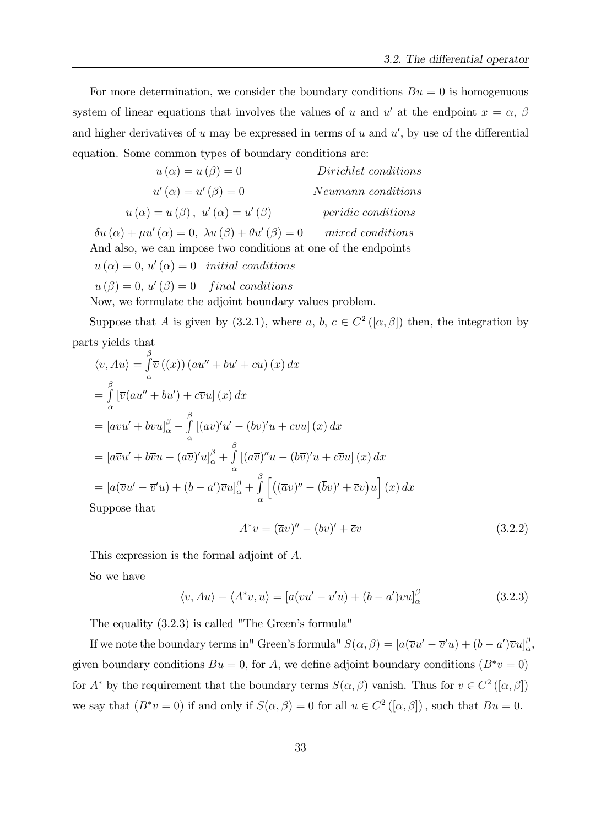For more determination, we consider the boundary conditions  $Bu = 0$  is homogenuous system of linear equations that involves the values of u and u' at the endpoint  $x = \alpha$ ,  $\beta$ and higher derivatives of u may be expressed in terms of u and  $u'$ , by use of the differential equation. Some common types of boundary conditions are:

| $u(\alpha) = u(\beta) = 0$                     | Dirichlet conditions      |
|------------------------------------------------|---------------------------|
| $u'(\alpha) = u'(\beta) = 0$                   | Neumann conditions        |
| $u(\alpha) = u(\beta), u'(\alpha) = u'(\beta)$ | <i>peridic conditions</i> |
|                                                |                           |

 $\delta u\left(\alpha\right)+\mu u^{\prime}\left(\alpha\right)=0, \ \lambda u\left(\beta\right)+\theta u^{\prime}$  $mixed\ conditions$ And also, we can impose two conditions at one of the endpoints  $u(\alpha) = 0, u'(\alpha) = 0$  initial conditions  $u(\beta) = 0, u'(\beta) = 0$  final conditions

Now, we formulate the adjoint boundary values problem.

Suppose that A is given by (3.2.1), where a, b,  $c \in C^2([\alpha, \beta])$  then, the integration by parts yields that

$$
\langle v, Au \rangle = \int_{\alpha}^{\beta} \overline{v} \left( (x) \right) (au'' + bu' + cu) (x) dx
$$
  
\n
$$
= \int_{\alpha}^{\beta} \left[ \overline{v} (au'' + bu') + c\overline{v}u \right] (x) dx
$$
  
\n
$$
= \left[ a\overline{v}u' + b\overline{v}u \right]_{\alpha}^{\beta} - \int_{\alpha}^{\beta} \left[ (a\overline{v})'u' - (b\overline{v})'u + c\overline{v}u \right] (x) dx
$$
  
\n
$$
= \left[ a\overline{v}u' + b\overline{v}u - (a\overline{v})'u \right]_{\alpha}^{\beta} + \int_{\alpha}^{\beta} \left[ (a\overline{v})''u - (b\overline{v})'u + c\overline{v}u \right] (x) dx
$$
  
\n
$$
= \left[ a(\overline{v}u' - \overline{v}'u) + (b - a')\overline{v}u \right]_{\alpha}^{\beta} + \int_{\alpha}^{\beta} \left[ \overline{((\overline{a}v)'' - (\overline{b}v)' + \overline{c}v)}u \right] (x) dx
$$
  
\nSuppose that

$$
A^*v = (\overline{a}v)'' - (\overline{b}v)' + \overline{c}v \tag{3.2.2}
$$

This expression is the formal adjoint of A.

So we have

$$
\langle v, Au \rangle - \langle A^* v, u \rangle = [a(\overline{v}u' - \overline{v}'u) + (b - a')\overline{v}u]_{\alpha}^{\beta}
$$
\n(3.2.3)

The equality  $(3.2.3)$  is called "The Green's formula"

If we note the boundary terms in" Green's formula"  $S(\alpha, \beta) = [a(\overline{v}u' - \overline{v}'u) + (b - a')\overline{v}u]_{\alpha}^{\beta}$  $_{\alpha}^{\triangleright},$ given boundary conditions  $Bu = 0$ , for A, we define adjoint boundary conditions  $(B^*v = 0)$ for  $A^*$  by the requirement that the boundary terms  $S(\alpha, \beta)$  vanish. Thus for  $v \in C^2([\alpha, \beta])$ we say that  $(B^*v = 0)$  if and only if  $S(\alpha, \beta) = 0$  for all  $u \in C^2([\alpha, \beta])$ , such that  $Bu = 0$ .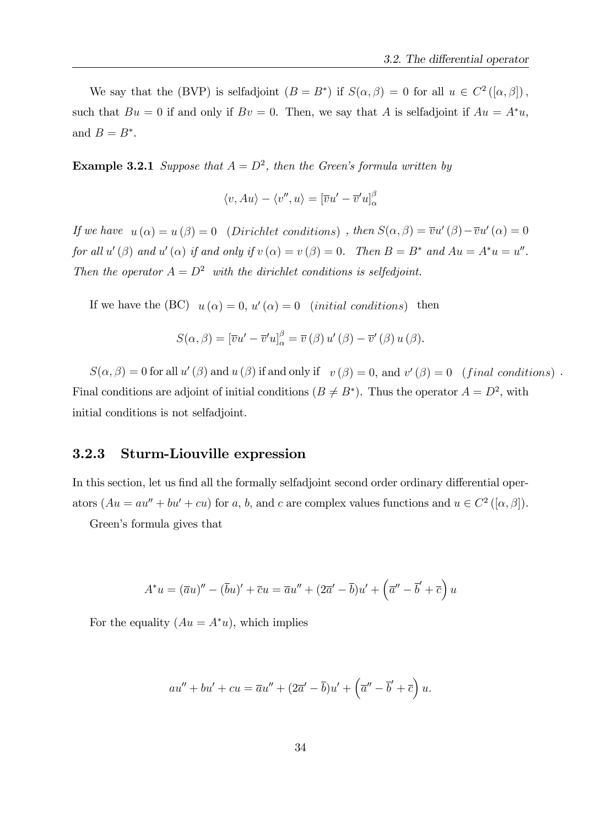We say that the (BVP) is selfadjoint  $(B = B^*)$  if  $S(\alpha, \beta) = 0$  for all  $u \in C^2([\alpha, \beta])$ , such that  $Bu = 0$  if and only if  $Bv = 0$ . Then, we say that A is selfadjoint if  $Au = A^*u$ , and  $B=B^*$ .

**Example 3.2.1** Suppose that  $A = D^2$ , then the Green's formula written by

$$
\langle v, Au \rangle - \langle v'', u \rangle = [\overline{v}u' - \overline{v}'u]_{\alpha}^{\beta}
$$

If we have  $u(\alpha) = u(\beta) = 0$  (Dirichlet conditions), then  $S(\alpha, \beta) = \overline{v}u'(\beta) - \overline{v}u'(\alpha) = 0$ for all  $u'(\beta)$  and  $u'(\alpha)$  if and only if  $v(\alpha) = v(\beta) = 0$ . Then  $B = B^*$  and  $Au = A^*u = u''$ . Then the operator  $A = D^2$  with the dirichlet conditions is selfedjoint.

If we have the (BC)  $u(\alpha) = 0$ ,  $u'(\alpha) = 0$  (initial conditions) then

$$
S(\alpha, \beta) = [\overline{v}u' - \overline{v}'u]_{\alpha}^{\beta} = \overline{v}(\beta) u'(\beta) - \overline{v}'(\beta) u(\beta).
$$

 $S(\alpha, \beta) = 0$  for all  $u'(\beta)$  and  $u(\beta)$  if and only if  $v(\beta) = 0$ , and  $v'(\beta) = 0$  (final conditions). Final conditions are adjoint of initial conditions  $(B \neq B^*)$ . Thus the operator  $A = D^2$ , with initial conditions is not selfadjoint.

#### 3.2.3 Sturm-Liouville expression

In this section, let us find all the formally selfadjoint second order ordinary differential operators  $(Au = au'' + bu' + cu)$  for a, b, and c are complex values functions and  $u \in C^2([\alpha, \beta])$ .

Green's formula gives that

$$
A^*u = (\overline{a}u)'' - (\overline{b}u)' + \overline{c}u = \overline{a}u'' + (2\overline{a}' - \overline{b})u' + (\overline{a}'' - \overline{b}' + \overline{c})u
$$

For the equality  $(Au = A^*u)$ , which implies

$$
au'' + bu' + cu = \overline{a}u'' + (2\overline{a}' - \overline{b})u' + (\overline{a}'' - \overline{b}' + \overline{c})u.
$$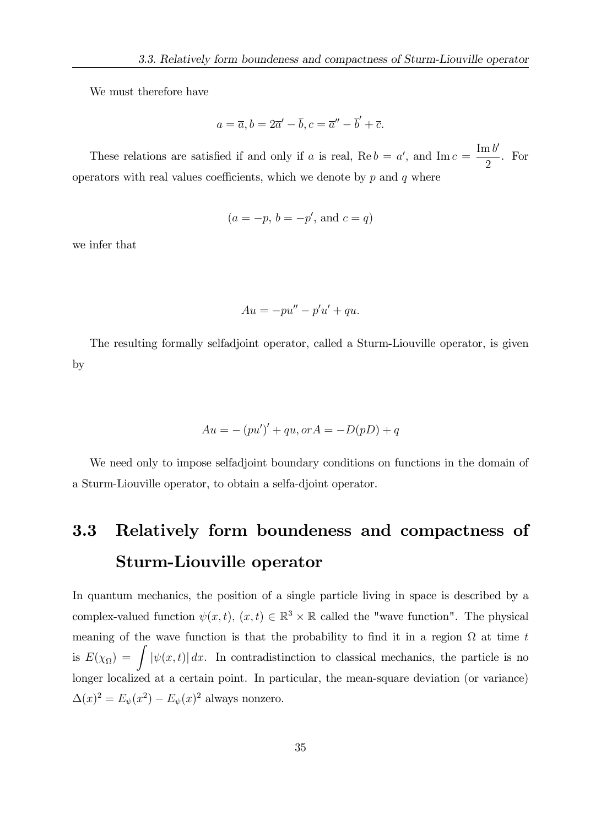We must therefore have

$$
a = \overline{a}, b = 2\overline{a}' - \overline{b}, c = \overline{a}'' - \overline{b}' + \overline{c}.
$$

These relations are satisfied if and only if a is real,  $\text{Re } b = a'$ , and  $\text{Im } c =$  $\mathrm{Im} \, b'$ 2 . For operators with real values coefficients, which we denote by  $p$  and  $q$  where

$$
(a = -p, b = -p', \text{ and } c = q)
$$

we infer that

$$
Au = -pu'' - p'u' + qu.
$$

The resulting formally selfadjoint operator, called a Sturm-Liouville operator, is given by

$$
Au = -(pu')' + qu, or A = -D(pD) + q
$$

We need only to impose selfadjoint boundary conditions on functions in the domain of a Sturm-Liouville operator, to obtain a selfa-djoint operator.

# 3.3 Relatively form boundeness and compactness of Sturm-Liouville operator

In quantum mechanics, the position of a single particle living in space is described by a complex-valued function  $\psi(x, t)$ ,  $(x, t) \in \mathbb{R}^3 \times \mathbb{R}$  called the "wave function". The physical meaning of the wave function is that the probability to find it in a region  $\Omega$  at time t is  $E(\chi_{\Omega}) = \int |\psi(x, t)| dx$ . In contradistinction to classical mechanics, the particle is no longer localized at a certain point. In particular, the mean-square deviation (or variance)  $\Delta(x)^2 = E_{\psi}(x^2) - E_{\psi}(x)^2$  always nonzero.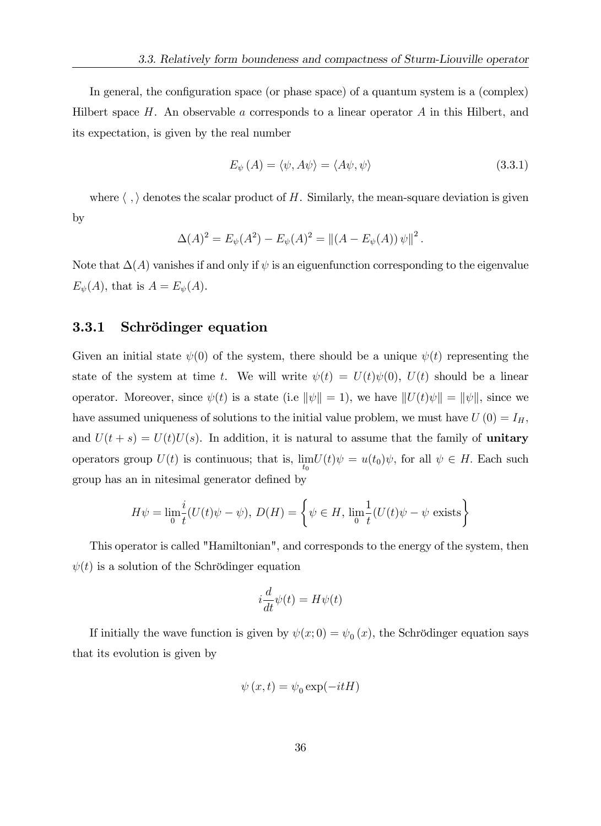In general, the configuration space (or phase space) of a quantum system is a (complex) Hilbert space  $H$ . An observable a corresponds to a linear operator  $A$  in this Hilbert, and its expectation, is given by the real number

$$
E_{\psi}(A) = \langle \psi, A\psi \rangle = \langle A\psi, \psi \rangle \tag{3.3.1}
$$

where  $\langle , \rangle$  denotes the scalar product of H. Similarly, the mean-square deviation is given by

$$
\Delta(A)^{2} = E_{\psi}(A^{2}) - E_{\psi}(A)^{2} = ||(A - E_{\psi}(A)) \psi||^{2}.
$$

Note that  $\Delta(A)$  vanishes if and only if  $\psi$  is an eiguenfunction corresponding to the eigenvalue  $E_{\psi}(A)$ , that is  $A = E_{\psi}(A)$ .

#### 3.3.1 Schrödinger equation

Given an initial state  $\psi(0)$  of the system, there should be a unique  $\psi(t)$  representing the state of the system at time t. We will write  $\psi(t) = U(t)\psi(0), U(t)$  should be a linear operator. Moreover, since  $\psi(t)$  is a state (i.e  $\|\psi\| = 1$ ), we have  $||U(t)\psi|| = ||\psi||$ , since we have assumed uniqueness of solutions to the initial value problem, we must have  $U(0) = I_H$ , and  $U(t + s) = U(t)U(s)$ . In addition, it is natural to assume that the family of **unitary** operators group  $U(t)$  is continuous; that is,  $\lim_{t_0} U(t)\psi = u(t_0)\psi$ , for all  $\psi \in H$ . Each such group has an in nitesimal generator defined by

$$
H\psi = \lim_{\substack{h \to 0^+}} \frac{i}{t}(U(t)\psi - \psi), \ D(H) = \left\{\psi \in H, \ \lim_{\substack{h \to 0^+}} \frac{1}{t}(U(t)\psi - \psi \text{ exists}\right\}
$$

This operator is called "Hamiltonian", and corresponds to the energy of the system, then  $\psi(t)$  is a solution of the Schrödinger equation

$$
i\frac{d}{dt}\psi(t) = H\psi(t)
$$

If initially the wave function is given by  $\psi(x; 0) = \psi_0(x)$ , the Schrödinger equation says that its evolution is given by

$$
\psi(x,t) = \psi_0 \exp(-itH)
$$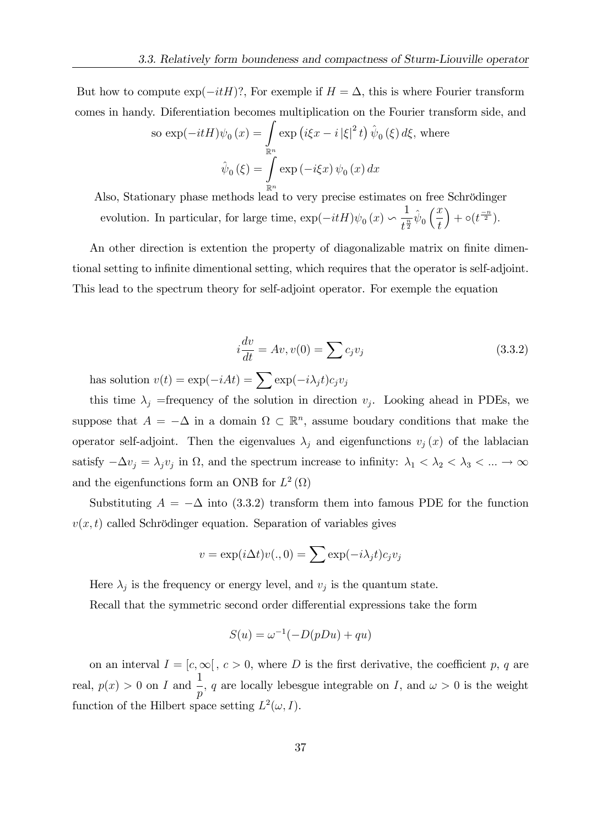But how to compute  $\exp(-itH)$ ?, For exemple if  $H = \Delta$ , this is where Fourier transform comes in handy. Diferentiation becomes multiplication on the Fourier transform side, and

so 
$$
\exp(-itH)\psi_0(x) = \int_{\mathbb{R}^n} \exp(i\xi x - i|\xi|^2 t) \hat{\psi}_0(\xi) d\xi
$$
, where  

$$
\hat{\psi}_0(\xi) = \int_{\mathbb{R}^n} \exp(-i\xi x) \psi_0(x) dx
$$

Also, Stationary phase methods lead to very precise estimates on free Schrödinger evolution. In particular, for large time,  $\exp(-itH)\psi_0(x)$ 1  $\frac{1}{t^{\frac{n}{2}}}\hat{\psi}_0$  $\sqrt{x}$ t  $+ \circ (t^{\frac{-n}{2}}).$ 

An other direction is extention the property of diagonalizable matrix on finite dimentional setting to infinite dimentional setting, which requires that the operator is self-adjoint. This lead to the spectrum theory for self-adjoint operator. For exemple the equation

$$
i\frac{dv}{dt} = Av, v(0) = \sum c_j v_j \tag{3.3.2}
$$

has solution  $v(t) = \exp(-iAt) = \sum \exp(-i\lambda_j t)c_jv_j$ 

this time  $\lambda_j$  =frequency of the solution in direction  $v_j$ . Looking ahead in PDEs, we suppose that  $A = -\Delta$  in a domain  $\Omega \subset \mathbb{R}^n$ , assume boudary conditions that make the operator self-adjoint. Then the eigenvalues  $\lambda_j$  and eigenfunctions  $v_j(x)$  of the lablacian satisfy  $-\Delta v_j = \lambda_j v_j$  in  $\Omega$ , and the spectrum increase to infinity:  $\lambda_1 < \lambda_2 < \lambda_3 < ... \to \infty$ and the eigenfunctions form an ONB for  $L^2(\Omega)$ 

Substituting  $A = -\Delta$  into (3.3.2) transform them into famous PDE for the function  $v(x, t)$  called Schrödinger equation. Separation of variables gives

$$
v = \exp(i\Delta t)v(.,0) = \sum \exp(-i\lambda_j t)c_jv_j
$$

Here  $\lambda_j$  is the frequency or energy level, and  $v_j$  is the quantum state.

Recall that the symmetric second order differential expressions take the form

$$
S(u) = \omega^{-1}(-D(pDu) + qu)
$$

on an interval  $I = [c, \infty], c > 0$ , where D is the first derivative, the coefficient p, q are real,  $p(x) > 0$  on I and  $\frac{1}{x}$ p , q are locally lebesgue integrable on I, and  $\omega > 0$  is the weight function of the Hilbert space setting  $L^2(\omega, I)$ .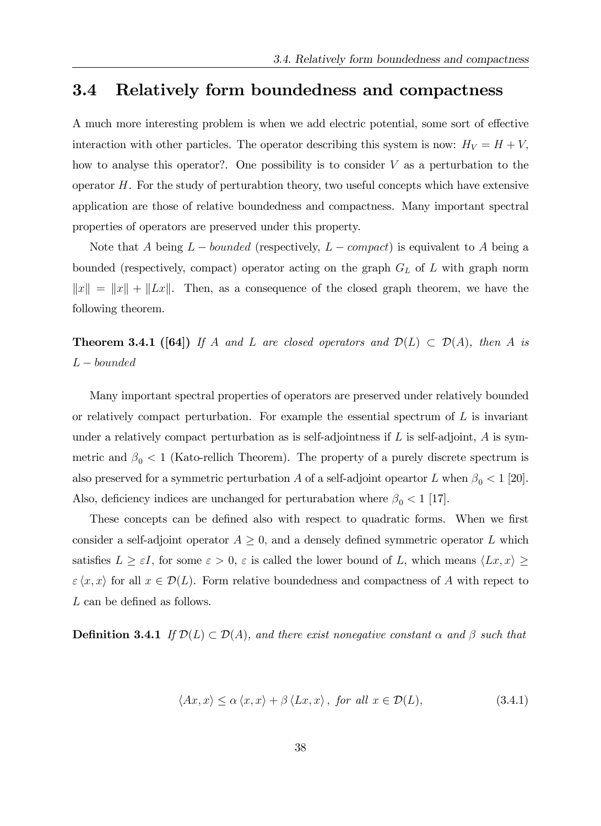## 3.4 Relatively form boundedness and compactness

A much more interesting problem is when we add electric potential, some sort of effective interaction with other particles. The operator describing this system is now:  $H_V = H + V$ ; how to analyse this operator?. One possibility is to consider  $V$  as a perturbation to the operator H. For the study of perturabtion theory, two useful concepts which have extensive application are those of relative boundedness and compactness. Many important spectral properties of operators are preserved under this property.

Note that A being  $L$  – bounded (respectively,  $L$  – compact) is equivalent to A being a bounded (respectively, compact) operator acting on the graph  $G_L$  of  $L$  with graph norm  $||x|| = ||x|| + ||Lx||$ . Then, as a consequence of the closed graph theorem, we have the following theorem.

**Theorem 3.4.1 ([64])** If A and L are closed operators and  $\mathcal{D}(L) \subset \mathcal{D}(A)$ , then A is  $L - bounded$ 

Many important spectral properties of operators are preserved under relatively bounded or relatively compact perturbation. For example the essential spectrum of  $L$  is invariant under a relatively compact perturbation as is self-adjointness if  $L$  is self-adjoint,  $A$  is symmetric and  $\beta_0 < 1$  (Kato-rellich Theorem). The property of a purely discrete spectrum is also preserved for a symmetric perturbation A of a self-adjoint opeartor L when  $\beta_0 < 1$  [20]. Also, deficiency indices are unchanged for perturabation where  $\beta_0 < 1$  [17].

These concepts can be defined also with respect to quadratic forms. When we first consider a self-adjoint operator  $A \geq 0$ , and a densely defined symmetric operator L which satisfies  $L \geq \varepsilon I$ , for some  $\varepsilon > 0$ ,  $\varepsilon$  is called the lower bound of L, which means  $\langle Lx, x \rangle \geq$  $\epsilon \langle x, x \rangle$  for all  $x \in \mathcal{D}(L)$ . Form relative boundedness and compactness of A with repect to  $L$  can be defined as follows.

**Definition 3.4.1** If  $\mathcal{D}(L) \subset \mathcal{D}(A)$ , and there exist nonegative constant  $\alpha$  and  $\beta$  such that

$$
\langle Ax, x \rangle \le \alpha \langle x, x \rangle + \beta \langle Lx, x \rangle, \text{ for all } x \in \mathcal{D}(L), \tag{3.4.1}
$$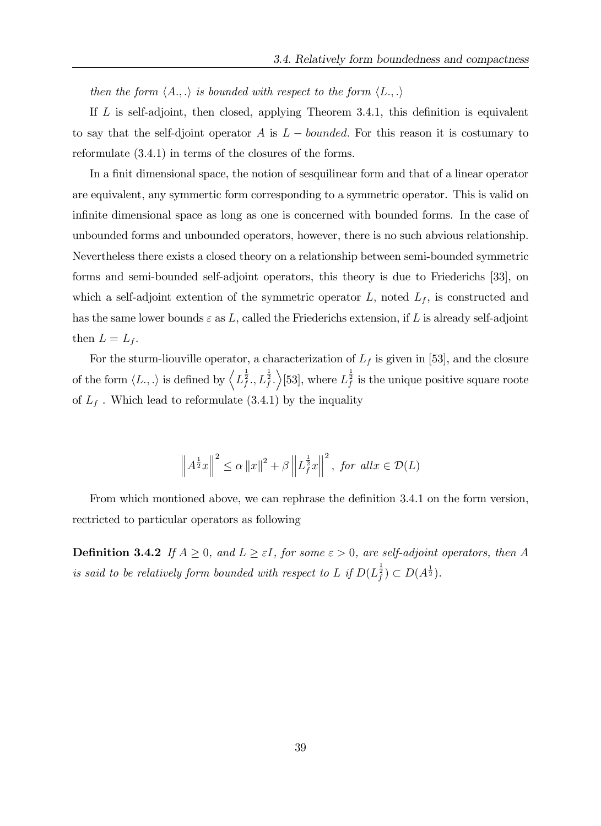then the form  $\langle A, \ldots \rangle$  is bounded with respect to the form  $\langle L, \ldots \rangle$ 

If  $L$  is self-adjoint, then closed, applying Theorem 3.4.1, this definition is equivalent to say that the self-djoint operator A is  $L$  – bounded. For this reason it is costumary to reformulate (3.4.1) in terms of the closures of the forms.

In a finit dimensional space, the notion of sesquilinear form and that of a linear operator are equivalent, any symmertic form corresponding to a symmetric operator. This is valid on infinite dimensional space as long as one is concerned with bounded forms. In the case of unbounded forms and unbounded operators, however, there is no such abvious relationship. Nevertheless there exists a closed theory on a relationship between semi-bounded symmetric forms and semi-bounded self-adjoint operators, this theory is due to Friederichs [33], on which a self-adjoint extention of the symmetric operator  $L$ , noted  $L_f$ , is constructed and has the same lower bounds  $\varepsilon$  as L, called the Friederichs extension, if L is already self-adjoint then  $L = L_f$ .

For the sturm-liouville operator, a characterization of  $L_f$  is given in [53], and the closure of the form  $\langle L, .\rangle$  is defined by  $\left\langle L_f^{\frac{1}{2}}, L_f^{\frac{1}{2}} \right\rangle$  [53], where  $L_f^{\frac{1}{2}}$  is the unique positive square roote of  $L_f$ . Which lead to reformulate  $(3.4.1)$  by the inquality

$$
\left\|A^{\frac{1}{2}}x\right\|^2 \leq \alpha \left\|x\right\|^2 + \beta \left\|L_f^{\frac{1}{2}}x\right\|^2, \text{ for all } x \in \mathcal{D}(L)
$$

From which montioned above, we can rephrase the definition 3.4.1 on the form version, rectricted to particular operators as following

**Definition 3.4.2** If  $A \geq 0$ , and  $L \geq \varepsilon I$ , for some  $\varepsilon > 0$ , are self-adjoint operators, then A is said to be relatively form bounded with respect to L if  $D(L_f^{\frac{1}{2}}) \subset D(A^{\frac{1}{2}})$ .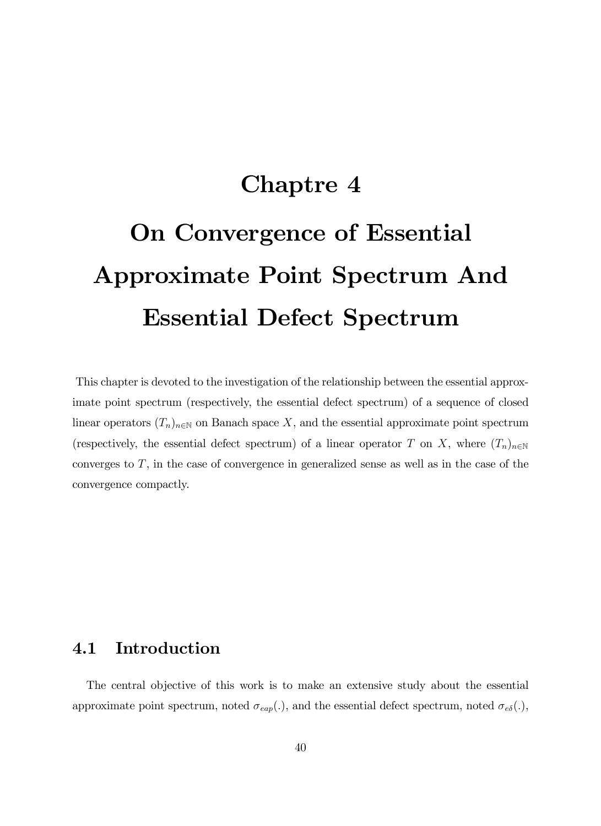# Chaptre 4 On Convergence of Essential Approximate Point Spectrum And Essential Defect Spectrum

This chapter is devoted to the investigation of the relationship between the essential approximate point spectrum (respectively, the essential defect spectrum) of a sequence of closed linear operators  $(T_n)_{n\in\mathbb{N}}$  on Banach space X, and the essential approximate point spectrum (respectively, the essential defect spectrum) of a linear operator T on X, where  $(T_n)_{n\in\mathbb{N}}$ converges to  $T$ , in the case of convergence in generalized sense as well as in the case of the convergence compactly.

## 4.1 Introduction

The central objective of this work is to make an extensive study about the essential approximate point spectrum, noted  $\sigma_{\text{eap}}(.)$ , and the essential defect spectrum, noted  $\sigma_{\text{e}\delta}(.)$ ,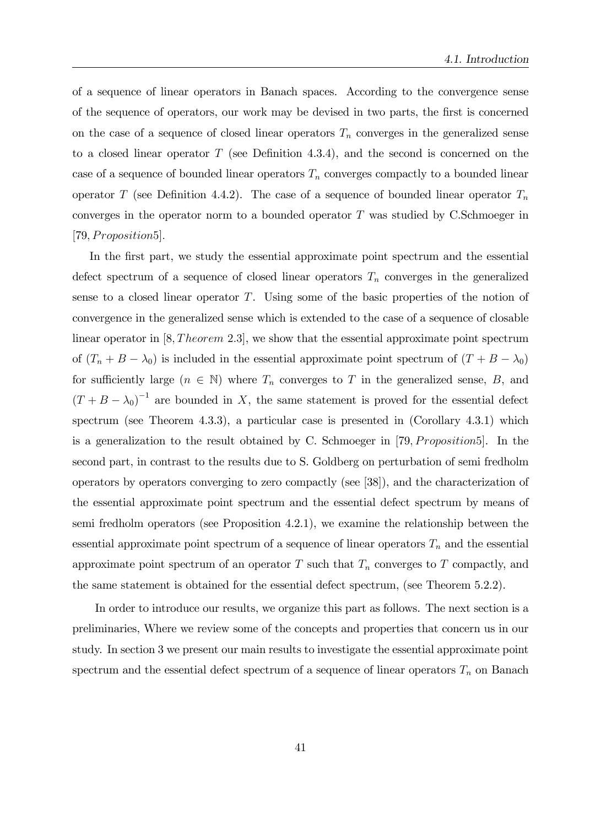of a sequence of linear operators in Banach spaces. According to the convergence sense of the sequence of operators, our work may be devised in two parts, the Örst is concerned on the case of a sequence of closed linear operators  $T_n$  converges in the generalized sense to a closed linear operator  $T$  (see Definition 4.3.4), and the second is concerned on the case of a sequence of bounded linear operators  $T_n$  converges compactly to a bounded linear operator T (see Definition 4.4.2). The case of a sequence of bounded linear operator  $T_n$ converges in the operator norm to a bounded operator  $T$  was studied by C.Schmoeger in  $[79, Proposition5]$ .

In the first part, we study the essential approximate point spectrum and the essential defect spectrum of a sequence of closed linear operators  $T_n$  converges in the generalized sense to a closed linear operator  $T$ . Using some of the basic properties of the notion of convergence in the generalized sense which is extended to the case of a sequence of closable linear operator in  $[8, Theorem 2.3]$ , we show that the essential approximate point spectrum of  $(T_n + B - \lambda_0)$  is included in the essential approximate point spectrum of  $(T + B - \lambda_0)$ for sufficiently large  $(n \in \mathbb{N})$  where  $T_n$  converges to T in the generalized sense, B, and  $(T + B - \lambda_0)^{-1}$  are bounded in X, the same statement is proved for the essential defect spectrum (see Theorem 4.3.3), a particular case is presented in (Corollary 4.3.1) which is a generalization to the result obtained by C. Schmoeger in  $[79, Proposition5]$ . In the second part, in contrast to the results due to S. Goldberg on perturbation of semi fredholm operators by operators converging to zero compactly (see [38]), and the characterization of the essential approximate point spectrum and the essential defect spectrum by means of semi fredholm operators (see Proposition 4.2.1), we examine the relationship between the essential approximate point spectrum of a sequence of linear operators  $T_n$  and the essential approximate point spectrum of an operator  $T$  such that  $T_n$  converges to  $T$  compactly, and the same statement is obtained for the essential defect spectrum, (see Theorem 5.2.2).

In order to introduce our results, we organize this part as follows. The next section is a preliminaries, Where we review some of the concepts and properties that concern us in our study. In section 3 we present our main results to investigate the essential approximate point spectrum and the essential defect spectrum of a sequence of linear operators  $T_n$  on Banach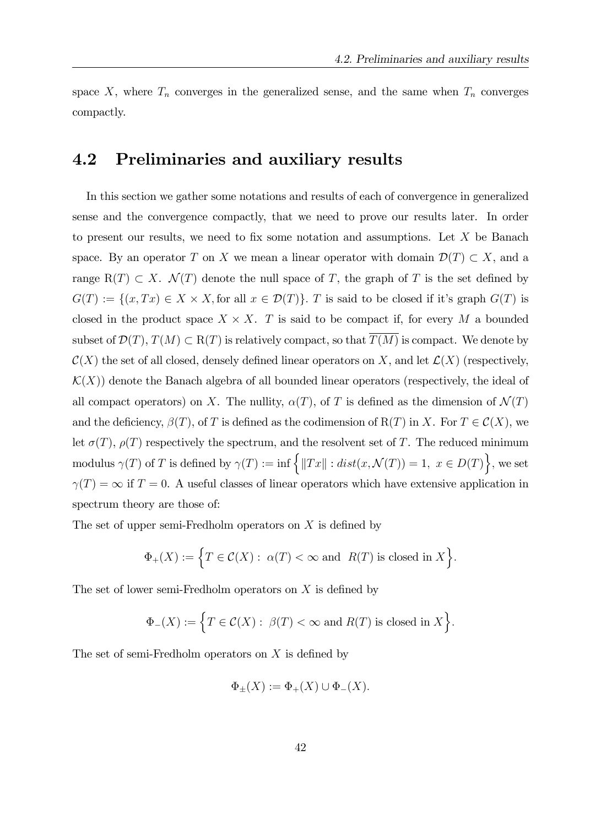space X, where  $T_n$  converges in the generalized sense, and the same when  $T_n$  converges compactly.

## 4.2 Preliminaries and auxiliary results

In this section we gather some notations and results of each of convergence in generalized sense and the convergence compactly, that we need to prove our results later. In order to present our results, we need to fix some notation and assumptions. Let  $X$  be Banach space. By an operator T on X we mean a linear operator with domain  $\mathcal{D}(T) \subset X$ , and a range R(T)  $\subset X$ .  $\mathcal{N}(T)$  denote the null space of T, the graph of T is the set defined by  $G(T) := \{(x, Tx) \in X \times X, \text{for all } x \in \mathcal{D}(T)\}\$ . T is said to be closed if it's graph  $G(T)$  is closed in the product space  $X \times X$ . T is said to be compact if, for every M a bounded subset of  $\mathcal{D}(T)$ ,  $T(M) \subset R(T)$  is relatively compact, so that  $T(M)$  is compact. We denote by  $\mathcal{C}(X)$  the set of all closed, densely defined linear operators on X, and let  $\mathcal{L}(X)$  (respectively,  $\mathcal{K}(X)$  denote the Banach algebra of all bounded linear operators (respectively, the ideal of all compact operators) on X. The nullity,  $\alpha(T)$ , of T is defined as the dimension of  $\mathcal{N}(T)$ and the deficiency,  $\beta(T)$ , of T is defined as the codimension of R(T) in X. For  $T \in \mathcal{C}(X)$ , we let  $\sigma(T)$ ,  $\rho(T)$  respectively the spectrum, and the resolvent set of T. The reduced minimum modulus  $\gamma(T)$  of T is defined by  $\gamma(T) := \inf \{ ||Tx|| : dist(x, \mathcal{N}(T)) = 1, x \in D(T) \},\$ we set  $\gamma(T) = \infty$  if  $T = 0$ . A useful classes of linear operators which have extensive application in spectrum theory are those of:

The set of upper semi-Fredholm operators on  $X$  is defined by

$$
\Phi_+(X) := \Big\{ T \in \mathcal{C}(X) : \ \alpha(T) < \infty \text{ and } \ R(T) \text{ is closed in } X \Big\}.
$$

The set of lower semi-Fredholm operators on  $X$  is defined by

$$
\Phi_-(X):=\Big\{T\in\mathcal{C}(X):\ \beta(T)<\infty\text{ and }R(T)\text{ is closed in }X\Big\}.
$$

The set of semi-Fredholm operators on  $X$  is defined by

$$
\Phi_{\pm}(X) := \Phi_{+}(X) \cup \Phi_{-}(X).
$$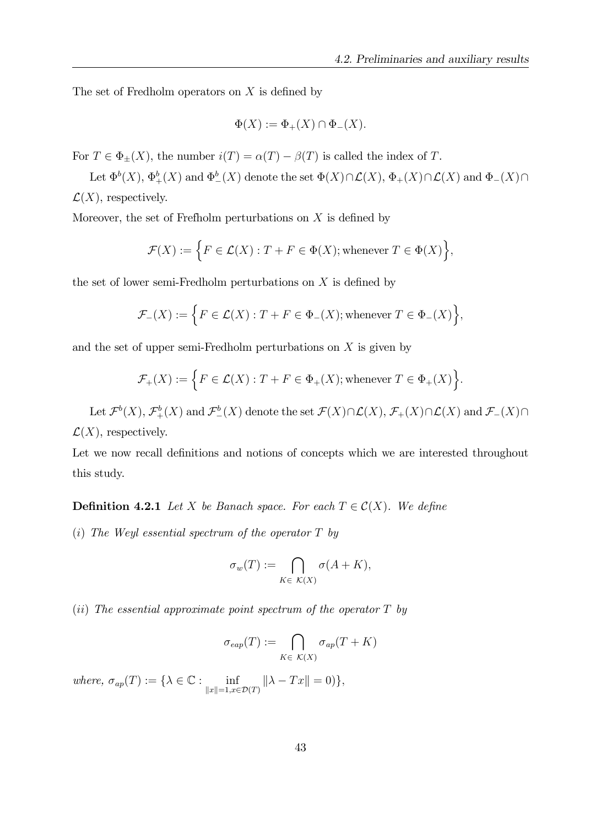The set of Fredholm operators on  $X$  is defined by

$$
\Phi(X) := \Phi_+(X) \cap \Phi_-(X).
$$

For  $T \in \Phi_{\pm}(X)$ , the number  $i(T) = \alpha(T) - \beta(T)$  is called the index of T.

Let  $\Phi^b(X)$ ,  $\Phi^b_+(X)$  and  $\Phi^b_-(X)$  denote the set  $\Phi(X)\cap\mathcal{L}(X)$ ,  $\Phi_+(X)\cap\mathcal{L}(X)$  and  $\Phi_-(X)\cap$  $\mathcal{L}(X)$ , respectively.

Moreover, the set of Frefholm perturbations on  $X$  is defined by

$$
\mathcal{F}(X) := \Big\{ F \in \mathcal{L}(X) : T + F \in \Phi(X); \text{whenever } T \in \Phi(X) \Big\},\
$$

the set of lower semi-Fredholm perturbations on  $X$  is defined by

$$
\mathcal{F}_-(X) := \Big\{ F \in \mathcal{L}(X) : T + F \in \Phi_-(X); \text{whenever } T \in \Phi_-(X) \Big\},\
$$

and the set of upper semi-Fredholm perturbations on  $X$  is given by

$$
\mathcal{F}_+(X) := \Big\{ F \in \mathcal{L}(X) : T + F \in \Phi_+(X); \text{whenever } T \in \Phi_+(X) \Big\}.
$$

Let  $\mathcal{F}^{b}(X)$ ,  $\mathcal{F}^{b}_{+}(X)$  and  $\mathcal{F}^{b}_{-}(X)$  denote the set  $\mathcal{F}(X)\cap\mathcal{L}(X)$ ,  $\mathcal{F}_{+}(X)\cap\mathcal{L}(X)$  and  $\mathcal{F}_{-}(X)\cap$  $\mathcal{L}(X)$ , respectively.

Let we now recall definitions and notions of concepts which we are interested throughout this study.

**Definition 4.2.1** Let X be Banach space. For each  $T \in \mathcal{C}(X)$ . We define

(i) The Weyl essential spectrum of the operator  $T$  by

$$
\sigma_w(T) := \bigcap_{K \in \mathcal{K}(X)} \sigma(A + K),
$$

(ii) The essential approximate point spectrum of the operator  $T$  by

$$
\sigma_{\text{eap}}(T) := \bigcap_{K \in \mathcal{K}(X)} \sigma_{\text{ap}}(T + K)
$$

where,  $\sigma_{ap}(T) := \{ \lambda \in \mathbb{C} : \inf_{\|x\|=1, x \in \mathcal{D}(T)} \| \lambda - Tx \| = 0 \},$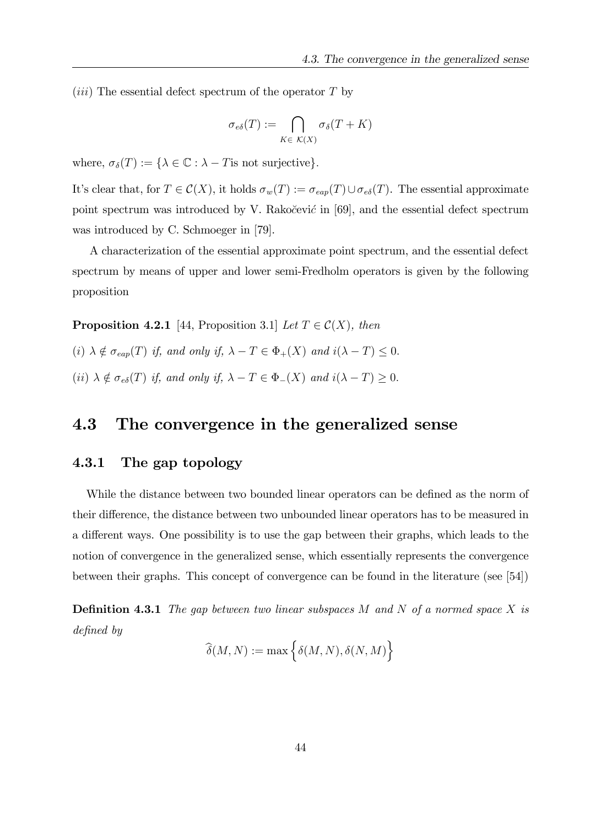(*iii*) The essential defect spectrum of the operator  $T$  by

$$
\sigma_{e\delta}(T) := \bigcap_{K \in \mathcal{K}(X)} \sigma_{\delta}(T + K)
$$

where,  $\sigma_{\delta}(T) := {\lambda \in \mathbb{C} : \lambda - T \text{is not surjective}}.$ 

It's clear that, for  $T \in \mathcal{C}(X)$ , it holds  $\sigma_w(T) := \sigma_{\text{cap}}(T) \cup \sigma_{\text{e}\delta}(T)$ . The essential approximate point spectrum was introduced by V. Rakocevic in [69], and the essential defect spectrum was introduced by C. Schmoeger in [79].

A characterization of the essential approximate point spectrum, and the essential defect spectrum by means of upper and lower semi-Fredholm operators is given by the following proposition

**Proposition 4.2.1** [44, Proposition 3.1] Let  $T \in \mathcal{C}(X)$ , then

(i)  $\lambda \notin \sigma_{\text{cap}}(T)$  if, and only if,  $\lambda - T \in \Phi_+(X)$  and  $i(\lambda - T) \leq 0$ . (ii)  $\lambda \notin \sigma_{e\delta}(T)$  if, and only if,  $\lambda - T \in \Phi_-(X)$  and  $i(\lambda - T) \geq 0$ .

## 4.3 The convergence in the generalized sense

#### 4.3.1 The gap topology

While the distance between two bounded linear operators can be defined as the norm of their difference, the distance between two unbounded linear operators has to be measured in a different ways. One possibility is to use the gap between their graphs, which leads to the notion of convergence in the generalized sense, which essentially represents the convergence between their graphs. This concept of convergence can be found in the literature (see [54])

**Definition 4.3.1** The gap between two linear subspaces M and N of a normed space X is defined by

$$
\widehat{\delta}(M,N) := \max\Big\{\delta(M,N), \delta(N,M)\Big\}
$$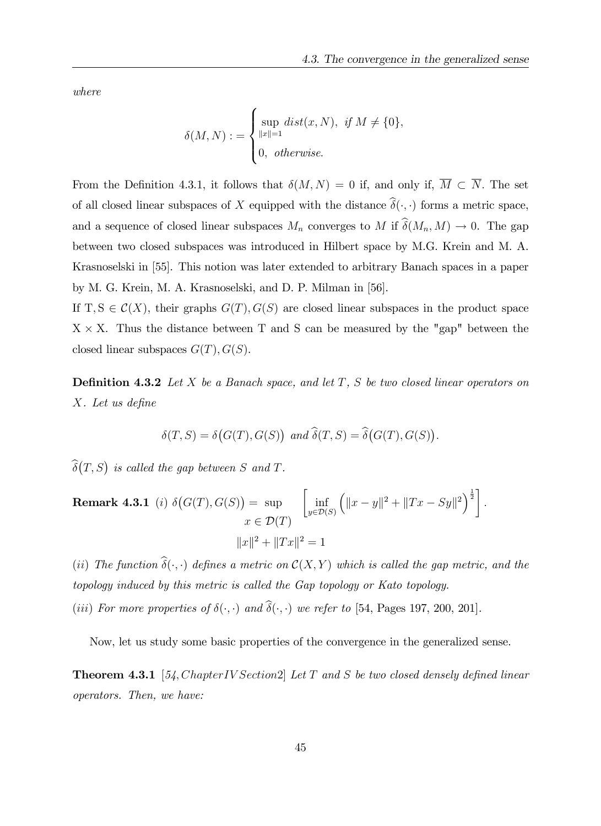where

$$
\delta(M, N) := \begin{cases} \sup_{\|x\|=1} dist(x, N), & \text{if } M \neq \{0\}, \\ 0, & \text{otherwise.} \end{cases}
$$

From the Definition 4.3.1, it follows that  $\delta(M, N) = 0$  if, and only if,  $\overline{M} \subset \overline{N}$ . The set of all closed linear subspaces of X equipped with the distance  $\hat{\delta}(\cdot, \cdot)$  forms a metric space, and a sequence of closed linear subspaces  $M_n$  converges to M if  $\widehat{\delta}(M_n, M) \to 0$ . The gap between two closed subspaces was introduced in Hilbert space by M.G. Krein and M. A. Krasnoselski in [55]. This notion was later extended to arbitrary Banach spaces in a paper by M. G. Krein, M. A. Krasnoselski, and D. P. Milman in [56].

If T,  $S \in \mathcal{C}(X)$ , their graphs  $G(T)$ ,  $G(S)$  are closed linear subspaces in the product space  $X \times X$ . Thus the distance between T and S can be measured by the "gap" between the closed linear subspaces  $G(T), G(S)$ .

**Definition 4.3.2** Let X be a Banach space, and let  $T$ , S be two closed linear operators on  $X.$  Let us define

$$
\delta(T, S) = \delta\big(G(T), G(S)\big) \text{ and } \widehat{\delta}(T, S) = \widehat{\delta}\big(G(T), G(S)\big).
$$

 $\widehat{\delta}(T,S)$  is called the gap between S and T.

**Remark 4.3.1** (i) 
$$
\delta(G(T), G(S)) = \sup_{x \in \mathcal{D}(T)} \left[ \inf_{y \in \mathcal{D}(S)} \left( ||x - y||^2 + ||Tx - Sy||^2 \right)^{\frac{1}{2}} \right].
$$
  

$$
||x||^2 + ||Tx||^2 = 1
$$

(ii) The function  $\widehat{\delta}(\cdot, \cdot)$  defines a metric on  $\mathcal{C}(X, Y)$  which is called the gap metric, and the topology induced by this metric is called the Gap topology or Kato topology. (iii) For more properties of  $\delta(\cdot, \cdot)$  and  $\hat{\delta}(\cdot, \cdot)$  we refer to [54, Pages 197, 200, 201].

Now, let us study some basic properties of the convergence in the generalized sense.

**Theorem 4.3.1** [54, Chapter IV Section2] Let T and S be two closed densely defined linear operators. Then, we have: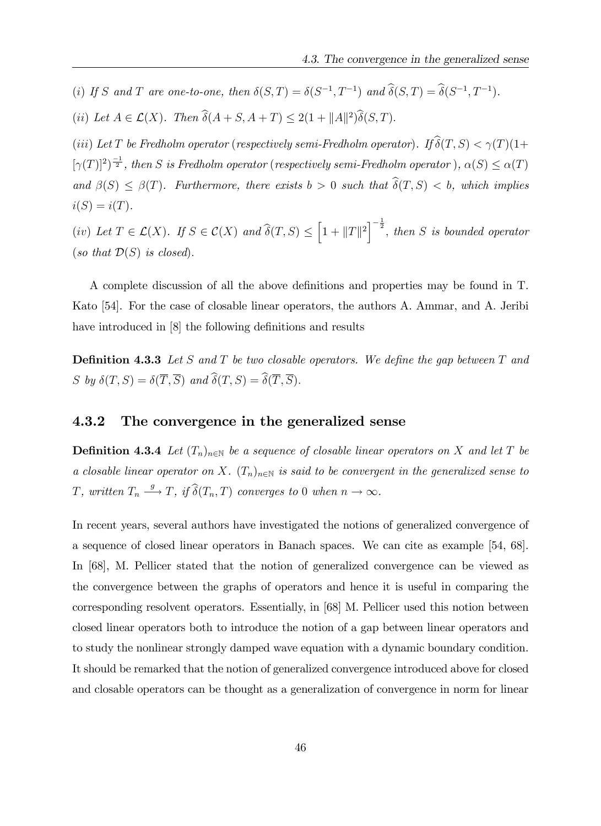(i) If S and T are one-to-one, then  $\delta(S,T) = \delta(S^{-1}, T^{-1})$  and  $\delta(S,T) = \delta(S^{-1}, T^{-1})$ .

(ii) Let  $A \in \mathcal{L}(X)$ . Then  $\delta(A + S, A + T) \leq 2(1 + ||A||^2)\delta(S, T)$ .

(iii) Let T be Fredholm operator (respectively semi-Fredholm operator). If  $\widehat{\delta}(T, S) < \gamma(T)(1+\gamma)$  $[\gamma(T)]^2$ <sup> $\frac{-1}{2}$ </sup>, then S is Fredholm operator (respectively semi-Fredholm operator),  $\alpha(S) \leq \alpha(T)$ and  $\beta(S) \leq \beta(T)$ . Furthermore, there exists  $b > 0$  such that  $\hat{\delta}(T, S) < b$ , which implies  $i(S) = i(T)$ .

(iv) Let  $T \in \mathcal{L}(X)$ . If  $S \in \mathcal{C}(X)$  and  $\widehat{\delta}(T, S) \le \left[1 + ||T||^2\right]^{-\frac{1}{2}}$ , then S is bounded operator (so that  $\mathcal{D}(S)$  is closed).

A complete discussion of all the above definitions and properties may be found in T. Kato [54]. For the case of closable linear operators, the authors A. Ammar, and A. Jeribi have introduced in [8] the following definitions and results

**Definition 4.3.3** Let S and T be two closable operators. We define the gap between T and S by  $\delta(T, S) = \delta(\overline{T}, \overline{S})$  and  $\widehat{\delta}(T, S) = \widehat{\delta}(\overline{T}, \overline{S}).$ 

#### 4.3.2 The convergence in the generalized sense

**Definition 4.3.4** Let  $(T_n)_{n\in\mathbb{N}}$  be a sequence of closable linear operators on X and let T be a closable linear operator on X.  $(T_n)_{n\in\mathbb{N}}$  is said to be convergent in the generalized sense to T, written  $T_n \xrightarrow{g} T$ , if  $\widehat{\delta}(T_n,T)$  converges to 0 when  $n \to \infty$ .

In recent years, several authors have investigated the notions of generalized convergence of a sequence of closed linear operators in Banach spaces. We can cite as example [54, 68]. In [68], M. Pellicer stated that the notion of generalized convergence can be viewed as the convergence between the graphs of operators and hence it is useful in comparing the corresponding resolvent operators. Essentially, in [68] M. Pellicer used this notion between closed linear operators both to introduce the notion of a gap between linear operators and to study the nonlinear strongly damped wave equation with a dynamic boundary condition. It should be remarked that the notion of generalized convergence introduced above for closed and closable operators can be thought as a generalization of convergence in norm for linear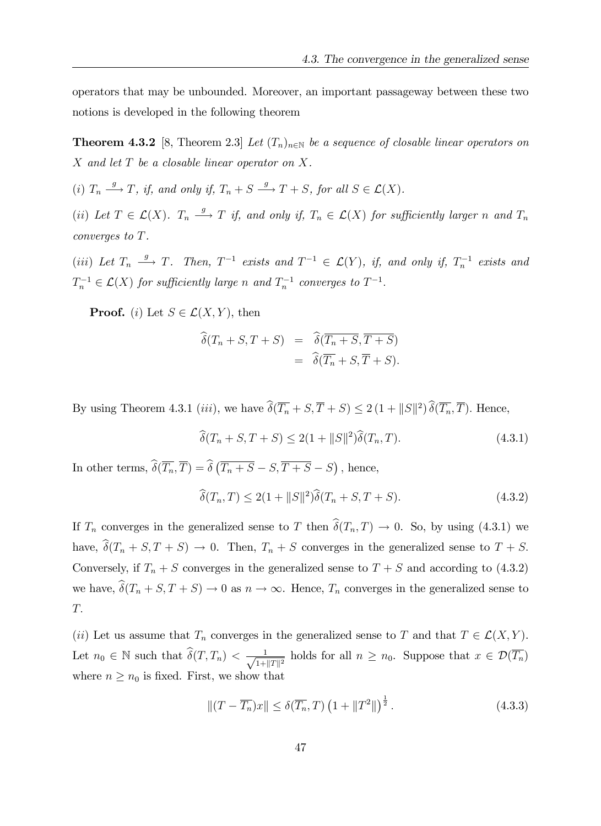operators that may be unbounded. Moreover, an important passageway between these two notions is developed in the following theorem

**Theorem 4.3.2** [8, Theorem 2.3] Let  $(T_n)_{n\in\mathbb{N}}$  be a sequence of closable linear operators on  $X$  and let  $T$  be a closable linear operator on  $X$ .

(i)  $T_n \xrightarrow{g} T$ , if, and only if,  $T_n + S \xrightarrow{g} T + S$ , for all  $S \in \mathcal{L}(X)$ .

(ii) Let  $T \in \mathcal{L}(X)$ .  $T_n \xrightarrow{g} T$  if, and only if,  $T_n \in \mathcal{L}(X)$  for sufficiently larger n and  $T_n$ converges to T.

(iii) Let  $T_n \xrightarrow{g} T$ . Then,  $T^{-1}$  exists and  $T^{-1} \in \mathcal{L}(Y)$ , if, and only if,  $T_n^{-1}$  exists and  $T_n^{-1} \in \mathcal{L}(X)$  for sufficiently large n and  $T_n^{-1}$  converges to  $T^{-1}$ .

**Proof.** (i) Let  $S \in \mathcal{L}(X, Y)$ , then

$$
\begin{aligned}\n\widehat{\delta}(T_n + S, T + S) &= \widehat{\delta}(T_n + S, \overline{T + S}) \\
&= \widehat{\delta}(T_n + S, \overline{T} + S).\n\end{aligned}
$$

By using Theorem 4.3.1 (iii), we have  $\delta(\overline{T_n} + S, \overline{T} + S) \leq 2(1 + ||S||^2)\delta(\overline{T_n}, \overline{T})$ . Hence,

$$
\widehat{\delta}(T_n + S, T + S) \le 2(1 + ||S||^2)\widehat{\delta}(T_n, T). \tag{4.3.1}
$$

In other terms,  $\widehat{\delta}(\overline{T_n}, \overline{T}) = \widehat{\delta}(\overline{T_n + S} - S, \overline{T + S} - S)$ , hence,

$$
\widehat{\delta}(T_n, T) \le 2(1 + ||S||^2)\widehat{\delta}(T_n + S, T + S).
$$
\n(4.3.2)

If  $T_n$  converges in the generalized sense to T then  $\hat{\delta}(T_n, T) \to 0$ . So, by using (4.3.1) we have,  $\hat{\delta}(T_n + S, T + S) \to 0$ . Then,  $T_n + S$  converges in the generalized sense to  $T + S$ . Conversely, if  $T_n + S$  converges in the generalized sense to  $T + S$  and according to (4.3.2) we have,  $\widehat{\delta}(T_n + S, T + S) \to 0$  as  $n \to \infty$ . Hence,  $T_n$  converges in the generalized sense to T:

(ii) Let us assume that  $T_n$  converges in the generalized sense to T and that  $T \in \mathcal{L}(X, Y)$ . Let  $n_0 \in \mathbb{N}$  such that  $\widehat{\delta}(T, T_n) < \frac{1}{\sqrt{1+\epsilon}}$  $\frac{1}{1+||T||^2}$  holds for all  $n \geq n_0$ . Suppose that  $x \in \mathcal{D}(T_n)$ where  $n \geq n_0$  is fixed. First, we show that

$$
\left\| \left(T - \overline{T_n}\right)x \right\| \le \delta(\overline{T_n}, T) \left(1 + \|T^2\|\right)^{\frac{1}{2}}.\tag{4.3.3}
$$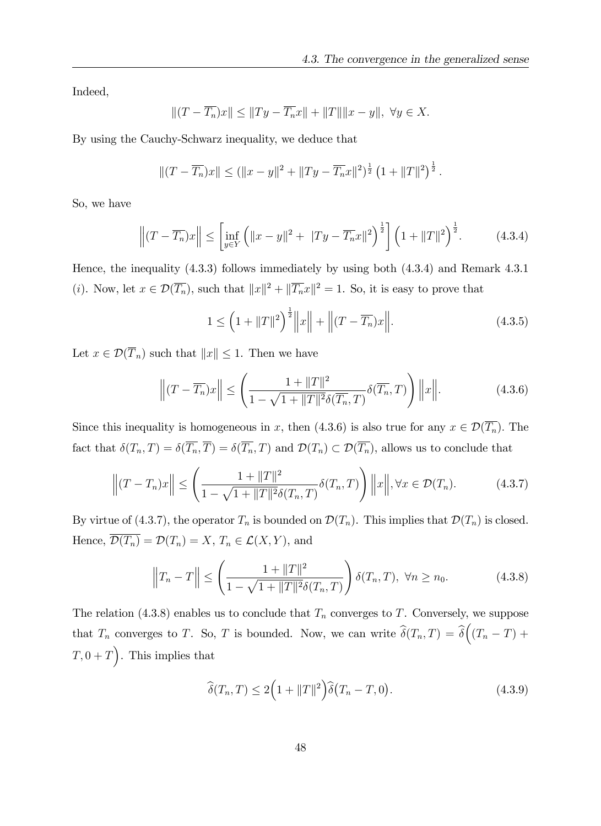Indeed,

$$
|| (T - \overline{T_n})x|| \le ||Ty - \overline{T_n}x|| + ||T|| ||x - y||, \ \forall y \in X.
$$

By using the Cauchy-Schwarz inequality, we deduce that

$$
||(T - \overline{T_n})x|| \le (||x - y||^2 + ||Ty - \overline{T_n}x||^2)^{\frac{1}{2}} (1 + ||T||^2)^{\frac{1}{2}}.
$$

So, we have

$$
\left\| (T - \overline{T_n})x \right\| \le \left[ \inf_{y \in Y} \left( \|x - y\|^2 + \|Ty - \overline{T_n}x\|^2 \right)^{\frac{1}{2}} \right] \left( 1 + \|T\|^2 \right)^{\frac{1}{2}}.
$$
 (4.3.4)

Hence, the inequality (4.3.3) follows immediately by using both (4.3.4) and Remark 4.3.1 (*i*). Now, let  $x \in \mathcal{D}(\overline{T_n})$ , such that  $||x||^2 + ||\overline{T_n}x||^2 = 1$ . So, it is easy to prove that

$$
1 \le \left(1 + \|T\|^2\right)^{\frac{1}{2}} \left\|x\right\| + \left\|(T - \overline{T_n})x\right\|. \tag{4.3.5}
$$

Let  $x \in \mathcal{D}(\overline{T}_n)$  such that  $||x|| \leq 1$ . Then we have

$$
\left\| (T - \overline{T_n})x \right\| \le \left( \frac{1 + \|T\|^2}{1 - \sqrt{1 + \|T\|^2} \delta(\overline{T_n}, T)} \delta(\overline{T_n}, T) \right) \left\| x \right\|. \tag{4.3.6}
$$

Since this inequality is homogeneous in x, then (4.3.6) is also true for any  $x \in \mathcal{D}(\overline{T_n})$ . The fact that  $\delta(T_n, T) = \delta(\overline{T_n}, \overline{T}) = \delta(\overline{T_n}, T)$  and  $\mathcal{D}(T_n) \subset \mathcal{D}(\overline{T_n})$ , allows us to conclude that

$$
\left\| (T - T_n)x \right\| \le \left( \frac{1 + \|T\|^2}{1 - \sqrt{1 + \|T\|^2} \delta(T_n, T)} \delta(T_n, T) \right) \left\| x \right\|, \forall x \in \mathcal{D}(T_n). \tag{4.3.7}
$$

By virtue of (4.3.7), the operator  $T_n$  is bounded on  $\mathcal{D}(T_n)$ . This implies that  $\mathcal{D}(T_n)$  is closed. Hence,  $\overline{\mathcal{D}(T_n)} = \mathcal{D}(T_n) = X$ ,  $T_n \in \mathcal{L}(X, Y)$ , and

$$
\left\|T_n - T\right\| \le \left(\frac{1 + \|T\|^2}{1 - \sqrt{1 + \|T\|^2} \delta(T_n, T)}\right) \delta(T_n, T), \ \forall n \ge n_0. \tag{4.3.8}
$$

The relation (4.3.8) enables us to conclude that  $T_n$  converges to T. Conversely, we suppose that  $T_n$  converges to T. So, T is bounded. Now, we can write  $\widehat{\delta}(T_n, T) = \widehat{\delta}((T_n - T) +$  $T, 0 + T$ ). This implies that

$$
\widehat{\delta}(T_n, T) \le 2\Big(1 + \|T\|^2\Big)\widehat{\delta}(T_n - T, 0). \tag{4.3.9}
$$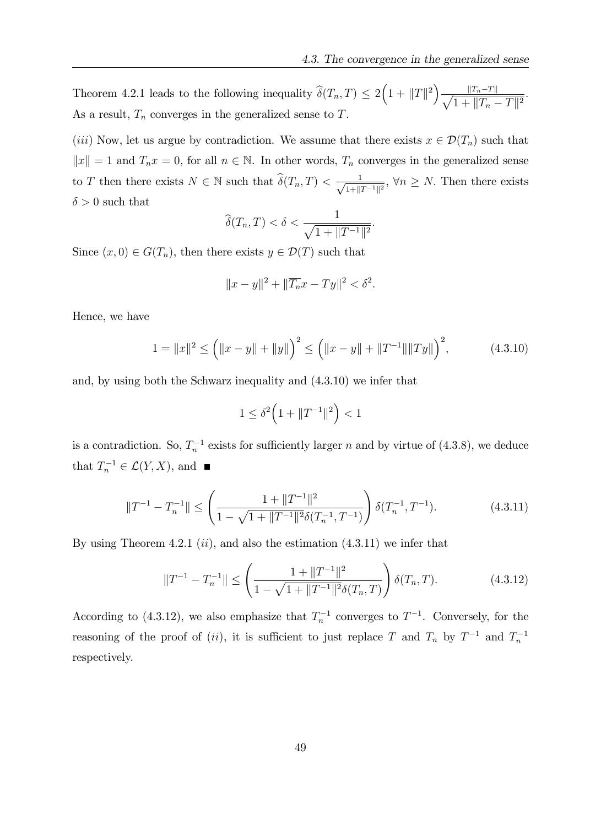Theorem 4.2.1 leads to the following inequality  $\widehat{\delta}(T_n, T) \leq 2(1 + ||T||^2)$  $\sqrt{ }$  $||T_n-T||$  $\frac{\|I_n - I\|}{1 + \|T_n - T\|^2}.$ As a result,  $T_n$  converges in the generalized sense to  $T$ .

(iii) Now, let us argue by contradiction. We assume that there exists  $x \in \mathcal{D}(T_n)$  such that  $||x|| = 1$  and  $T_n x = 0$ , for all  $n \in \mathbb{N}$ . In other words,  $T_n$  converges in the generalized sense to T then there exists  $N \in \mathbb{N}$  such that  $\widehat{\delta}(T_n, T) < \frac{1}{\sqrt{1+\|\zeta\|}}$  $\frac{1}{1+\|T^{-1}\|^2}$ ,  $\forall n \geq N$ . Then there exists  $\delta > 0$  such that

$$
\widehat{\delta}(T_n, T) < \delta < \frac{1}{\sqrt{1 + \|T^{-1}\|^2}}.
$$

Since  $(x, 0) \in G(T_n)$ , then there exists  $y \in \mathcal{D}(T)$  such that

$$
||x - y||2 + ||\overline{T_n}x - Ty||2 < \delta2.
$$

Hence, we have

$$
1 = ||x||^2 \le (||x - y|| + ||y||)^2 \le (||x - y|| + ||T^{-1}|| ||Ty||)^2,
$$
 (4.3.10)

and, by using both the Schwarz inequality and (4.3.10) we infer that

$$
1 \le \delta^2 \Big( 1 + \| T^{-1} \|^2 \Big) < 1
$$

is a contradiction. So,  $T_n^{-1}$  exists for sufficiently larger n and by virtue of (4.3.8), we deduce that  $T_n^{-1} \in \mathcal{L}(Y,X)$ , and

$$
||T^{-1} - T_n^{-1}|| \le \left(\frac{1 + ||T^{-1}||^2}{1 - \sqrt{1 + ||T^{-1}||^2} \delta(T_n^{-1}, T^{-1})}\right) \delta(T_n^{-1}, T^{-1}).\tag{4.3.11}
$$

By using Theorem 4.2.1  $(ii)$ , and also the estimation  $(4.3.11)$  we infer that

$$
||T^{-1} - T_n^{-1}|| \le \left(\frac{1 + ||T^{-1}||^2}{1 - \sqrt{1 + ||T^{-1}||^2} \delta(T_n, T)}\right) \delta(T_n, T). \tag{4.3.12}
$$

According to (4.3.12), we also emphasize that  $T_n^{-1}$  converges to  $T^{-1}$ . Conversely, for the reasoning of the proof of (ii), it is sufficient to just replace T and  $T_n$  by  $T^{-1}$  and  $T_n^{-1}$ respectively.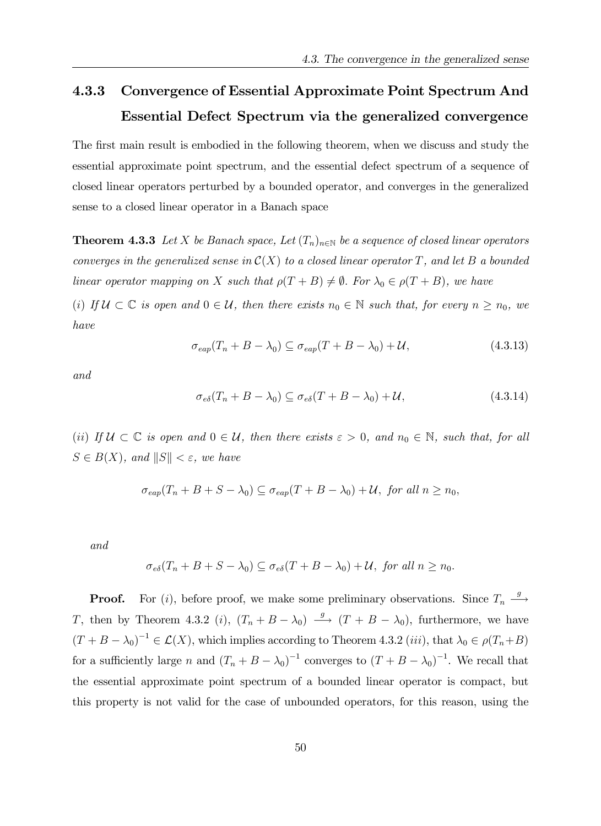# 4.3.3 Convergence of Essential Approximate Point Spectrum And Essential Defect Spectrum via the generalized convergence

The first main result is embodied in the following theorem, when we discuss and study the essential approximate point spectrum, and the essential defect spectrum of a sequence of closed linear operators perturbed by a bounded operator, and converges in the generalized sense to a closed linear operator in a Banach space

**Theorem 4.3.3** Let X be Banach space, Let  $(T_n)_{n\in\mathbb{N}}$  be a sequence of closed linear operators converges in the generalized sense in  $\mathcal{C}(X)$  to a closed linear operator T, and let B a bounded linear operator mapping on X such that  $\rho(T + B) \neq \emptyset$ . For  $\lambda_0 \in \rho(T + B)$ , we have

(i) If  $U \subset \mathbb{C}$  is open and  $0 \in \mathcal{U}$ , then there exists  $n_0 \in \mathbb{N}$  such that, for every  $n \geq n_0$ , we have

$$
\sigma_{\text{eap}}(T_n + B - \lambda_0) \subseteq \sigma_{\text{eap}}(T + B - \lambda_0) + \mathcal{U},\tag{4.3.13}
$$

and

$$
\sigma_{e\delta}(T_n + B - \lambda_0) \subseteq \sigma_{e\delta}(T + B - \lambda_0) + \mathcal{U},\tag{4.3.14}
$$

(ii) If  $\mathcal{U} \subset \mathbb{C}$  is open and  $0 \in \mathcal{U}$ , then there exists  $\varepsilon > 0$ , and  $n_0 \in \mathbb{N}$ , such that, for all  $S \in B(X)$ , and  $||S|| < \varepsilon$ , we have

$$
\sigma_{\text{cap}}(T_n + B + S - \lambda_0) \subseteq \sigma_{\text{cap}}(T + B - \lambda_0) + \mathcal{U}, \text{ for all } n \ge n_0,
$$

and

$$
\sigma_{e\delta}(T_n + B + S - \lambda_0) \subseteq \sigma_{e\delta}(T + B - \lambda_0) + \mathcal{U}, \text{ for all } n \ge n_0.
$$

**Proof.** For (i), before proof, we make some preliminary observations. Since  $T_n \stackrel{g}{\longrightarrow}$  $\longrightarrow$ T, then by Theorem 4.3.2 (*i*),  $(T_n + B - \lambda_0) \longrightarrow (T + B - \lambda_0)$ , furthermore, we have  $(T + B - \lambda_0)^{-1} \in \mathcal{L}(X)$ , which implies according to Theorem 4.3.2 *(iii)*, that  $\lambda_0 \in \rho(T_n + B)$ for a sufficiently large n and  $(T_n + B - \lambda_0)^{-1}$  converges to  $(T + B - \lambda_0)^{-1}$ . We recall that the essential approximate point spectrum of a bounded linear operator is compact, but this property is not valid for the case of unbounded operators, for this reason, using the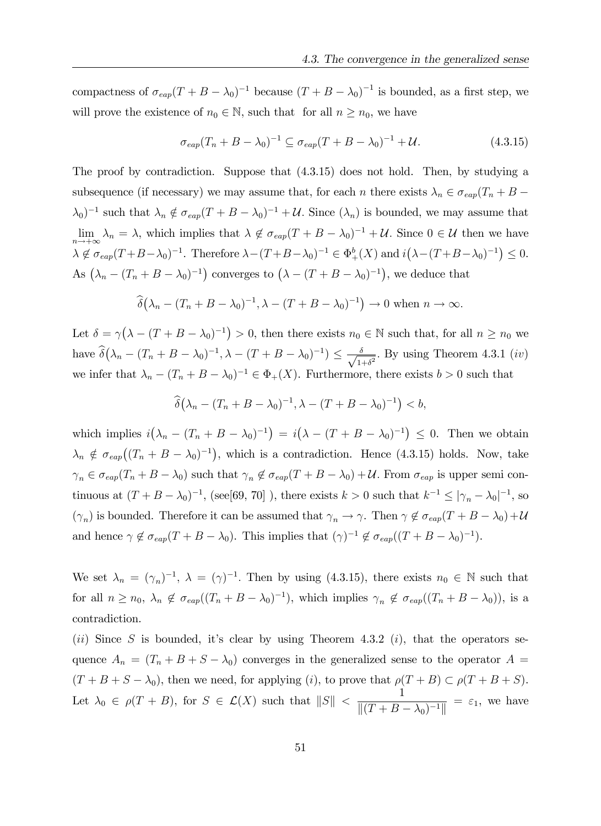compactness of  $\sigma_{\text{cap}}(T + B - \lambda_0)^{-1}$  because  $(T + B - \lambda_0)^{-1}$  is bounded, as a first step, we will prove the existence of  $n_0 \in \mathbb{N}$ , such that for all  $n \geq n_0$ , we have

$$
\sigma_{\text{eap}}(T_n + B - \lambda_0)^{-1} \subseteq \sigma_{\text{eap}}(T + B - \lambda_0)^{-1} + \mathcal{U}.
$$
\n(4.3.15)

The proof by contradiction. Suppose that (4.3.15) does not hold. Then, by studying a subsequence (if necessary) we may assume that, for each n there exists  $\lambda_n \in \sigma_{cap}(T_n + B (\lambda_0)^{-1}$  such that  $\lambda_n \notin \sigma_{\text{cap}}(T + B - \lambda_0)^{-1} + U$ . Since  $(\lambda_n)$  is bounded, we may assume that  $\lim_{n \to +\infty} \lambda_n = \lambda$ , which implies that  $\lambda \notin \sigma_{\text{cap}}(T + B - \lambda_0)^{-1} + U$ . Since  $0 \in \mathcal{U}$  then we have  $\lambda \notin \sigma_{\text{cap}}(T + B - \lambda_0)^{-1}$ . Therefore  $\lambda - (T + B - \lambda_0)^{-1} \in \Phi_+^b(X)$  and  $i(\lambda - (T + B - \lambda_0)^{-1}) \leq 0$ . As  $(\lambda_n - (T_n + B - \lambda_0)^{-1})$  converges to  $(\lambda - (T + B - \lambda_0)^{-1})$ , we deduce that

$$
\widehat{\delta}(\lambda_n - (T_n + B - \lambda_0)^{-1}, \lambda - (T + B - \lambda_0)^{-1}) \to 0 \text{ when } n \to \infty.
$$

Let  $\delta = \gamma (\lambda - (T + B - \lambda_0)^{-1}) > 0$ , then there exists  $n_0 \in \mathbb{N}$  such that, for all  $n \ge n_0$  we have  $\widehat{\delta}(\lambda_n - (T_n + B - \lambda_0)^{-1}, \lambda - (T + B - \lambda_0)^{-1}) \leq \frac{\delta}{\sqrt{1-\delta}}$  $\frac{\delta}{1+\delta^2}$ . By using Theorem 4.3.1 (*iv*) we infer that  $\lambda_n - (T_n + B - \lambda_0)^{-1} \in \Phi_+(X)$ . Furthermore, there exists  $b > 0$  such that

$$
\widehat{\delta}(\lambda_n - (T_n + B - \lambda_0)^{-1}, \lambda - (T + B - \lambda_0)^{-1}) < b,
$$

which implies  $i(\lambda_n - (T_n + B - \lambda_0)^{-1}) = i(\lambda - (T + B - \lambda_0)^{-1}) \leq 0$ . Then we obtain  $\lambda_n \notin \sigma_{\text{eap}}((T_n + B - \lambda_0)^{-1}),$  which is a contradiction. Hence (4.3.15) holds. Now, take  $\gamma_n \in \sigma_{\text{cap}}(T_n + B - \lambda_0)$  such that  $\gamma_n \notin \sigma_{\text{cap}}(T + B - \lambda_0) + U$ . From  $\sigma_{\text{cap}}$  is upper semi continuous at  $(T + B - \lambda_0)^{-1}$ , (see[69, 70]), there exists  $k > 0$  such that  $k^{-1} \le |\gamma_n - \lambda_0|^{-1}$ , so  $(\gamma_n)$  is bounded. Therefore it can be assumed that  $\gamma_n \to \gamma$ . Then  $\gamma \notin \sigma_{\text{cap}}(T + B - \lambda_0) + \mathcal{U}$ and hence  $\gamma \notin \sigma_{\text{eap}}(T + B - \lambda_0)$ . This implies that  $(\gamma)^{-1} \notin \sigma_{\text{eap}}((T + B - \lambda_0)^{-1})$ .

We set  $\lambda_n = (\gamma_n)^{-1}$ ,  $\lambda = (\gamma)^{-1}$ . Then by using (4.3.15), there exists  $n_0 \in \mathbb{N}$  such that for all  $n \ge n_0$ ,  $\lambda_n \notin \sigma_{\text{cap}}((T_n + B - \lambda_0)^{-1})$ , which implies  $\gamma_n \notin \sigma_{\text{cap}}((T_n + B - \lambda_0))$ , is a contradiction.

(ii) Since S is bounded, it's clear by using Theorem 4.3.2 (i), that the operators sequence  $A_n = (T_n + B + S - \lambda_0)$  converges in the generalized sense to the operator  $A =$  $(T + B + S - \lambda_0)$ , then we need, for applying (i), to prove that  $\rho(T + B) \subset \rho(T + B + S)$ . Let  $\lambda_0 \in \rho(T + B)$ , for  $S \in \mathcal{L}(X)$  such that  $||S|| <$ 1  $\frac{1}{\|(T + B - \lambda_0)^{-1}\|} = \varepsilon_1$ , we have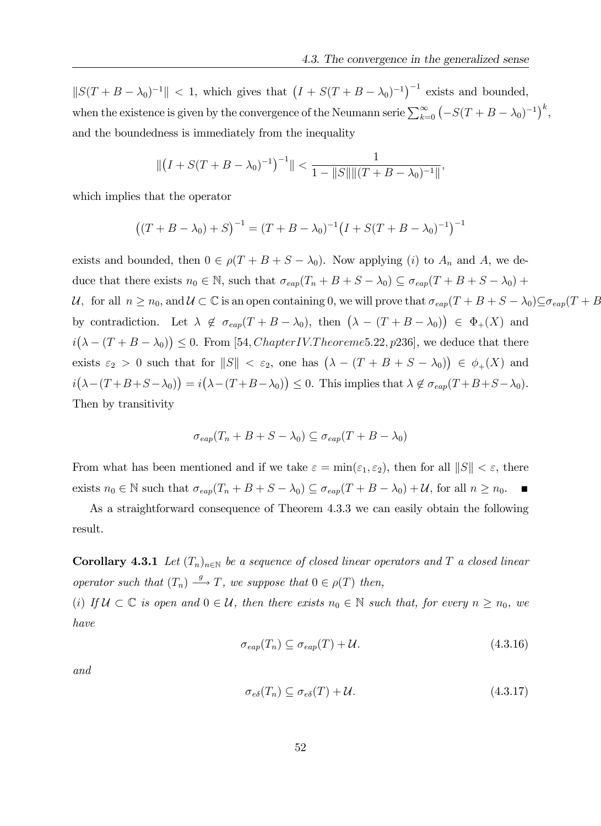$||S(T + B - \lambda_0)^{-1}|| < 1$ , which gives that  $(I + S(T + B - \lambda_0)^{-1})^{-1}$  exists and bounded, when the existence is given by the convergence of the Neumann serie  $\sum_{k=0}^{\infty} (-S(T + B - \lambda_0)^{-1})^k$ , and the boundedness is immediately from the inequality

$$
\| (I + S(T + B - \lambda_0)^{-1})^{-1} \| < \frac{1}{1 - \|S\| \| (T + B - \lambda_0)^{-1} \|},
$$

which implies that the operator

$$
((T + B - \lambda_0) + S)^{-1} = (T + B - \lambda_0)^{-1} (I + S(T + B - \lambda_0)^{-1})^{-1}
$$

exists and bounded, then  $0 \in \rho(T + B + S - \lambda_0)$ . Now applying (i) to  $A_n$  and A, we deduce that there exists  $n_0 \in \mathbb{N}$ , such that  $\sigma_{\text{cap}}(T_n + B + S - \lambda_0) \subseteq \sigma_{\text{cap}}(T + B + S - \lambda_0) +$ U, for all  $n \ge n_0$ , and  $U \subset \mathbb{C}$  is an open containing 0, we will prove that  $\sigma_{eap}(T + B + S - \lambda_0) \subseteq \sigma_{eap}(T + B)$ by contradiction. Let  $\lambda \notin \sigma_{\text{cap}}(T + B - \lambda_0)$ , then  $(\lambda - (T + B - \lambda_0)) \in \Phi_+(X)$  and  $i(\lambda - (T + B - \lambda_0)) \leq 0$ . From [54, *Chapter IV. Theoreme* 5.22, p236], we deduce that there exists  $\varepsilon_2 > 0$  such that for  $||S|| < \varepsilon_2$ , one has  $(\lambda - (T + B + S - \lambda_0)) \in \phi_+(X)$  and  $i(\lambda-(T+B+S-\lambda_0))=i(\lambda-(T+B-\lambda_0))\leq 0.$  This implies that  $\lambda \notin \sigma_{\text{cap}}(T+B+S-\lambda_0).$ Then by transitivity

$$
\sigma_{\text{cap}}(T_n + B + S - \lambda_0) \subseteq \sigma_{\text{cap}}(T + B - \lambda_0)
$$

From what has been mentioned and if we take  $\varepsilon = \min(\varepsilon_1, \varepsilon_2)$ , then for all  $||S|| < \varepsilon$ , there exists  $n_0 \in \mathbb{N}$  such that  $\sigma_{\text{eap}}(T_n + B + S - \lambda_0) \subseteq \sigma_{\text{eap}}(T + B - \lambda_0) + \mathcal{U}$ , for all  $n \ge n_0$ .

As a straightforward consequence of Theorem 4.3.3 we can easily obtain the following result.

**Corollary 4.3.1** Let  $(T_n)_{n\in\mathbb{N}}$  be a sequence of closed linear operators and T a closed linear operator such that  $(T_n) \xrightarrow{g} T$ , we suppose that  $0 \in \rho(T)$  then,

(i) If  $\mathcal{U} \subset \mathbb{C}$  is open and  $0 \in \mathcal{U}$ , then there exists  $n_0 \in \mathbb{N}$  such that, for every  $n \geq n_0$ , we have

$$
\sigma_{\text{eap}}(T_n) \subseteq \sigma_{\text{eap}}(T) + \mathcal{U}.\tag{4.3.16}
$$

and

$$
\sigma_{e\delta}(T_n) \subseteq \sigma_{e\delta}(T) + \mathcal{U}.\tag{4.3.17}
$$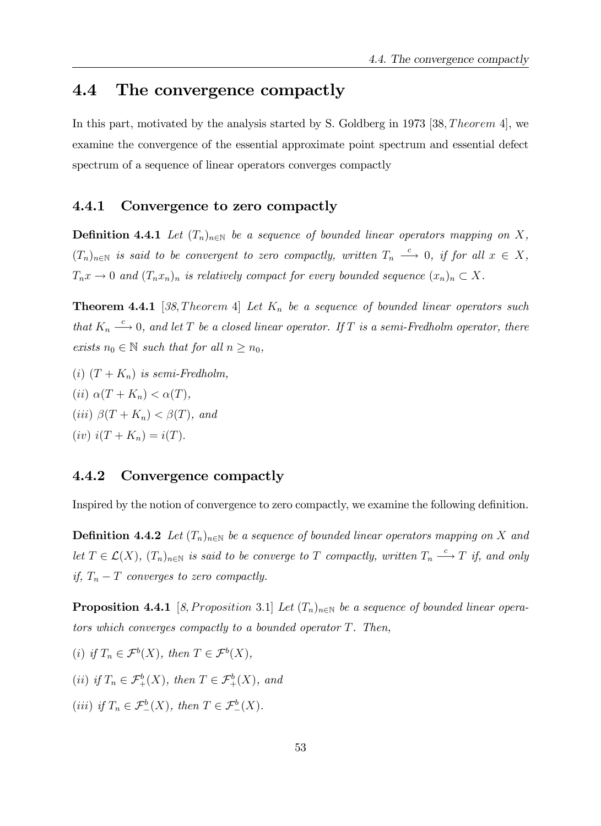### 4.4 The convergence compactly

In this part, motivated by the analysis started by S. Goldberg in 1973 [38, *Theorem 4*], we examine the convergence of the essential approximate point spectrum and essential defect spectrum of a sequence of linear operators converges compactly

#### 4.4.1 Convergence to zero compactly

**Definition 4.4.1** Let  $(T_n)_{n\in\mathbb{N}}$  be a sequence of bounded linear operators mapping on X,  $(T_n)_{n \in \mathbb{N}}$  is said to be convergent to zero compactly, written  $T_n \stackrel{c}{\longrightarrow} 0$ , if for all  $x \in X$ ,  $T_n x \to 0$  and  $(T_n x_n)_n$  is relatively compact for every bounded sequence  $(x_n)_n \subset X$ .

**Theorem 4.4.1** [38, Theorem 4] Let  $K_n$  be a sequence of bounded linear operators such that  $K_n \stackrel{c}{\longrightarrow} 0$ , and let T be a closed linear operator. If T is a semi-Fredholm operator, there exists  $n_0 \in \mathbb{N}$  such that for all  $n \geq n_0$ ,

(i)  $(T + K_n)$  is semi-Fredholm, (ii)  $\alpha(T + K_n) < \alpha(T)$ , (iii)  $\beta(T+K_n) < \beta(T)$ , and (iv)  $i(T + K_n) = i(T)$ .

#### 4.4.2 Convergence compactly

Inspired by the notion of convergence to zero compactly, we examine the following definition.

**Definition 4.4.2** Let  $(T_n)_{n\in\mathbb{N}}$  be a sequence of bounded linear operators mapping on X and let  $T \in \mathcal{L}(X)$ ,  $(T_n)_{n \in \mathbb{N}}$  is said to be converge to T compactly, written  $T_n \xrightarrow{c} T$  if, and only if,  $T_n - T$  converges to zero compactly.

**Proposition 4.4.1** [8, Proposition 3.1] Let  $(T_n)_{n\in\mathbb{N}}$  be a sequence of bounded linear operators which converges compactly to a bounded operator  $T$ . Then,

- (i) if  $T_n \in \mathcal{F}^b(X)$ , then  $T \in \mathcal{F}^b(X)$ ,
- (ii) if  $T_n \in \mathcal{F}^b_+(X)$ , then  $T \in \mathcal{F}^b_+(X)$ , and
- (iii) if  $T_n \in \mathcal{F}^b_-(X)$ , then  $T \in \mathcal{F}^b_-(X)$ .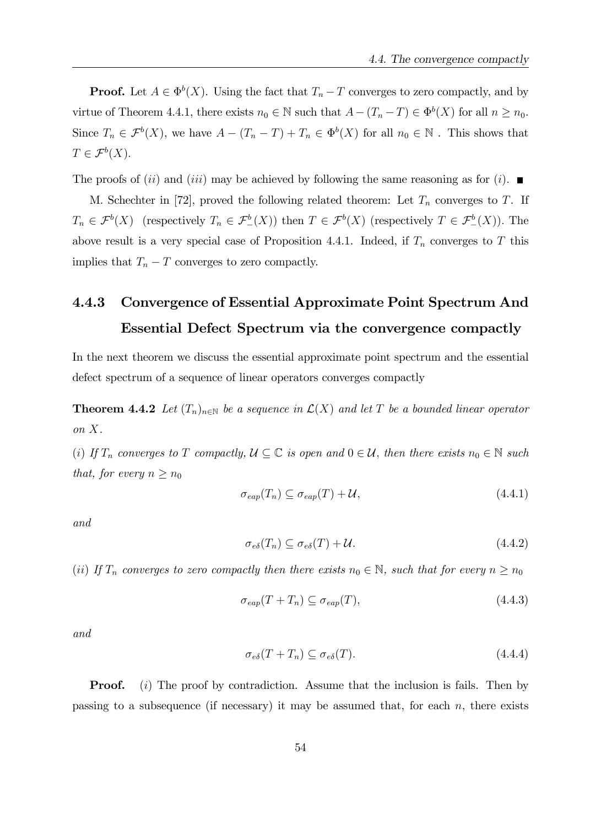**Proof.** Let  $A \in \Phi^b(X)$ . Using the fact that  $T_n - T$  converges to zero compactly, and by virtue of Theorem 4.4.1, there exists  $n_0 \in \mathbb{N}$  such that  $A - (T_n - T) \in \Phi^b(X)$  for all  $n \ge n_0$ . Since  $T_n \in \mathcal{F}^b(X)$ , we have  $A - (T_n - T) + T_n \in \Phi^b(X)$  for all  $n_0 \in \mathbb{N}$ . This shows that  $T \in \mathcal{F}^b(X).$ 

The proofs of (ii) and (iii) may be achieved by following the same reasoning as for (i).

M. Schechter in [72], proved the following related theorem: Let  $T_n$  converges to T. If  $T_n \in \mathcal{F}^b(X)$  (respectively  $T_n \in \mathcal{F}^b(\overline{X})$ ) then  $T \in \mathcal{F}^b(X)$  (respectively  $T \in \mathcal{F}^b(\overline{X})$ ). The above result is a very special case of Proposition 4.4.1. Indeed, if  $T_n$  converges to T this implies that  $T_n - T$  converges to zero compactly.

# 4.4.3 Convergence of Essential Approximate Point Spectrum And Essential Defect Spectrum via the convergence compactly

In the next theorem we discuss the essential approximate point spectrum and the essential defect spectrum of a sequence of linear operators converges compactly

**Theorem 4.4.2** Let  $(T_n)_{n\in\mathbb{N}}$  be a sequence in  $\mathcal{L}(X)$  and let T be a bounded linear operator on X.

(i) If  $T_n$  converges to T compactly,  $\mathcal{U} \subseteq \mathbb{C}$  is open and  $0 \in \mathcal{U}$ , then there exists  $n_0 \in \mathbb{N}$  such that, for every  $n \geq n_0$ 

$$
\sigma_{\text{eap}}(T_n) \subseteq \sigma_{\text{eap}}(T) + \mathcal{U},\tag{4.4.1}
$$

and

$$
\sigma_{e\delta}(T_n) \subseteq \sigma_{e\delta}(T) + \mathcal{U}.\tag{4.4.2}
$$

(ii) If  $T_n$  converges to zero compactly then there exists  $n_0 \in \mathbb{N}$ , such that for every  $n \geq n_0$ 

$$
\sigma_{\text{eap}}(T + T_n) \subseteq \sigma_{\text{eap}}(T),\tag{4.4.3}
$$

and

$$
\sigma_{e\delta}(T + T_n) \subseteq \sigma_{e\delta}(T). \tag{4.4.4}
$$

**Proof.** (i) The proof by contradiction. Assume that the inclusion is fails. Then by passing to a subsequence (if necessary) it may be assumed that, for each  $n$ , there exists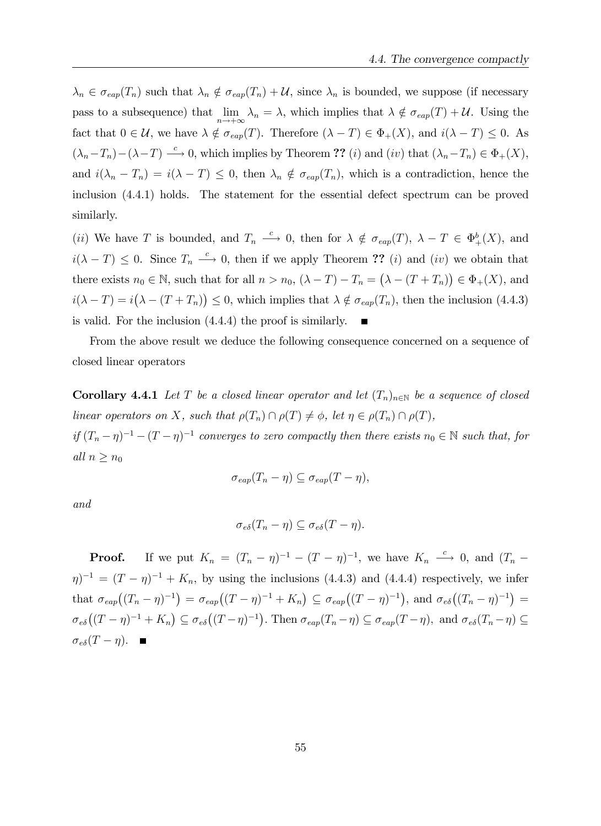$\lambda_n \in \sigma_{\text{eap}}(T_n)$  such that  $\lambda_n \notin \sigma_{\text{eap}}(T_n) + \mathcal{U}$ , since  $\lambda_n$  is bounded, we suppose (if necessary pass to a subsequence) that  $\lim_{n \to +\infty} \lambda_n = \lambda$ , which implies that  $\lambda \notin \sigma_{\text{cap}}(T) + \mathcal{U}$ . Using the fact that  $0 \in \mathcal{U}$ , we have  $\lambda \notin \sigma_{\text{cap}}(T)$ . Therefore  $(\lambda - T) \in \Phi_+(X)$ , and  $i(\lambda - T) \leq 0$ . As  $(\lambda_n-T_n)-(\lambda-T) \stackrel{c}{\longrightarrow} 0$ , which implies by Theorem ?? (i) and (iv) that  $(\lambda_n-T_n) \in \Phi_+(X)$ , and  $i(\lambda_n - T_n) = i(\lambda - T) \leq 0$ , then  $\lambda_n \notin \sigma_{\text{cap}}(T_n)$ , which is a contradiction, hence the inclusion (4.4.1) holds. The statement for the essential defect spectrum can be proved similarly.

(*ii*) We have T is bounded, and  $T_n \stackrel{c}{\longrightarrow} 0$ , then for  $\lambda \notin \sigma_{\text{cap}}(T)$ ,  $\lambda - T \in \Phi_{+}^{b}(X)$ , and  $i(\lambda - T) \leq 0$ . Since  $T_n \stackrel{c}{\longrightarrow} 0$ , then if we apply Theorem ?? (*i*) and (*iv*) we obtain that there exists  $n_0 \in \mathbb{N}$ , such that for all  $n > n_0$ ,  $(\lambda - T) - T_n = (\lambda - (T + T_n)) \in \Phi_+(X)$ , and  $i(\lambda - T) = i(\lambda - (T + T_n)) \leq 0$ , which implies that  $\lambda \notin \sigma_{\text{cap}}(T_n)$ , then the inclusion (4.4.3) is valid. For the inclusion (4.4.4) the proof is similarly.

From the above result we deduce the following consequence concerned on a sequence of closed linear operators

**Corollary 4.4.1** Let T be a closed linear operator and let  $(T_n)_{n\in\mathbb{N}}$  be a sequence of closed linear operators on X, such that  $\rho(T_n) \cap \rho(T) \neq \phi$ , let  $\eta \in \rho(T_n) \cap \rho(T)$ , if  $(T_n - \eta)^{-1} - (T - \eta)^{-1}$  converges to zero compactly then there exists  $n_0 \in \mathbb{N}$  such that, for

all  $n \geq n_0$ 

$$
\sigma_{\text{eap}}(T_n - \eta) \subseteq \sigma_{\text{eap}}(T - \eta),
$$

and

$$
\sigma_{e\delta}(T_n-\eta) \subseteq \sigma_{e\delta}(T-\eta).
$$

**Proof.** If we put  $K_n = (T_n - \eta)^{-1} - (T - \eta)^{-1}$ , we have  $K_n \stackrel{c}{\longrightarrow} 0$ , and  $(T_n (\eta)^{-1} = (T - \eta)^{-1} + K_n$ , by using the inclusions (4.4.3) and (4.4.4) respectively, we infer that  $\sigma_{eap}((T_n - \eta)^{-1}) = \sigma_{eap}((T - \eta)^{-1} + K_n) \subseteq \sigma_{eap}((T - \eta)^{-1}),$  and  $\sigma_{e\delta}((T_n - \eta)^{-1}) =$  $\sigma_{e\delta}((T-\eta)^{-1}+K_n) \subseteq \sigma_{e\delta}((T-\eta)^{-1}).$  Then  $\sigma_{eap}(T_n-\eta) \subseteq \sigma_{eap}(T-\eta)$ , and  $\sigma_{e\delta}(T_n-\eta) \subseteq$  $\sigma_{e\delta}(T - \eta)$ .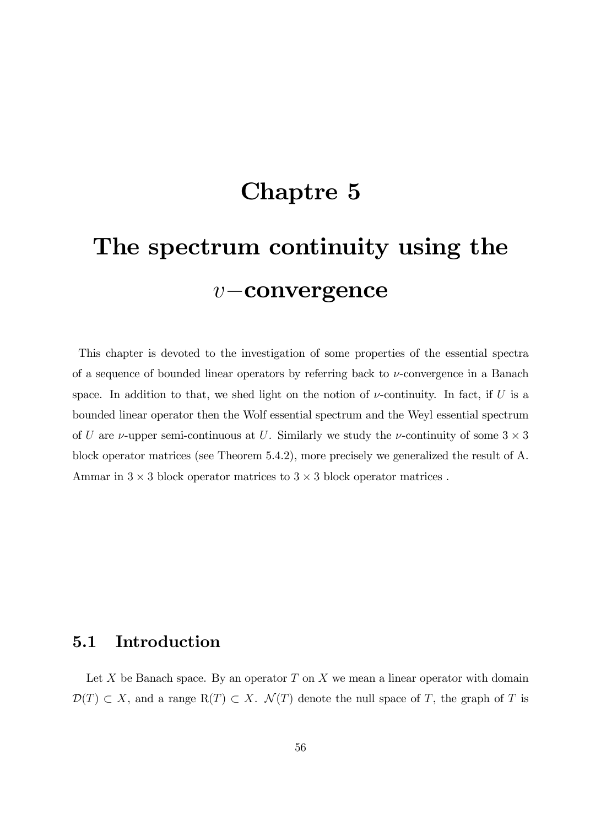# Chaptre 5

# The spectrum continuity using the  $v$ -convergence

This chapter is devoted to the investigation of some properties of the essential spectra of a sequence of bounded linear operators by referring back to  $\nu$ -convergence in a Banach space. In addition to that, we shed light on the notion of  $\nu$ -continuity. In fact, if U is a bounded linear operator then the Wolf essential spectrum and the Weyl essential spectrum of U are  $\nu$ -upper semi-continuous at U. Similarly we study the  $\nu$ -continuity of some  $3 \times 3$ block operator matrices (see Theorem 5.4.2), more precisely we generalized the result of A. Ammar in  $3 \times 3$  block operator matrices to  $3 \times 3$  block operator matrices.

# 5.1 Introduction

Let  $X$  be Banach space. By an operator  $T$  on  $X$  we mean a linear operator with domain  $\mathcal{D}(T) \subset X$ , and a range  $R(T) \subset X$ .  $\mathcal{N}(T)$  denote the null space of T, the graph of T is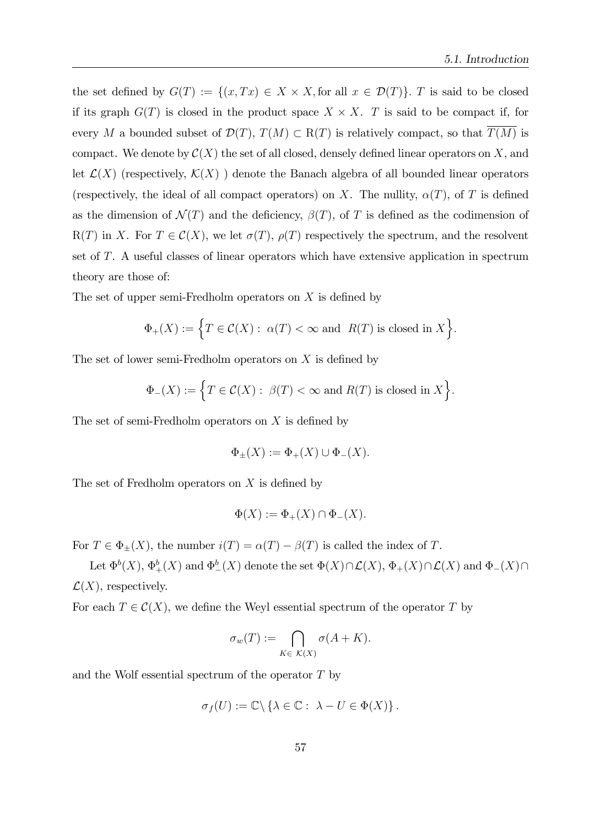the set defined by  $G(T) := \{(x, Tx) \in X \times X, \text{for all } x \in \mathcal{D}(T)\}\)$ . T is said to be closed if its graph  $G(T)$  is closed in the product space  $X \times X$ . T is said to be compact if, for every M a bounded subset of  $\mathcal{D}(T)$ ,  $T(M) \subset R(T)$  is relatively compact, so that  $T(M)$  is compact. We denote by  $\mathcal{C}(X)$  the set of all closed, densely defined linear operators on X, and let  $\mathcal{L}(X)$  (respectively,  $\mathcal{K}(X)$ ) denote the Banach algebra of all bounded linear operators (respectively, the ideal of all compact operators) on X. The nullity,  $\alpha(T)$ , of T is defined as the dimension of  $\mathcal{N}(T)$  and the deficiency,  $\beta(T)$ , of T is defined as the codimension of  $R(T)$  in X. For  $T \in \mathcal{C}(X)$ , we let  $\sigma(T)$ ,  $\rho(T)$  respectively the spectrum, and the resolvent set of T. A useful classes of linear operators which have extensive application in spectrum theory are those of:

The set of upper semi-Fredholm operators on  $X$  is defined by

$$
\Phi_+(X):=\Big\{T\in\mathcal{C}(X):\ \alpha(T)<\infty\ \text{and}\ \ R(T)\ \text{is closed in}\ X\Big\}.
$$

The set of lower semi-Fredholm operators on  $X$  is defined by

$$
\Phi_{-}(X) := \Big\{ T \in \mathcal{C}(X) : \ \beta(T) < \infty \text{ and } R(T) \text{ is closed in } X \Big\}.
$$

The set of semi-Fredholm operators on  $X$  is defined by

$$
\Phi_{\pm}(X) := \Phi_{+}(X) \cup \Phi_{-}(X).
$$

The set of Fredholm operators on  $X$  is defined by

$$
\Phi(X) := \Phi_+(X) \cap \Phi_-(X).
$$

For  $T \in \Phi_+(X)$ , the number  $i(T) = \alpha(T) - \beta(T)$  is called the index of T.

Let  $\Phi^b(X)$ ,  $\Phi^b_+(X)$  and  $\Phi^b_-(X)$  denote the set  $\Phi(X)\cap\mathcal{L}(X)$ ,  $\Phi_+(X)\cap\mathcal{L}(X)$  and  $\Phi_-(X)\cap$  $\mathcal{L}(X)$ , respectively.

For each  $T \in \mathcal{C}(X)$ , we define the Weyl essential spectrum of the operator T by

$$
\sigma_w(T) := \bigcap_{K \in \mathcal{K}(X)} \sigma(A + K).
$$

and the Wolf essential spectrum of the operator T by

$$
\sigma_f(U) := \mathbb{C} \setminus \{ \lambda \in \mathbb{C} : \ \lambda - U \in \Phi(X) \}.
$$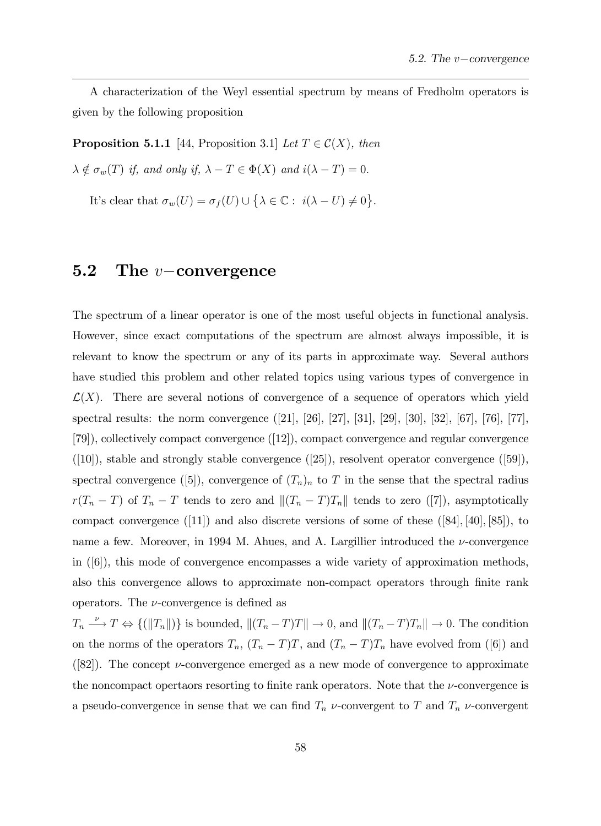A characterization of the Weyl essential spectrum by means of Fredholm operators is given by the following proposition

**Proposition 5.1.1** [44, Proposition 3.1] Let  $T \in \mathcal{C}(X)$ , then

 $\lambda \notin \sigma_w(T)$  if, and only if,  $\lambda - T \in \Phi(X)$  and  $i(\lambda - T) = 0$ .

It's clear that  $\sigma_w(U) = \sigma_f(U) \cup \{ \lambda \in \mathbb{C} : i(\lambda - U) \neq 0 \}.$ 

## **5.2** The *v*-convergence

The spectrum of a linear operator is one of the most useful objects in functional analysis. However, since exact computations of the spectrum are almost always impossible, it is relevant to know the spectrum or any of its parts in approximate way. Several authors have studied this problem and other related topics using various types of convergence in  $\mathcal{L}(X)$ . There are several notions of convergence of a sequence of operators which yield spectral results: the norm convergence ([21], [26], [27], [31], [29], [30], [32], [67], [76], [77], [79]), collectively compact convergence ([12]), compact convergence and regular convergence  $(|10\rangle)$ , stable and strongly stable convergence  $(|25\rangle)$ , resolvent operator convergence  $(|59\rangle)$ , spectral convergence ([5]), convergence of  $(T_n)_n$  to T in the sense that the spectral radius  $r(T_n - T)$  of  $T_n - T$  tends to zero and  $||(T_n - T)T_n||$  tends to zero ([7]), asymptotically compact convergence  $([11])$  and also discrete versions of some of these  $([84], [40], [85])$ , to name a few. Moreover, in 1994 M. Ahues, and A. Largillier introduced the  $\nu$ -convergence in ([6]), this mode of convergence encompasses a wide variety of approximation methods, also this convergence allows to approximate non-compact operators through finite rank operators. The  $\nu$ -convergence is defined as

 $T_n \longrightarrow T \Leftrightarrow \{(\|T_n\|)\}\$ is bounded,  $\|(T_n-T)T\| \to 0$ , and  $\|(T_n-T)T_n\| \to 0$ . The condition on the norms of the operators  $T_n$ ,  $(T_n - T)T$ , and  $(T_n - T)T_n$  have evolved from ([6]) and ([82]). The concept  $\nu$ -convergence emerged as a new mode of convergence to approximate the noncompact opertaors resorting to finite rank operators. Note that the  $\nu$ -convergence is a pseudo-convergence in sense that we can find  $T_n$   $\nu$ -convergent to T and  $T_n$   $\nu$ -convergent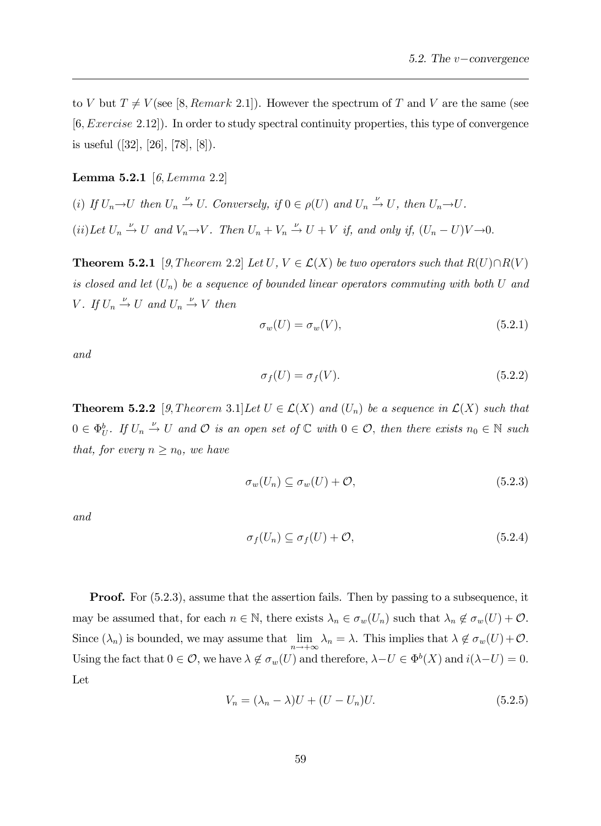to V but  $T \neq V$  (see [8, Remark 2.1]). However the spectrum of T and V are the same (see [6; Exercise 2:12]). In order to study spectral continuity properties, this type of convergence is useful ([32], [26], [78], [8]).

#### **Lemma 5.2.1** [6, Lemma 2.2]

(i) If  $U_n \to U$  then  $U_n \stackrel{\nu}{\to} U$ . Conversely, if  $0 \in \rho(U)$  and  $U_n \stackrel{\nu}{\to} U$ , then  $U_n \to U$ . (ii) Let  $U_n \stackrel{\nu}{\rightarrow} U$  and  $V_n \rightarrow V$ . Then  $U_n + V_n \stackrel{\nu}{\rightarrow} U + V$  if, and only if,  $(U_n - U)V \rightarrow 0$ .

**Theorem 5.2.1** [9, Theorem 2.2] Let U,  $V \in \mathcal{L}(X)$  be two operators such that  $R(U) \cap R(V)$ is closed and let  $(U_n)$  be a sequence of bounded linear operators commuting with both U and V. If  $U_n \stackrel{\nu}{\rightarrow} U$  and  $U_n \stackrel{\nu}{\rightarrow} V$  then

$$
\sigma_w(U) = \sigma_w(V),\tag{5.2.1}
$$

and

$$
\sigma_f(U) = \sigma_f(V). \tag{5.2.2}
$$

**Theorem 5.2.2** [9, Theorem 3.1] Let  $U \in \mathcal{L}(X)$  and  $(U_n)$  be a sequence in  $\mathcal{L}(X)$  such that  $0 \in \Phi_U^b$ . If  $U_n \stackrel{\nu}{\to} U$  and  $\mathcal O$  is an open set of  $\mathbb C$  with  $0 \in \mathcal O$ , then there exists  $n_0 \in \mathbb N$  such that, for every  $n \geq n_0$ , we have

$$
\sigma_w(U_n) \subseteq \sigma_w(U) + \mathcal{O},\tag{5.2.3}
$$

and

$$
\sigma_f(U_n) \subseteq \sigma_f(U) + \mathcal{O},\tag{5.2.4}
$$

**Proof.** For  $(5.2.3)$ , assume that the assertion fails. Then by passing to a subsequence, it may be assumed that, for each  $n \in \mathbb{N}$ , there exists  $\lambda_n \in \sigma_w(U_n)$  such that  $\lambda_n \notin \sigma_w(U) + \mathcal{O}$ . Since  $(\lambda_n)$  is bounded, we may assume that  $\lim_{n \to +\infty} \lambda_n = \lambda$ . This implies that  $\lambda \notin \sigma_w(U) + \mathcal{O}$ . Using the fact that  $0 \in \mathcal{O}$ , we have  $\lambda \notin \sigma_w(U)$  and therefore,  $\lambda - U \in \Phi^b(X)$  and  $i(\lambda - U) = 0$ . Let

$$
V_n = (\lambda_n - \lambda)U + (U - U_n)U.
$$
\n
$$
(5.2.5)
$$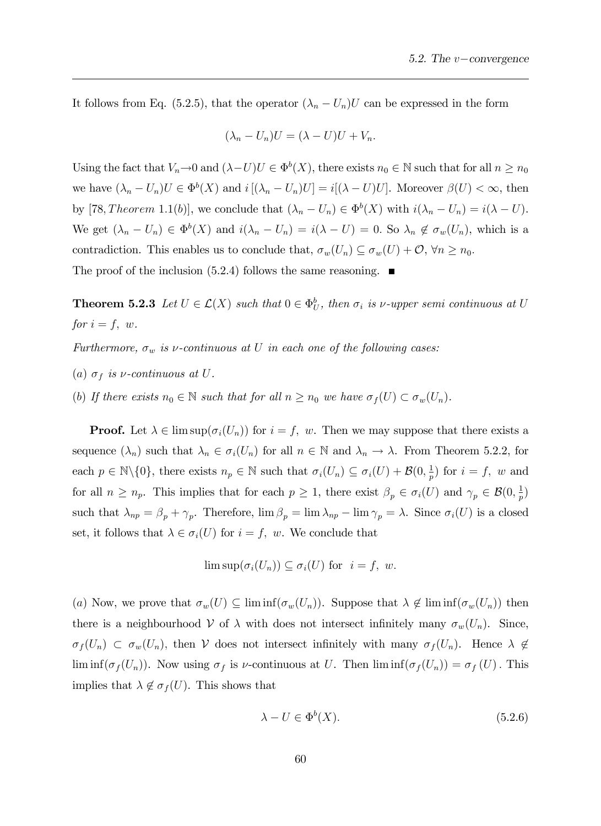It follows from Eq. (5.2.5), that the operator  $(\lambda_n - U_n)U$  can be expressed in the form

$$
(\lambda_n - U_n)U = (\lambda - U)U + V_n.
$$

Using the fact that  $V_n \to 0$  and  $(\lambda - U)U \in \Phi^b(X)$ , there exists  $n_0 \in \mathbb{N}$  such that for all  $n \ge n_0$ we have  $(\lambda_n - U_n)U \in \Phi^b(X)$  and  $i[(\lambda_n - U_n)U] = i[(\lambda - U)U]$ . Moreover  $\beta(U) < \infty$ , then by [78, Theorem 1.1(b)], we conclude that  $(\lambda_n - U_n) \in \Phi^b(X)$  with  $i(\lambda_n - U_n) = i(\lambda - U)$ . We get  $(\lambda_n - U_n) \in \Phi^b(X)$  and  $i(\lambda_n - U_n) = i(\lambda - U) = 0$ . So  $\lambda_n \notin \sigma_w(U_n)$ , which is a contradiction. This enables us to conclude that,  $\sigma_w(U_n) \subseteq \sigma_w(U) + \mathcal{O}, \forall n \geq n_0$ . The proof of the inclusion  $(5.2.4)$  follows the same reasoning.

**Theorem 5.2.3** Let  $U \in \mathcal{L}(X)$  such that  $0 \in \Phi_U^b$ , then  $\sigma_i$  is  $\nu$ -upper semi continuous at U for  $i = f$ , w.

Furthermore,  $\sigma_w$  is v-continuous at U in each one of the following cases:

- (a)  $\sigma_f$  is *v*-continuous at U.
- (b) If there exists  $n_0 \in \mathbb{N}$  such that for all  $n \geq n_0$  we have  $\sigma_f(U) \subset \sigma_w(U_n)$ .

**Proof.** Let  $\lambda \in \limsup(\sigma_i(U_n))$  for  $i = f$ , w. Then we may suppose that there exists a sequence  $(\lambda_n)$  such that  $\lambda_n \in \sigma_i(U_n)$  for all  $n \in \mathbb{N}$  and  $\lambda_n \to \lambda$ . From Theorem 5.2.2, for each  $p \in \mathbb{N}\backslash\{0\}$ , there exists  $n_p \in \mathbb{N}$  such that  $\sigma_i(U_n) \subseteq \sigma_i(U) + \mathcal{B}(0, \frac{1}{p})$  $(\frac{1}{p})$  for  $i = f$ , w and for all  $n \ge n_p$ . This implies that for each  $p \ge 1$ , there exist  $\beta_p \in \sigma_i(U)$  and  $\gamma_p \in \mathcal{B}(0, \frac{1}{p})$  $(\frac{1}{p})$ such that  $\lambda_{np} = \beta_p + \gamma_p$ . Therefore,  $\lim \beta_p = \lim \lambda_{np} - \lim \gamma_p = \lambda$ . Since  $\sigma_i(U)$  is a closed set, it follows that  $\lambda \in \sigma_i(U)$  for  $i = f$ , w. We conclude that

$$
\limsup(\sigma_i(U_n)) \subseteq \sigma_i(U) \text{ for } i = f, w.
$$

(a) Now, we prove that  $\sigma_w(U) \subseteq \liminf(\sigma_w(U_n))$ . Suppose that  $\lambda \notin \liminf(\sigma_w(U_n))$  then there is a neighbourhood V of  $\lambda$  with does not intersect infinitely many  $\sigma_w(U_n)$ . Since,  $\sigma_f(U_n) \subset \sigma_w(U_n)$ , then V does not intersect infinitely with many  $\sigma_f(U_n)$ . Hence  $\lambda \notin$  $\liminf(\sigma_f(U_n))$ . Now using  $\sigma_f$  is *v*-continuous at U. Then  $\liminf(\sigma_f(U_n)) = \sigma_f(U)$ . This implies that  $\lambda \notin \sigma_f(U)$ . This shows that

$$
\lambda - U \in \Phi^b(X). \tag{5.2.6}
$$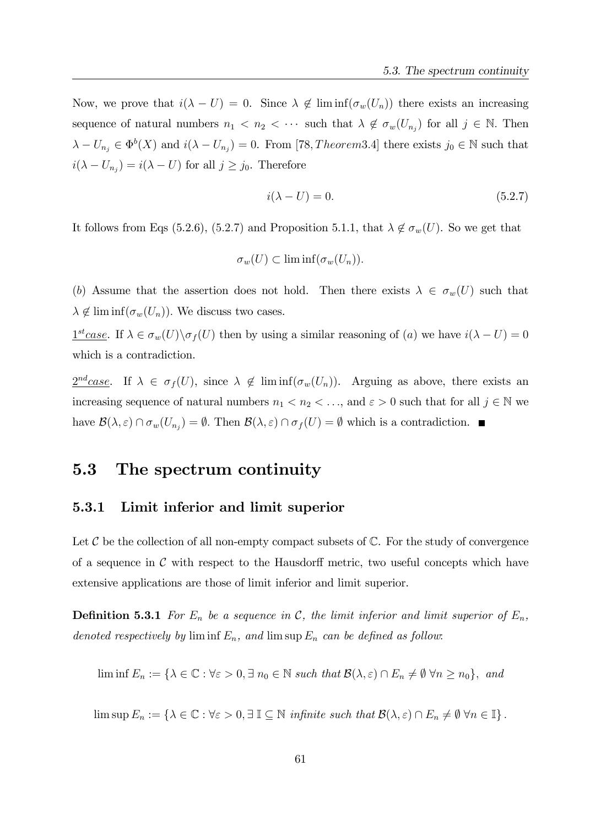Now, we prove that  $i(\lambda - U) = 0$ . Since  $\lambda \notin \liminf(\sigma_w(U_n))$  there exists an increasing sequence of natural numbers  $n_1 < n_2 < \cdots$  such that  $\lambda \notin \sigma_w(U_{n_j})$  for all  $j \in \mathbb{N}$ . Then  $\lambda - U_{n_j} \in \Phi^b(X)$  and  $i(\lambda - U_{n_j}) = 0$ . From [78, *Theorem* 3.4] there exists  $j_0 \in \mathbb{N}$  such that  $i(\lambda - U_{n_j}) = i(\lambda - U)$  for all  $j \ge j_0$ . Therefore

$$
i(\lambda - U) = 0.\t(5.2.7)
$$

It follows from Eqs (5.2.6), (5.2.7) and Proposition 5.1.1, that  $\lambda \notin \sigma_w(U)$ . So we get that

$$
\sigma_w(U) \subset \liminf (\sigma_w(U_n)).
$$

(b) Assume that the assertion does not hold. Then there exists  $\lambda \in \sigma_w(U)$  such that  $\lambda \notin \liminf(\sigma_w(U_n))$ . We discuss two cases.

 $\underline{1^{st}case}$ . If  $\lambda \in \sigma_w(U) \backslash \sigma_f(U)$  then by using a similar reasoning of  $(a)$  we have  $i(\lambda - U) = 0$ which is a contradiction.

 $2^{nd}case$ . If  $\lambda \in \sigma_f(U)$ , since  $\lambda \notin \liminf(\sigma_w(U_n))$ . Arguing as above, there exists an increasing sequence of natural numbers  $n_1 < n_2 < \ldots$ , and  $\varepsilon > 0$  such that for all  $j \in \mathbb{N}$  we have  $\mathcal{B}(\lambda,\varepsilon) \cap \sigma_w(U_{n_j}) = \emptyset$ . Then  $\mathcal{B}(\lambda,\varepsilon) \cap \sigma_f(U) = \emptyset$  which is a contradiction.

# 5.3 The spectrum continuity

#### 5.3.1 Limit inferior and limit superior

Let  $\mathcal C$  be the collection of all non-empty compact subsets of  $\mathbb C$ . For the study of convergence of a sequence in  $\mathcal C$  with respect to the Hausdorff metric, two useful concepts which have extensive applications are those of limit inferior and limit superior.

**Definition 5.3.1** For  $E_n$  be a sequence in C, the limit inferior and limit superior of  $E_n$ , denoted respectively by  $\liminf E_n$ , and  $\limsup E_n$  can be defined as follow:

$$
\liminf E_n := \{ \lambda \in \mathbb{C} : \forall \varepsilon > 0, \exists n_0 \in \mathbb{N} \text{ such that } \mathcal{B}(\lambda, \varepsilon) \cap E_n \neq \emptyset \ \forall n \ge n_0 \}, \text{ and}
$$

 $\limsup E_n := \{\lambda \in \mathbb{C} : \forall \varepsilon > 0, \exists \mathbb{I} \subseteq \mathbb{N} \text{ infinite such that } \mathcal{B}(\lambda, \varepsilon) \cap E_n \neq \emptyset \ \forall n \in \mathbb{I}\}\.$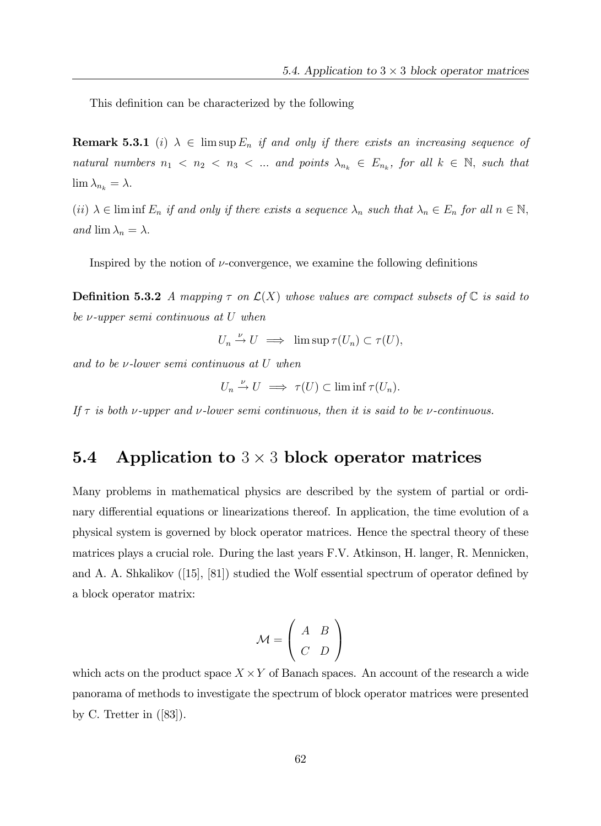This definition can be characterized by the following

**Remark 5.3.1** (i)  $\lambda \in \limsup E_n$  if and only if there exists an increasing sequence of natural numbers  $n_1 < n_2 < n_3 < ...$  and points  $\lambda_{n_k} \in E_{n_k}$ , for all  $k \in \mathbb{N}$ , such that  $\lim_{n \to \infty} \lambda_{n_k} = \lambda.$ 

(ii)  $\lambda \in \text{lim inf } E_n$  if and only if there exists a sequence  $\lambda_n$  such that  $\lambda_n \in E_n$  for all  $n \in \mathbb{N}$ , and  $\lim_{n \to \infty} \lambda_n = \lambda$ .

Inspired by the notion of  $\nu$ -convergence, we examine the following definitions

**Definition 5.3.2** A mapping  $\tau$  on  $\mathcal{L}(X)$  whose values are compact subsets of  $\mathbb{C}$  is said to be  $\nu$ -upper semi continuous at U when

$$
U_n \xrightarrow{\nu} U \implies \limsup \tau(U_n) \subset \tau(U),
$$

and to be  $\nu$ -lower semi continuous at U when

$$
U_n \xrightarrow{\nu} U \implies \tau(U) \subset \liminf \tau(U_n).
$$

If  $\tau$  is both v-upper and v-lower semi continuous, then it is said to be v-continuous.

# **5.4** Application to  $3 \times 3$  block operator matrices

Many problems in mathematical physics are described by the system of partial or ordinary differential equations or linearizations thereof. In application, the time evolution of a physical system is governed by block operator matrices. Hence the spectral theory of these matrices plays a crucial role. During the last years F.V. Atkinson, H. langer, R. Mennicken, and A. A. Shkalikov  $(15, 81)$  studied the Wolf essential spectrum of operator defined by a block operator matrix:

$$
\mathcal{M} = \left(\begin{array}{cc} A & B \\ C & D \end{array}\right)
$$

which acts on the product space  $X \times Y$  of Banach spaces. An account of the research a wide panorama of methods to investigate the spectrum of block operator matrices were presented by C. Tretter in  $([83])$ .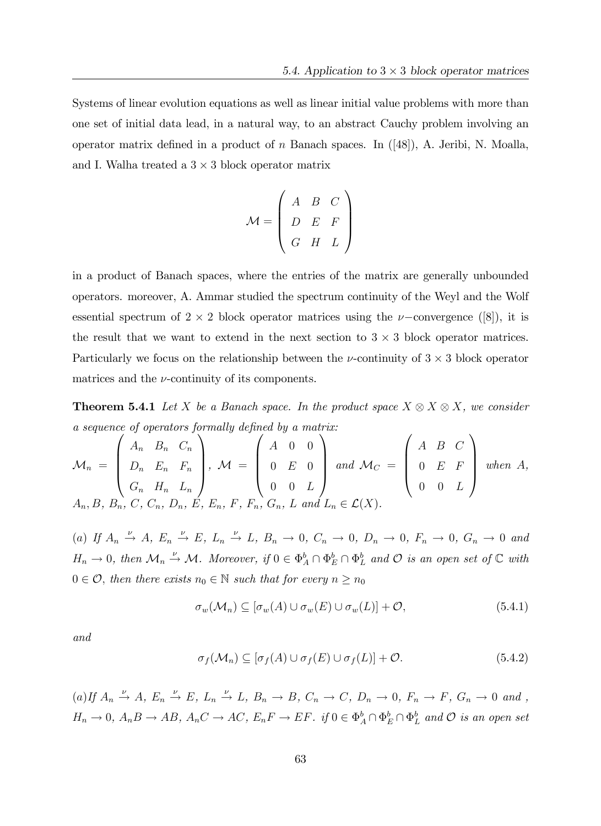Systems of linear evolution equations as well as linear initial value problems with more than one set of initial data lead, in a natural way, to an abstract Cauchy problem involving an operator matrix defined in a product of n Banach spaces. In  $([48])$ , A. Jeribi, N. Moalla, and I. Walha treated a  $3 \times 3$  block operator matrix

$$
\mathcal{M} = \left(\begin{array}{ccc} A & B & C \\ D & E & F \\ G & H & L \end{array}\right)
$$

in a product of Banach spaces, where the entries of the matrix are generally unbounded operators. moreover, A. Ammar studied the spectrum continuity of the Weyl and the Wolf essential spectrum of  $2 \times 2$  block operator matrices using the  $\nu$ -convergence ([8]), it is the result that we want to extend in the next section to  $3 \times 3$  block operator matrices. Particularly we focus on the relationship between the  $\nu$ -continuity of  $3 \times 3$  block operator matrices and the  $\nu$ -continuity of its components.

**Theorem 5.4.1** Let X be a Banach space. In the product space  $X \otimes X \otimes X$ , we consider a sequence of operators formally defined by a matrix:

$$
\mathcal{M}_n = \begin{pmatrix} A_n & B_n & C_n \\ D_n & E_n & F_n \\ G_n & H_n & L_n \end{pmatrix}, \ \mathcal{M} = \begin{pmatrix} A & 0 & 0 \\ 0 & E & 0 \\ 0 & 0 & L \end{pmatrix} \text{ and } \mathcal{M}_C = \begin{pmatrix} A & B & C \\ 0 & E & F \\ 0 & 0 & L \end{pmatrix} \text{ when } A,
$$
  
 $A_n, B, B_n, C, C_n, D_n, E, E_n, F, F_n, G_n, L \text{ and } L_n \in \mathcal{L}(X).$ 

(a) If  $A_n \stackrel{\nu}{\rightarrow} A$ ,  $E_n \stackrel{\nu}{\rightarrow} E$ ,  $L_n \stackrel{\nu}{\rightarrow} L$ ,  $B_n \rightarrow 0$ ,  $C_n \rightarrow 0$ ,  $D_n \rightarrow 0$ ,  $F_n \rightarrow 0$ ,  $G_n \rightarrow 0$  and  $H_n \to 0$ , then  $\mathcal{M}_n \stackrel{\nu}{\to} \mathcal{M}$ . Moreover, if  $0 \in \Phi_A^b \cap \Phi_E^b \cap \Phi_L^b$  and  $\mathcal{O}$  is an open set of  $\mathbb C$  with  $0 \in \mathcal{O}$ , then there exists  $n_0 \in \mathbb{N}$  such that for every  $n \geq n_0$ 

$$
\sigma_w(\mathcal{M}_n) \subseteq [\sigma_w(A) \cup \sigma_w(E) \cup \sigma_w(L)] + \mathcal{O},\tag{5.4.1}
$$

and

$$
\sigma_f(\mathcal{M}_n) \subseteq [\sigma_f(A) \cup \sigma_f(E) \cup \sigma_f(L)] + \mathcal{O}.
$$
\n(5.4.2)

(a) If  $A_n \stackrel{\nu}{\to} A$ ,  $E_n \stackrel{\nu}{\to} E$ ,  $L_n \stackrel{\nu}{\to} L$ ,  $B_n \to B$ ,  $C_n \to C$ ,  $D_n \to 0$ ,  $F_n \to F$ ,  $G_n \to 0$  and,  $H_n \to 0$ ,  $A_n B \to AB$ ,  $A_n C \to AC$ ,  $E_n F \to EF$ . if  $0 \in \Phi_A^b \cap \Phi_E^b \cap \Phi_L^b$  and  $\mathcal O$  is an open set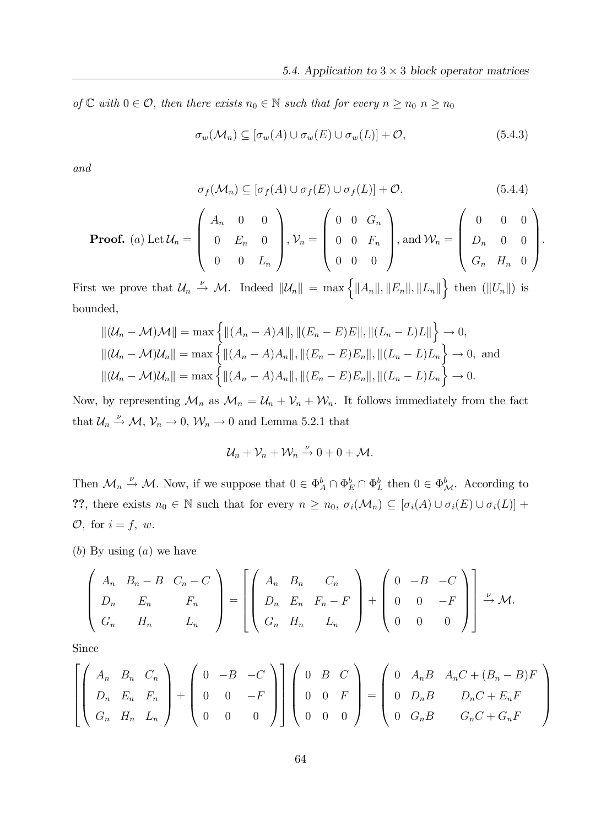of  $\mathbb C$  with  $0 \in \mathcal O$ , then there exists  $n_0 \in \mathbb N$  such that for every  $n \geq n_0$   $n \geq n_0$ 

$$
\sigma_w(\mathcal{M}_n) \subseteq [\sigma_w(A) \cup \sigma_w(E) \cup \sigma_w(L)] + \mathcal{O},\tag{5.4.3}
$$

and

$$
\sigma_f(\mathcal{M}_n) \subseteq [\sigma_f(A) \cup \sigma_f(E) \cup \sigma_f(L)] + \mathcal{O}.
$$
\n(5.4.4)

**Proof.** (a) Let 
$$
U_n = \begin{pmatrix} A_n & 0 & 0 \ 0 & E_n & 0 \ 0 & 0 & L_n \end{pmatrix}
$$
,  $V_n = \begin{pmatrix} 0 & 0 & G_n \ 0 & 0 & F_n \ 0 & 0 & 0 \end{pmatrix}$ , and  $W_n = \begin{pmatrix} 0 & 0 & 0 \ D_n & 0 & 0 \ G_n & H_n & 0 \end{pmatrix}$ .

First we prove that  $\mathcal{U}_n \stackrel{\nu}{\rightarrow} \mathcal{M}$ . Indeed  $\|\mathcal{U}_n\| = \max \{||A_n||, ||E_n||, ||L_n||\}$  then  $(||U_n||)$  is bounded,

$$
\| (\mathcal{U}_n - \mathcal{M})\mathcal{M} \| = \max \left\{ \| (A_n - A)A \|, \| (E_n - E)E \|, \| (L_n - L)L \| \right\} \to 0,
$$
  

$$
\| (\mathcal{U}_n - \mathcal{M})\mathcal{U}_n \| = \max \left\{ \| (A_n - A)A_n \|, \| (E_n - E)E_n \|, \| (L_n - L)L_n \right\} \to 0,
$$
and  

$$
\| (\mathcal{U}_n - \mathcal{M})\mathcal{U}_n \| = \max \left\{ \| (A_n - A)A_n \|, \| (E_n - E)E_n \|, \| (L_n - L)L_n \right\} \to 0.
$$

Now, by representing  $\mathcal{M}_n$  as  $\mathcal{M}_n = \mathcal{U}_n + \mathcal{V}_n + \mathcal{W}_n$ . It follows immediately from the fact that  $\mathcal{U}_n \stackrel{\nu}{\rightarrow} \mathcal{M}, \mathcal{V}_n \rightarrow 0, \mathcal{W}_n \rightarrow 0$  and Lemma 5.2.1 that

$$
\mathcal{U}_n+\mathcal{V}_n+\mathcal{W}_n\stackrel{\nu}{\to}0+0+\mathcal{M}.
$$

Then  $\mathcal{M}_n \stackrel{\nu}{\to} \mathcal{M}$ . Now, if we suppose that  $0 \in \Phi_A^b \cap \Phi_E^b \cap \Phi_L^b$  then  $0 \in \Phi_{\mathcal{M}}^b$ . According to ??, there exists  $n_0 \in \mathbb{N}$  such that for every  $n \ge n_0$ ,  $\sigma_i(\mathcal{M}_n) \subseteq [\sigma_i(A) \cup \sigma_i(E) \cup \sigma_i(L)] +$  $\mathcal{O},$  for  $i = f, w$ .

 $(b)$  By using  $(a)$  we have

$$
\begin{pmatrix} A_n & B_n - B & C_n - C \ D_n & E_n & F_n \ G_n & H_n & L_n \end{pmatrix} = \begin{bmatrix} A_n & B_n & C_n \ D_n & E_n & F_n - F \ G_n & H_n & L_n \end{bmatrix} + \begin{pmatrix} 0 & -B & -C \ 0 & 0 & -F \ 0 & 0 & 0 \end{pmatrix} \xrightarrow{\nu} M.
$$

Since

$$
\left[\begin{pmatrix} A_n & B_n & C_n \ D_n & E_n & F_n \ G_n & H_n & L_n \end{pmatrix} + \begin{pmatrix} 0 & -B & -C \ 0 & 0 & -F \ 0 & 0 & 0 \end{pmatrix} \right] \begin{pmatrix} 0 & B & C \ 0 & 0 & F \ 0 & 0 & 0 \end{pmatrix} = \begin{pmatrix} 0 & A_nB & A_nC + (B_n - B)F \ 0 & D_nB & D_nC + E_nF \ 0 & G_nB & G_nC + G_nF \end{pmatrix}
$$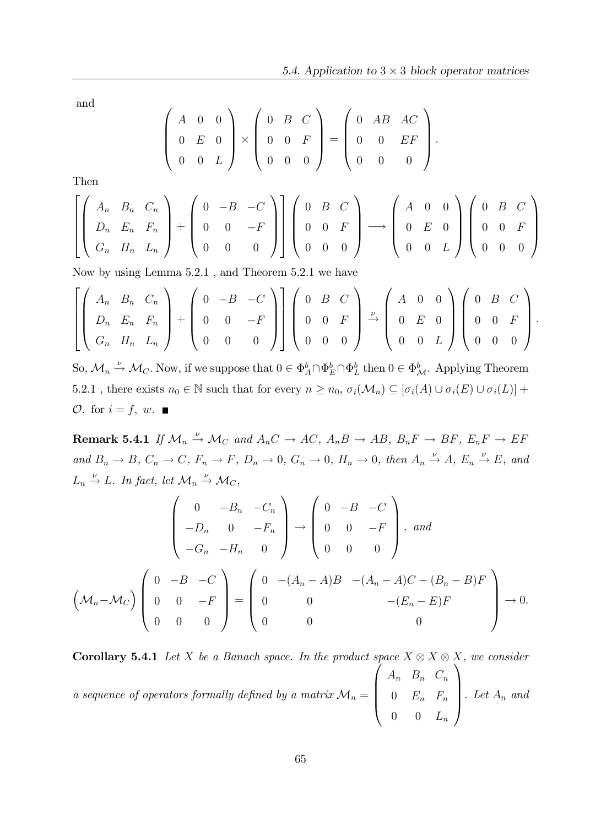:

and

$$
\left(\begin{array}{ccc} A & 0 & 0 \\ 0 & E & 0 \\ 0 & 0 & L \end{array}\right) \times \left(\begin{array}{ccc} 0 & B & C \\ 0 & 0 & F \\ 0 & 0 & 0 \end{array}\right) = \left(\begin{array}{ccc} 0 & AB & AC \\ 0 & 0 & EF \\ 0 & 0 & 0 \end{array}\right)
$$

Then

$$
\left[\begin{pmatrix} A_n & B_n & C_n \\ D_n & E_n & F_n \\ G_n & H_n & L_n \end{pmatrix} + \begin{pmatrix} 0 & -B & -C \\ 0 & 0 & -F \\ 0 & 0 & 0 \end{pmatrix} \right] \left(\begin{pmatrix} 0 & B & C \\ 0 & 0 & F \\ 0 & 0 & 0 \end{pmatrix} \longrightarrow \begin{pmatrix} A & 0 & 0 \\ 0 & E & 0 \\ 0 & 0 & L \end{pmatrix} \begin{pmatrix} 0 & B & C \\ 0 & 0 & F \\ 0 & 0 & 0 \end{pmatrix}
$$

Now by using Lemma 5.2.1 , and Theorem 5.2.1 we have

$$
\left[\begin{pmatrix} A_n & B_n & C_n \ D_n & E_n & F_n \ G_n & H_n & L_n \end{pmatrix} + \begin{pmatrix} 0 & -B & -C \ 0 & 0 & -F \ 0 & 0 & 0 \end{pmatrix} \right] \begin{pmatrix} 0 & B & C \ 0 & 0 & F \ 0 & 0 & 0 \end{pmatrix} \xrightarrow{\nu} \begin{pmatrix} A & 0 & 0 \ 0 & E & 0 \ 0 & 0 & L \end{pmatrix} \begin{pmatrix} 0 & B & C \ 0 & 0 & F \ 0 & 0 & 0 \end{pmatrix}.
$$

So,  $\mathcal{M}_n \stackrel{\nu}{\to} \mathcal{M}_C$ . Now, if we suppose that  $0 \in \Phi_A^b \cap \Phi_E^b \cap \Phi_L^b$  then  $0 \in \Phi_{\mathcal{M}}^b$ . Applying Theorem 5.2.1, there exists  $n_0 \in \mathbb{N}$  such that for every  $n \geq n_0$ ,  $\sigma_i(\mathcal{M}_n) \subseteq [\sigma_i(A) \cup \sigma_i(E) \cup \sigma_i(L)] +$  $\mathcal{O},$  for  $i = f, w$ .

**Remark 5.4.1** If  $\mathcal{M}_n \stackrel{\nu}{\rightarrow} \mathcal{M}_C$  and  $A_nC \rightarrow AC$ ,  $A_nB \rightarrow AB$ ,  $B_nF \rightarrow BF$ ,  $E_nF \rightarrow EF$ and  $B_n \to B$ ,  $C_n \to C$ ,  $F_n \to F$ ,  $D_n \to 0$ ,  $G_n \to 0$ ,  $H_n \to 0$ , then  $A_n \xrightarrow{\nu} A$ ,  $E_n \xrightarrow{\nu} E$ , and  $L_n \stackrel{\nu}{\to} L$ . In fact, let  $\mathcal{M}_n \stackrel{\nu}{\to} \mathcal{M}_C$ ,

$$
\begin{pmatrix}\n0 & -B_n & -C_n \\
-D_n & 0 & -F_n \\
-G_n & -H_n & 0\n\end{pmatrix} \rightarrow \begin{pmatrix}\n0 & -B & -C \\
0 & 0 & -F \\
0 & 0 & 0\n\end{pmatrix}, and
$$
\n
$$
\left(\mathcal{M}_n - \mathcal{M}_C\right) \begin{pmatrix}\n0 & -B & -C \\
0 & -B & -C \\
0 & 0 & -A_n - A\end{pmatrix} = \begin{pmatrix}\n0 & -(A_n - A)B & -(A_n - A)C - (B_n - B)F \\
0 & 0 & -(E_n - E)F \\
0 & 0 & 0\n\end{pmatrix} \rightarrow 0.
$$

**Corollary 5.4.1** Let X be a Banach space. In the product space  $X \otimes X \otimes X$ , we consider a sequence of operators formally defined by a matrix  $\mathcal{M}_n =$  $\overline{1}$  $\overline{\phantom{a}}$  $A_n$   $B_n$   $C_n$  $0 \t E_n \t F_n$  $0 \t 0 \t L_n$  $\setminus$  $\bigg\}$ . Let  $A_n$  and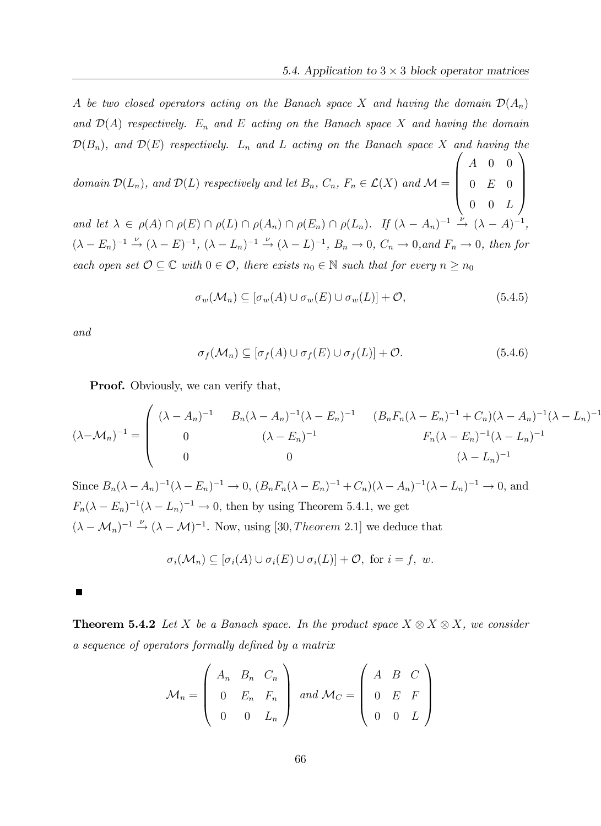A be two closed operators acting on the Banach space X and having the domain  $\mathcal{D}(A_n)$ and  $\mathcal{D}(A)$  respectively.  $E_n$  and E acting on the Banach space X and having the domain  $\mathcal{D}(B_n)$ , and  $\mathcal{D}(E)$  respectively.  $L_n$  and  $L$  acting on the Banach space X and having the  $\sqrt{ }$  $\setminus$ 

domain  $\mathcal{D}(L_n)$ , and  $\mathcal{D}(L)$  respectively and let  $B_n$ ,  $C_n$ ,  $F_n \in \mathcal{L}(X)$  and  $\mathcal{M} =$  $\overline{\phantom{a}}$ A 0 0  $0 E 0$  $0 \quad 0 \quad L$  $\Big\}$ and let  $\lambda \in \rho(A) \cap \rho(E) \cap \rho(L) \cap \rho(A_n) \cap \rho(E_n) \cap \rho(L_n)$ . If  $(\lambda - A_n)^{-1} \stackrel{\nu}{\to} (\lambda - A)$  $^{-1}$ ,  $(\lambda - E_n)^{-1} \stackrel{\nu}{\rightarrow} (\lambda - E)^{-1}, (\lambda - L_n)^{-1} \stackrel{\nu}{\rightarrow} (\lambda - L)^{-1}, B_n \rightarrow 0, C_n \rightarrow 0, and F_n \rightarrow 0, then for$ each open set  $\mathcal{O} \subseteq \mathbb{C}$  with  $0 \in \mathcal{O}$ , there exists  $n_0 \in \mathbb{N}$  such that for every  $n \geq n_0$ 

$$
\sigma_w(\mathcal{M}_n) \subseteq [\sigma_w(A) \cup \sigma_w(E) \cup \sigma_w(L)] + \mathcal{O},\tag{5.4.5}
$$

and

$$
\sigma_f(\mathcal{M}_n) \subseteq [\sigma_f(A) \cup \sigma_f(E) \cup \sigma_f(L)] + \mathcal{O}.
$$
\n(5.4.6)

**Proof.** Obviously, we can verify that,

$$
(\lambda - \mathcal{M}_n)^{-1} = \begin{pmatrix} (\lambda - A_n)^{-1} & B_n(\lambda - A_n)^{-1}(\lambda - E_n)^{-1} & (B_n F_n(\lambda - E_n)^{-1} + C_n)(\lambda - A_n)^{-1}(\lambda - L_n)^{-1} \\ 0 & (\lambda - E_n)^{-1} & F_n(\lambda - E_n)^{-1}(\lambda - L_n)^{-1} \\ 0 & 0 & (\lambda - L_n)^{-1} \end{pmatrix}
$$

Since  $B_n(\lambda - A_n)^{-1}(\lambda - E_n)^{-1} \to 0$ ,  $(B_n F_n(\lambda - E_n)^{-1} + C_n)(\lambda - A_n)^{-1}(\lambda - L_n)^{-1} \to 0$ , and  $F_n(\lambda - E_n)^{-1}(\lambda - L_n)^{-1} \to 0$ , then by using Theorem 5.4.1, we get  $(\lambda - \mathcal{M}_n)^{-1} \stackrel{\nu}{\rightarrow} (\lambda - \mathcal{M})^{-1}$ . Now, using [30, *Theorem* 2.1] we deduce that

$$
\sigma_i(\mathcal{M}_n) \subseteq [\sigma_i(A) \cup \sigma_i(E) \cup \sigma_i(L)] + \mathcal{O}, \text{ for } i = f, w.
$$

**Theorem 5.4.2** Let X be a Banach space. In the product space  $X \otimes X \otimes X$ , we consider a sequence of operators formally defined by a matrix

$$
\mathcal{M}_n = \left( \begin{array}{ccc} A_n & B_n & C_n \\ 0 & E_n & F_n \\ 0 & 0 & L_n \end{array} \right) \text{ and } \mathcal{M}_C = \left( \begin{array}{ccc} A & B & C \\ 0 & E & F \\ 0 & 0 & L \end{array} \right)
$$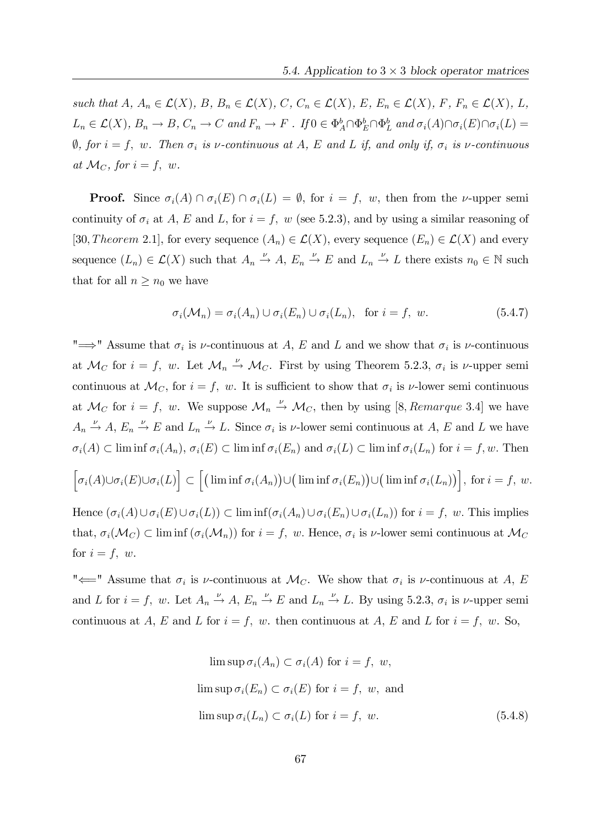such that  $A, A_n \in \mathcal{L}(X), B, B_n \in \mathcal{L}(X), C, C_n \in \mathcal{L}(X), E, E_n \in \mathcal{L}(X), F, F_n \in \mathcal{L}(X), L$  $L_n \in \mathcal{L}(X)$ ,  $B_n \to B$ ,  $C_n \to C$  and  $F_n \to F$ . If  $0 \in \Phi_A^b \cap \Phi_E^b \cap \Phi_L^b$  and  $\sigma_i(A) \cap \sigma_i(E) \cap \sigma_i(L) =$  $\emptyset$ , for  $i = f$ , w. Then  $\sigma_i$  is  $\nu$ -continuous at A, E and L if, and only if,  $\sigma_i$  is  $\nu$ -continuous at  $\mathcal{M}_C$ , for  $i = f$ , w.

**Proof.** Since  $\sigma_i(A) \cap \sigma_i(E) \cap \sigma_i(L) = \emptyset$ , for  $i = f$ , w, then from the *v*-upper semi continuity of  $\sigma_i$  at A, E and L, for  $i = f$ , w (see 5.2.3), and by using a similar reasoning of [30, Theorem 2.1], for every sequence  $(A_n) \in \mathcal{L}(X)$ , every sequence  $(E_n) \in \mathcal{L}(X)$  and every sequence  $(L_n) \in \mathcal{L}(X)$  such that  $A_n \stackrel{\nu}{\to} A$ ,  $E_n \stackrel{\nu}{\to} E$  and  $L_n \stackrel{\nu}{\to} L$  there exists  $n_0 \in \mathbb{N}$  such that for all  $n \geq n_0$  we have

$$
\sigma_i(\mathcal{M}_n) = \sigma_i(A_n) \cup \sigma_i(E_n) \cup \sigma_i(L_n), \text{ for } i = f, w.
$$
 (5.4.7)

" $\implies$ " Assume that  $\sigma_i$  is  $\nu$ -continuous at A, E and L and we show that  $\sigma_i$  is  $\nu$ -continuous at  $\mathcal{M}_C$  for  $i = f$ , w. Let  $\mathcal{M}_n \stackrel{\nu}{\rightarrow} \mathcal{M}_C$ . First by using Theorem 5.2.3,  $\sigma_i$  is  $\nu$ -upper semi continuous at  $\mathcal{M}_C$ , for  $i = f$ , w. It is sufficient to show that  $\sigma_i$  is  $\nu$ -lower semi continuous at  $\mathcal{M}_C$  for  $i = f$ , w. We suppose  $\mathcal{M}_n \stackrel{\nu}{\rightarrow} \mathcal{M}_C$ , then by using [8, *Remarque* 3.4] we have  $A_n \xrightarrow{\nu} A$ ,  $E_n \xrightarrow{\nu} E$  and  $L_n \xrightarrow{\nu} L$ . Since  $\sigma_i$  is  $\nu$ -lower semi continuous at A, E and L we have  $\sigma_i(A) \subset \liminf \sigma_i(A_n), \sigma_i(E) \subset \liminf \sigma_i(E_n)$  and  $\sigma_i(L) \subset \liminf \sigma_i(L_n)$  for  $i = f, w$ . Then  $\Big[ \sigma_i(A) \cup \sigma_i(E) \cup \sigma_i(L) \Big]$  $\subset \left[ \left( \text{lim inf } \sigma_i(A_n) \right) \cup \left( \text{lim inf } \sigma_i(E_n) \right) \cup \left( \text{lim inf } \sigma_i(L_n) \right) \right], \text{ for } i = f, w.$ Hence  $(\sigma_i(A)\cup\sigma_i(E)\cup\sigma_i(L))\subset\liminf(\sigma_i(A_n)\cup\sigma_i(E_n)\cup\sigma_i(L_n))$  for  $i = f$ , w. This implies

that,  $\sigma_i(\mathcal{M}_C) \subset \liminf (\sigma_i(\mathcal{M}_n))$  for  $i = f$ , w. Hence,  $\sigma_i$  is  $\nu$ -lower semi continuous at  $\mathcal{M}_C$ for  $i = f$ , w.

" $\Longleftarrow$ " Assume that  $\sigma_i$  is  $\nu$ -continuous at  $\mathcal{M}_C$ . We show that  $\sigma_i$  is  $\nu$ -continuous at  $A$ ,  $E$ and L for  $i = f$ , w. Let  $A_n \stackrel{\nu}{\rightarrow} A$ ,  $E_n \stackrel{\nu}{\rightarrow} E$  and  $L_n \stackrel{\nu}{\rightarrow} L$ . By using 5.2.3,  $\sigma_i$  is  $\nu$ -upper semi continuous at A, E and L for  $i = f$ , w. then continuous at A, E and L for  $i = f$ , w. So,

$$
\limsup \sigma_i(A_n) \subset \sigma_i(A) \text{ for } i = f, w,
$$
  

$$
\limsup \sigma_i(E_n) \subset \sigma_i(E) \text{ for } i = f, w, \text{ and}
$$
  

$$
\limsup \sigma_i(L_n) \subset \sigma_i(L) \text{ for } i = f, w.
$$
 (5.4.8)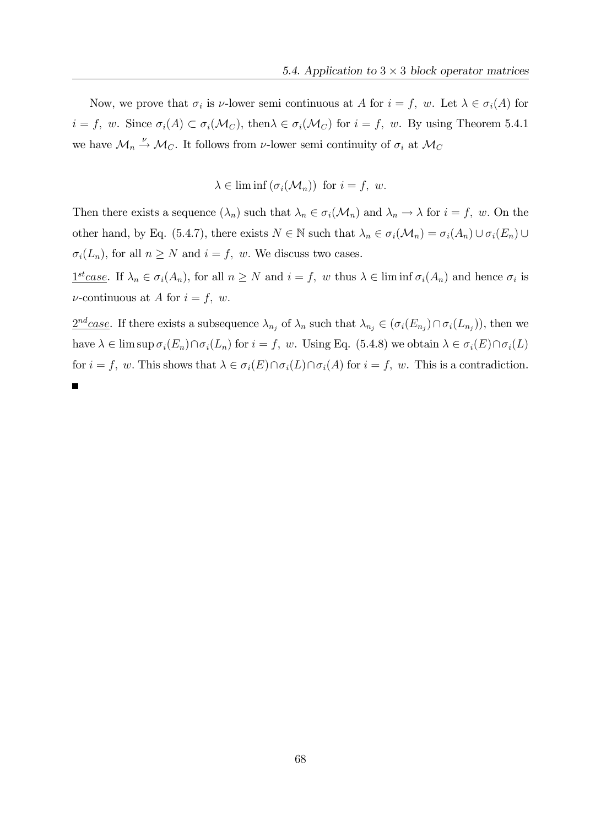Now, we prove that  $\sigma_i$  is  $\nu$ -lower semi continuous at A for  $i = f$ , w. Let  $\lambda \in \sigma_i(A)$  for  $i = f$ , w. Since  $\sigma_i(A) \subset \sigma_i(\mathcal{M}_C)$ , then  $\lambda \in \sigma_i(\mathcal{M}_C)$  for  $i = f$ , w. By using Theorem 5.4.1 we have  $\mathcal{M}_n \stackrel{\nu}{\rightarrow} \mathcal{M}_C$ . It follows from  $\nu$ -lower semi continuity of  $\sigma_i$  at  $\mathcal{M}_C$ 

$$
\lambda \in \liminf (\sigma_i(\mathcal{M}_n)) \text{ for } i = f, w.
$$

Then there exists a sequence  $(\lambda_n)$  such that  $\lambda_n \in \sigma_i(\mathcal{M}_n)$  and  $\lambda_n \to \lambda$  for  $i = f$ , w. On the other hand, by Eq. (5.4.7), there exists  $N \in \mathbb{N}$  such that  $\lambda_n \in \sigma_i(\mathcal{M}_n) = \sigma_i(A_n) \cup \sigma_i(E_n) \cup$  $\sigma_i(L_n)$ , for all  $n \geq N$  and  $i = f$ , w. We discuss two cases.

 $\underline{1^{st}case}$ . If  $\lambda_n \in \sigma_i(A_n)$ , for all  $n \geq N$  and  $i = f$ , w thus  $\lambda \in \liminf \sigma_i(A_n)$  and hence  $\sigma_i$  is  $\nu$ -continuous at A for  $i = f, w$ .

 $\frac{2^{nd}case}{\sigma_i}(E_{n_j})\cap \sigma_i(L_{n_j}))$ , then we have  $\lambda \in \limsup \sigma_i(E_n) \cap \sigma_i(L_n)$  for  $i = f$ , w. Using Eq. (5.4.8) we obtain  $\lambda \in \sigma_i(E) \cap \sigma_i(L)$ for  $i = f$ , w. This shows that  $\lambda \in \sigma_i(E) \cap \sigma_i(L) \cap \sigma_i(A)$  for  $i = f$ , w. This is a contradiction.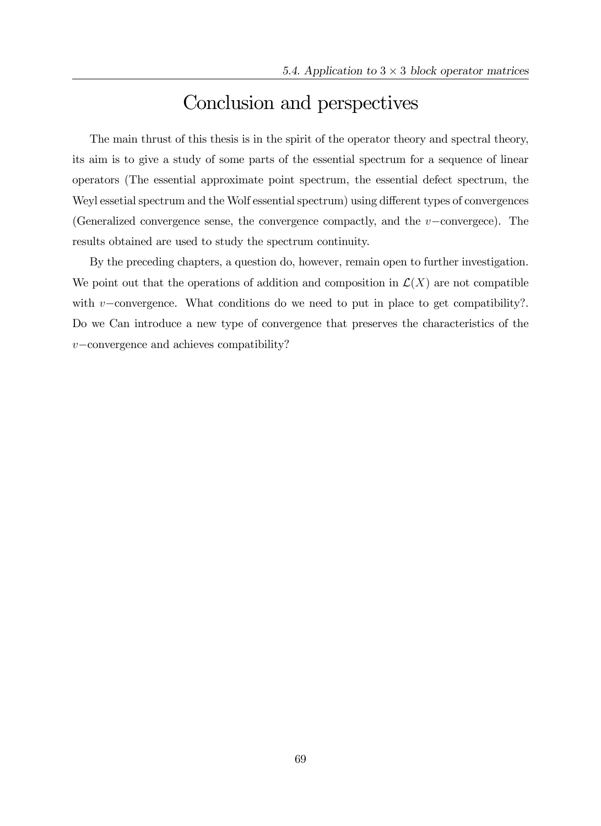## Conclusion and perspectives

The main thrust of this thesis is in the spirit of the operator theory and spectral theory, its aim is to give a study of some parts of the essential spectrum for a sequence of linear operators (The essential approximate point spectrum, the essential defect spectrum, the Weyl essetial spectrum and the Wolf essential spectrum) using different types of convergences (Generalized convergence sense, the convergence compactly, and the  $v$ -convergece). The results obtained are used to study the spectrum continuity.

By the preceding chapters, a question do, however, remain open to further investigation. We point out that the operations of addition and composition in  $\mathcal{L}(X)$  are not compatible with  $v$ -convergence. What conditions do we need to put in place to get compatibility?. Do we Can introduce a new type of convergence that preserves the characteristics of the  $v$ -convergence and achieves compatibility?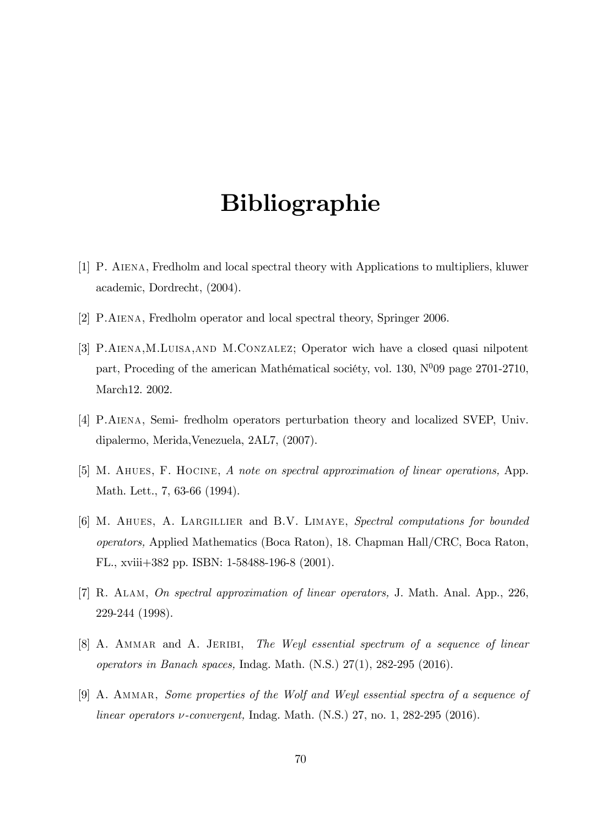## Bibliographie

- [1] P. Aiena, Fredholm and local spectral theory with Applications to multipliers, kluwer academic, Dordrecht, (2004).
- [2] P.Aiena, Fredholm operator and local spectral theory, Springer 2006.
- [3] P.Aiena,M.Luisa,and M.Conzalez; Operator wich have a closed quasi nilpotent part, Proceding of the american Mathématical sociéty, vol. 130,  $N^{0}09$  page 2701-2710, March12. 2002.
- [4] P.Aiena, Semi- fredholm operators perturbation theory and localized SVEP, Univ. dipalermo, Merida,Venezuela, 2AL7, (2007).
- [5] M. Ahues, F. Hocine, A note on spectral approximation of linear operations, App. Math. Lett., 7, 63-66 (1994).
- [6] M. Ahues, A. Largillier and B.V. Limaye, Spectral computations for bounded operators, Applied Mathematics (Boca Raton), 18. Chapman Hall/CRC, Boca Raton, FL., xviii+382 pp. ISBN: 1-58488-196-8 (2001).
- [7] R. Alam, On spectral approximation of linear operators, J. Math. Anal. App., 226, 229-244 (1998).
- [8] A. AMMAR and A. JERIBI, The Weyl essential spectrum of a sequence of linear operators in Banach spaces, Indag. Math. (N.S.) 27(1), 282-295 (2016).
- [9] A. AMMAR, Some properties of the Wolf and Weyl essential spectra of a sequence of linear operators  $\nu$ -convergent, Indag. Math. (N.S.) 27, no. 1, 282-295 (2016).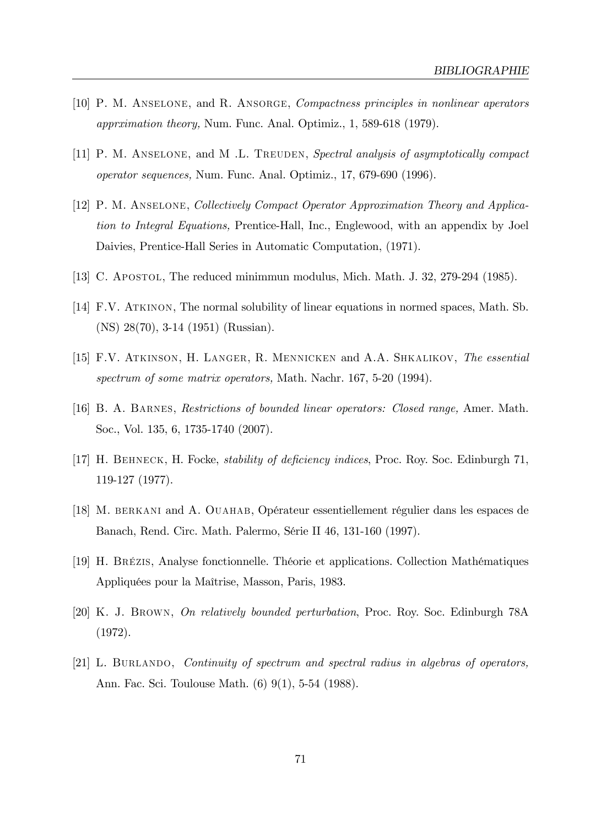- [10] P. M. Anselone, and R. Ansorge, Compactness principles in nonlinear aperators apprximation theory, Num. Func. Anal. Optimiz., 1, 589-618 (1979).
- [11] P. M. ANSELONE, and M.L. TREUDEN, Spectral analysis of asymptotically compact operator sequences, Num. Func. Anal. Optimiz., 17, 679-690 (1996).
- [12] P. M. Anselone, Collectively Compact Operator Approximation Theory and Application to Integral Equations, Prentice-Hall, Inc., Englewood, with an appendix by Joel Daivies, Prentice-Hall Series in Automatic Computation, (1971).
- [13] C. Apostol, The reduced minimmun modulus, Mich. Math. J. 32, 279-294 (1985).
- [14] F.V. ATKINON, The normal solubility of linear equations in normed spaces, Math. Sb. (NS) 28(70), 3-14 (1951) (Russian).
- [15] F.V. Atkinson, H. Langer, R. Mennicken and A.A. Shkalikov, The essential spectrum of some matrix operators, Math. Nachr. 167, 5-20 (1994).
- [16] B. A. Barnes, Restrictions of bounded linear operators: Closed range, Amer. Math. Soc., Vol. 135, 6, 1735-1740 (2007).
- [17] H. BEHNECK, H. Focke, *stability of deficiency indices*, Proc. Roy. Soc. Edinburgh 71, 119-127 (1977).
- [18] M. BERKANI and A. OUAHAB, Opérateur essentiellement régulier dans les espaces de Banach, Rend. Circ. Math. Palermo, SÈrie II 46, 131-160 (1997).
- [19] H. BrÈzis, Analyse fonctionnelle. ThÈorie et applications. Collection MathÈmatiques Appliquées pour la Maîtrise, Masson, Paris, 1983.
- [20] K. J. Brown, On relatively bounded perturbation, Proc. Roy. Soc. Edinburgh 78A (1972).
- [21] L. Burlando, Continuity of spectrum and spectral radius in algebras of operators, Ann. Fac. Sci. Toulouse Math. (6) 9(1), 5-54 (1988).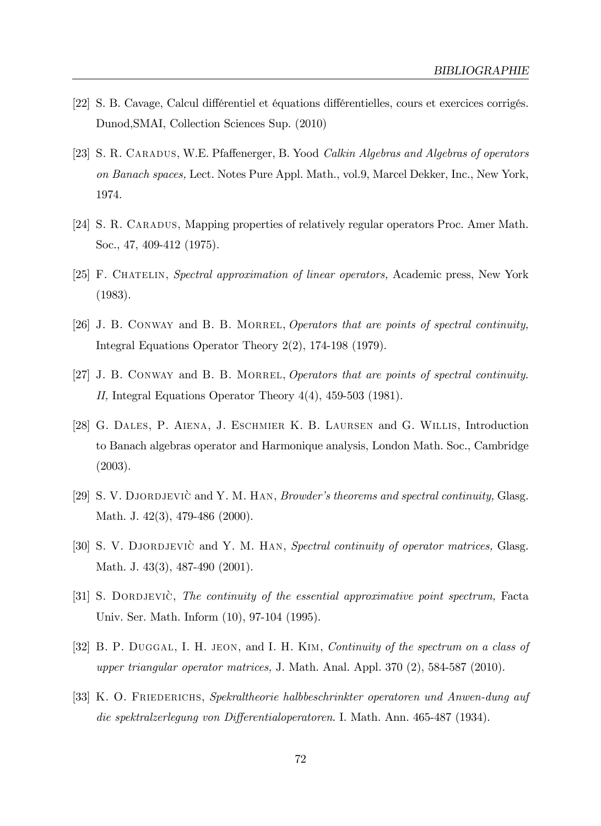- [22] S. B. Cavage, Calcul différentiel et équations différentielles, cours et exercices corrigés. Dunod,SMAI, Collection Sciences Sup. (2010)
- [23] S. R. CARADUS, W.E. Pfaffenerger, B. Yood *Calkin Algebras and Algebras of operators* on Banach spaces, Lect. Notes Pure Appl. Math., vol.9, Marcel Dekker, Inc., New York, 1974.
- [24] S. R. CARADUS, Mapping properties of relatively regular operators Proc. Amer Math. Soc., 47, 409-412 (1975).
- [25] F. Chatelin, Spectral approximation of linear operators, Academic press, New York (1983).
- [26] J. B. CONWAY and B. B. MORREL, Operators that are points of spectral continuity, Integral Equations Operator Theory 2(2), 174-198 (1979).
- [27] J. B. CONWAY and B. B. MORREL, *Operators that are points of spectral continuity*. II, Integral Equations Operator Theory 4(4), 459-503 (1981).
- [28] G. Dales, P. Aiena, J. Eschmier K. B. Laursen and G. Willis, Introduction to Banach algebras operator and Harmonique analysis, London Math. Soc., Cambridge (2003).
- [29] S. V. DJORDJEVIC and Y. M. HAN, *Browder's theorems and spectral continuity*, Glasg. Math. J. 42(3), 479-486 (2000).
- [30] S. V. DJORDJEVIC and Y. M. HAN, Spectral continuity of operator matrices, Glasg. Math. J. 43(3), 487-490 (2001).
- [31] S. DORDJEVIC, The continuity of the essential approximative point spectrum, Facta Univ. Ser. Math. Inform (10), 97-104 (1995).
- [32] B. P. DUGGAL, I. H. JEON, and I. H. KIM, Continuity of the spectrum on a class of upper triangular operator matrices, J. Math. Anal. Appl. 370 (2), 584-587 (2010).
- [33] K. O. Friederichs, Spekraltheorie halbbeschrinkter operatoren und Anwen-dung auf die spektralzerlegung von Differentialoperatoren. I. Math. Ann. 465-487 (1934).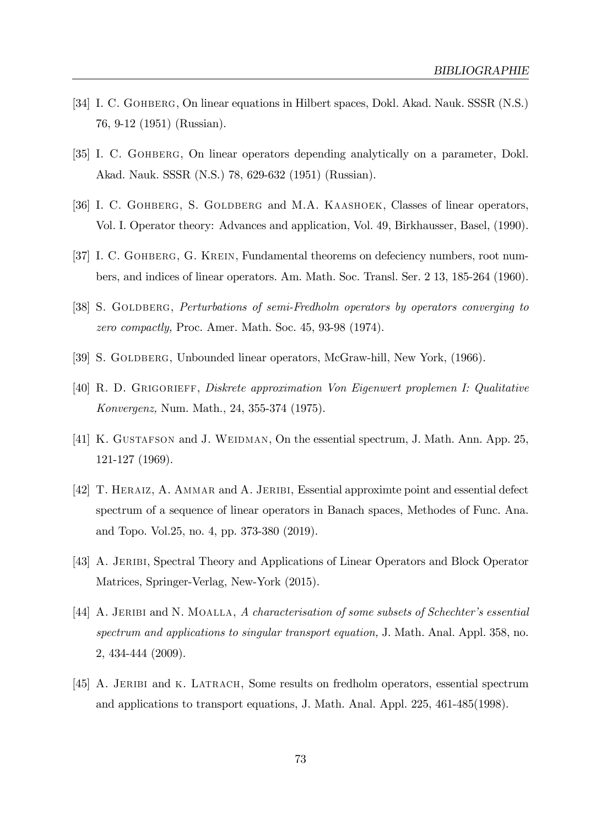- [34] I. C. Gohberg, On linear equations in Hilbert spaces, Dokl. Akad. Nauk. SSSR (N.S.) 76, 9-12 (1951) (Russian).
- [35] I. C. Gohberg, On linear operators depending analytically on a parameter, Dokl. Akad. Nauk. SSSR (N.S.) 78, 629-632 (1951) (Russian).
- [36] I. C. GOHBERG, S. GOLDBERG and M.A. KAASHOEK, Classes of linear operators, Vol. I. Operator theory: Advances and application, Vol. 49, Birkhausser, Basel, (1990).
- [37] I. C. GOHBERG, G. KREIN, Fundamental theorems on defeciency numbers, root numbers, and indices of linear operators. Am. Math. Soc. Transl. Ser. 2 13, 185-264 (1960).
- [38] S. GOLDBERG, *Perturbations of semi-Fredholm operators by operators converging to* zero compactly, Proc. Amer. Math. Soc. 45, 93-98 (1974).
- [39] S. GOLDBERG, Unbounded linear operators, McGraw-hill, New York, (1966).
- [40] R. D. Grigorieff, Diskrete approximation Von Eigenwert proplemen I: Qualitative Konvergenz, Num. Math., 24, 355-374 (1975).
- [41] K. GUSTAFSON and J. WEIDMAN, On the essential spectrum, J. Math. Ann. App. 25, 121-127 (1969).
- [42] T. Heraiz, A. Ammar and A. Jeribi, Essential approximte point and essential defect spectrum of a sequence of linear operators in Banach spaces, Methodes of Func. Ana. and Topo. Vol.25, no. 4, pp. 373-380 (2019).
- [43] A. JERIBI, Spectral Theory and Applications of Linear Operators and Block Operator Matrices, Springer-Verlag, New-York (2015).
- [44] A. JERIBI and N. MOALLA, A characterisation of some subsets of Schechter's essential spectrum and applications to singular transport equation, J. Math. Anal. Appl. 358, no. 2, 434-444 (2009).
- [45] A. JERIBI and K. LATRACH, Some results on fredholm operators, essential spectrum and applications to transport equations, J. Math. Anal. Appl. 225, 461-485(1998).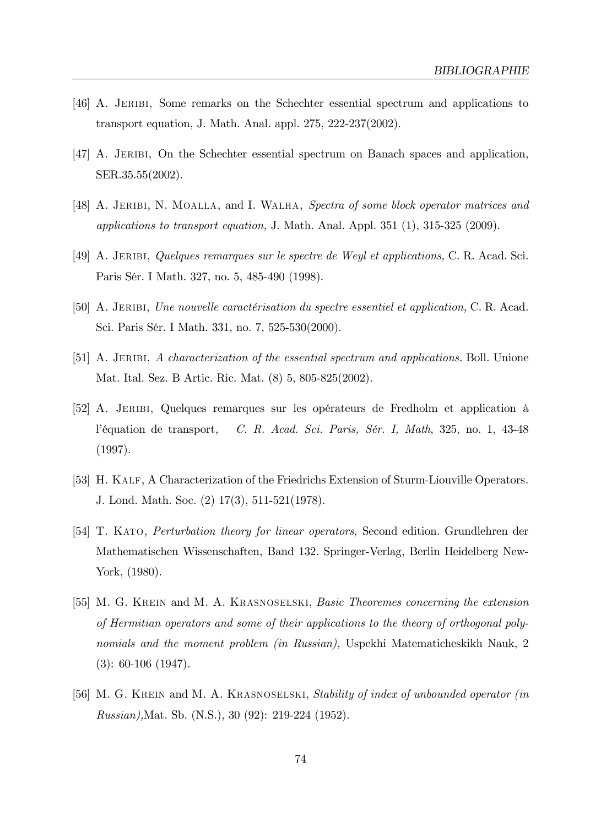- [46] A. Jeribi, Some remarks on the Schechter essential spectrum and applications to transport equation, J. Math. Anal. appl. 275, 222-237(2002).
- [47] A. JERIBI, On the Schechter essential spectrum on Banach spaces and application, SER.35.55(2002).
- [48] A. JERIBI, N. MOALLA, and I. WALHA, Spectra of some block operator matrices and applications to transport equation, J. Math. Anal. Appl. 351 (1), 315-325 (2009).
- [49] A. Jeribi, Quelques remarques sur le spectre de Weyl et applications, C. R. Acad. Sci. Paris Sér. I Math. 327, no. 5, 485-490 (1998).
- [50] A. JERIBI, Une nouvelle caractérisation du spectre essentiel et application, C. R. Acad. Sci. Paris Sér. I Math. 331, no. 7, 525-530(2000).
- [51] A. JERIBI, A characterization of the essential spectrum and applications. Boll. Unione Mat. Ital. Sez. B Artic. Ric. Mat. (8) 5, 805-825(2002).
- $[52]$  A. JERIBI, Quelques remarques sur les opérateurs de Fredholm et application à l'équation de transport, C. R. Acad. Sci. Paris, Sér. I, Math, 325, no. 1, 43-48 (1997).
- [53] H. KALF, A Characterization of the Friedrichs Extension of Sturm-Liouville Operators. J. Lond. Math. Soc. (2) 17(3), 511-521(1978).
- [54] T. Kato, Perturbation theory for linear operators, Second edition. Grundlehren der Mathematischen Wissenschaften, Band 132. Springer-Verlag, Berlin Heidelberg New-York, (1980).
- [55] M. G. KREIN and M. A. KRASNOSELSKI, Basic Theoremes concerning the extension of Hermitian operators and some of their applications to the theory of orthogonal polynomials and the moment problem (in Russian), Uspekhi Matematicheskikh Nauk, 2 (3): 60-106 (1947).
- [56] M. G. KREIN and M. A. KRASNOSELSKI, Stability of index of unbounded operator (in Russian),Mat. Sb. (N.S.), 30 (92): 219-224 (1952).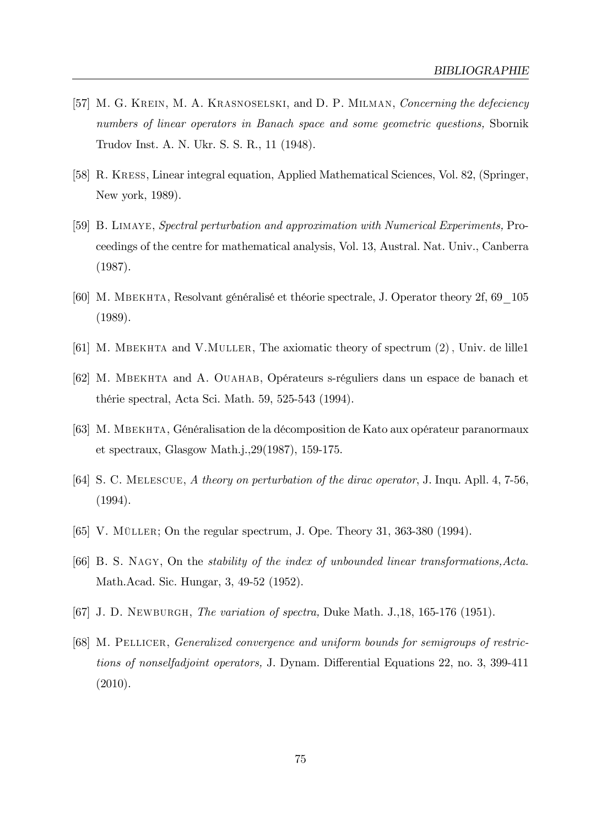- [57] M. G. KREIN, M. A. KRASNOSELSKI, and D. P. MILMAN, Concerning the defeciency numbers of linear operators in Banach space and some geometric questions, Sbornik Trudov Inst. A. N. Ukr. S. S. R., 11 (1948).
- [58] R. Kress, Linear integral equation, Applied Mathematical Sciences, Vol. 82, (Springer, New york, 1989).
- [59] B. Limaye, Spectral perturbation and approximation with Numerical Experiments, Proceedings of the centre for mathematical analysis, Vol. 13, Austral. Nat. Univ., Canberra (1987).
- [60] M. MBEKHTA, Resolvant généralisé et théorie spectrale, J. Operator theory 2f, 69  $105$ (1989).
- [61] M. MBEKHTA and V.MULLER, The axiomatic theory of spectrum  $(2)$ , Univ. de lille1
- [62] M. MBEKHTA and A. OUAHAB, Opérateurs s-réguliers dans un espace de banach et thérie spectral, Acta Sci. Math. 59, 525-543 (1994).
- [63] M. MBEKHTA, Généralisation de la décomposition de Kato aux opérateur paranormaux et spectraux, Glasgow Math.j.,29(1987), 159-175.
- [64] S. C. Melescue, A theory on perturbation of the dirac operator, J. Inqu. Apll. 4, 7-56, (1994).
- [65] V. MÜLLER; On the regular spectrum, J. Ope. Theory 31, 363-380 (1994).
- [66] B. S. Nagy, On the stability of the index of unbounded linear transformations,Acta. Math.Acad. Sic. Hungar, 3, 49-52 (1952).
- [67] J. D. Newburgh, The variation of spectra, Duke Math. J.,18, 165-176 (1951).
- [68] M. PELLICER, Generalized convergence and uniform bounds for semigroups of restrictions of nonselfadjoint operators, J. Dynam. Differential Equations 22, no. 3, 399-411 (2010).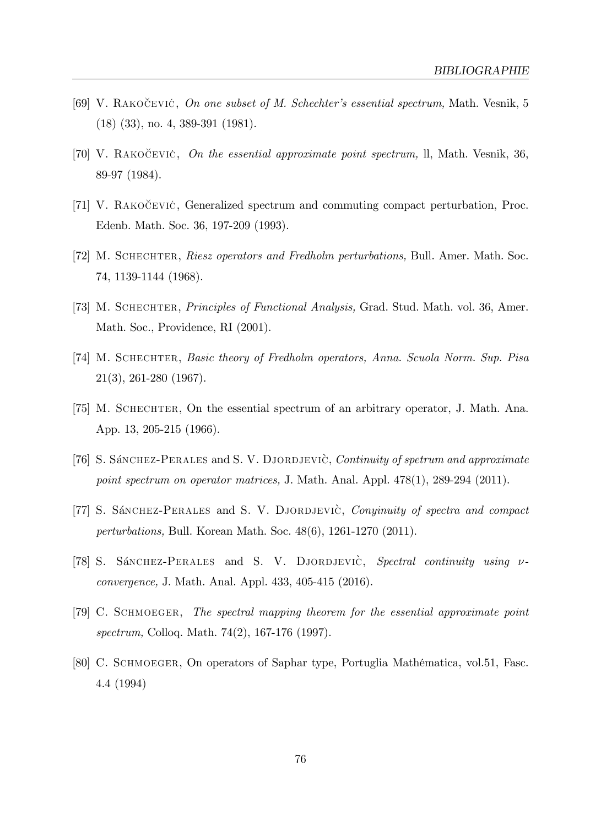- [69] V. RAKOCEVIC, On one subset of M. Schechter's essential spectrum, Math. Vesnik, 5 (18) (33), no. 4, 389-391 (1981).
- [70] V. RAKOCEVIC, On the essential approximate point spectrum, ll, Math. Vesnik, 36, 89-97 (1984).
- [71] V. RAKOCEVIC, Generalized spectrum and commuting compact perturbation, Proc. Edenb. Math. Soc. 36, 197-209 (1993).
- [72] M. SCHECHTER, Riesz operators and Fredholm perturbations, Bull. Amer. Math. Soc. 74, 1139-1144 (1968).
- [73] M. SCHECHTER, *Principles of Functional Analysis*, Grad. Stud. Math. vol. 36, Amer. Math. Soc., Providence, RI (2001).
- [74] M. Schechter, Basic theory of Fredholm operators, Anna. Scuola Norm. Sup. Pisa 21(3), 261-280 (1967).
- [75] M. Schechter, On the essential spectrum of an arbitrary operator, J. Math. Ana. App. 13, 205-215 (1966).
- [76] S. Sánchez-Perales and S. V. DJORDJEVIC, Continuity of spetrum and approximate point spectrum on operator matrices, J. Math. Anal. Appl. 478(1), 289-294 (2011).
- [77] S. Sánchez-Perales and S. V. DJORDJEVIC, Conyinuity of spectra and compact perturbations, Bull. Korean Math. Soc. 48(6), 1261-1270 (2011).
- [78] S. Sánchez-Perales and S. V. DJORDJEVIC, Spectral continuity using  $\nu$ convergence, J. Math. Anal. Appl. 433, 405-415 (2016).
- [79] C. Schmoeger, The spectral mapping theorem for the essential approximate point spectrum, Colloq. Math. 74(2), 167-176 (1997).
- [80] C. SCHMOEGER, On operators of Saphar type, Portuglia Mathématica, vol.51, Fasc. 4.4 (1994)